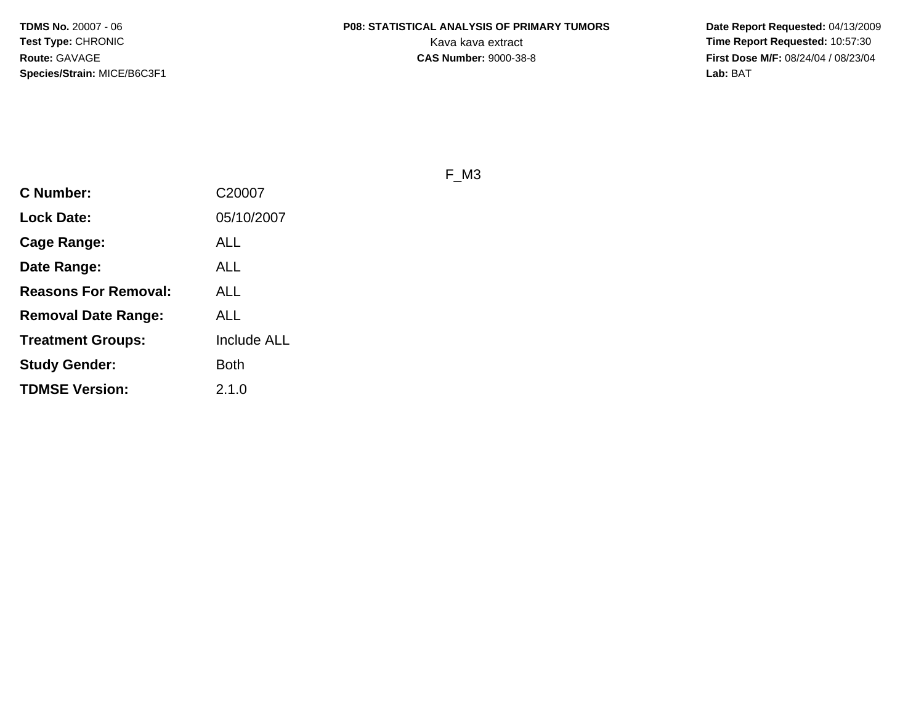**Date Report Requested:** 04/13/2009 **First Dose M/F:** 08/24/04 / 08/23/04<br>**Lab:** BAT **Lab:** BAT

F\_M3

| <b>C Number:</b>            | C20007             |
|-----------------------------|--------------------|
| <b>Lock Date:</b>           | 05/10/2007         |
| Cage Range:                 | ALL                |
| Date Range:                 | ALL                |
| <b>Reasons For Removal:</b> | ALL                |
| <b>Removal Date Range:</b>  | ALL                |
| <b>Treatment Groups:</b>    | <b>Include ALL</b> |
| <b>Study Gender:</b>        | <b>Both</b>        |
| <b>TDMSE Version:</b>       | 2.1.0              |
|                             |                    |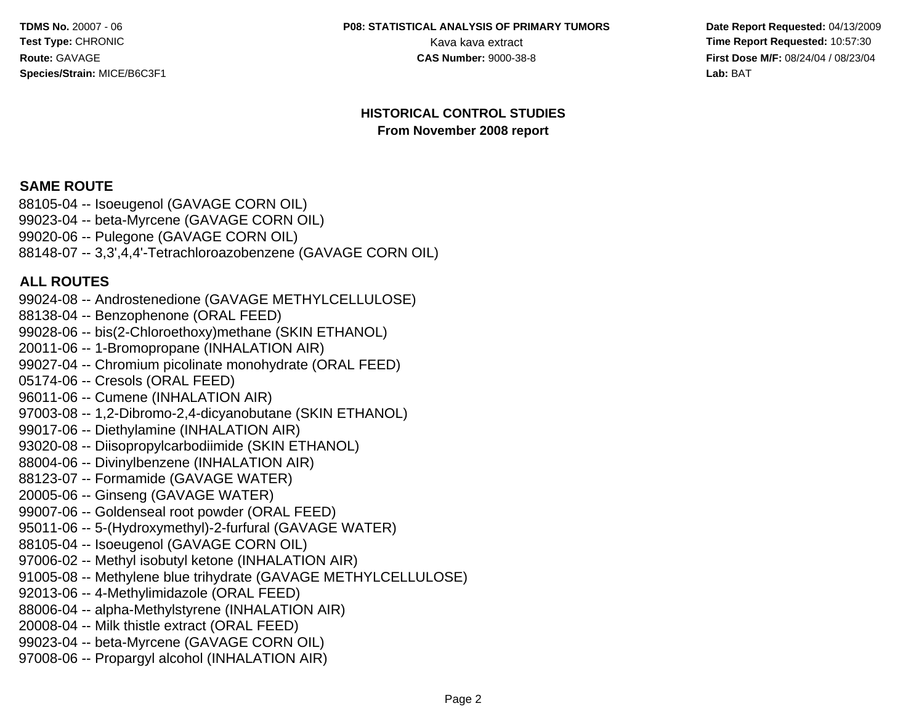#### **P08: STATISTICAL ANALYSIS OF PRIMARY TUMORS**

 **Date Report Requested:** 04/13/2009 Kava kava extract **Time Report Requested:** 10:57:30<br>**CAS Number:** 9000-38-8<br>**Time Report Requested:** 10:57:30 **First Dose M/F:** 08/24/04 / 08/23/04<br>**Lab:** BAT **Lab:** BAT

#### **HISTORICAL CONTROL STUDIESFrom November 2008 report**

#### **SAME ROUTE**

 88105-04 -- Isoeugenol (GAVAGE CORN OIL) 99023-04 -- beta-Myrcene (GAVAGE CORN OIL)99020-06 -- Pulegone (GAVAGE CORN OIL)88148-07 -- 3,3',4,4'-Tetrachloroazobenzene (GAVAGE CORN OIL)

#### **ALL ROUTES**

 99024-08 -- Androstenedione (GAVAGE METHYLCELLULOSE)88138-04 -- Benzophenone (ORAL FEED) 99028-06 -- bis(2-Chloroethoxy)methane (SKIN ETHANOL)20011-06 -- 1-Bromopropane (INHALATION AIR) 99027-04 -- Chromium picolinate monohydrate (ORAL FEED)05174-06 -- Cresols (ORAL FEED) 96011-06 -- Cumene (INHALATION AIR) 97003-08 -- 1,2-Dibromo-2,4-dicyanobutane (SKIN ETHANOL)99017-06 -- Diethylamine (INHALATION AIR) 93020-08 -- Diisopropylcarbodiimide (SKIN ETHANOL)88004-06 -- Divinylbenzene (INHALATION AIR)88123-07 -- Formamide (GAVAGE WATER)20005-06 -- Ginseng (GAVAGE WATER) 99007-06 -- Goldenseal root powder (ORAL FEED) 95011-06 -- 5-(Hydroxymethyl)-2-furfural (GAVAGE WATER)88105-04 -- Isoeugenol (GAVAGE CORN OIL) 97006-02 -- Methyl isobutyl ketone (INHALATION AIR) 91005-08 -- Methylene blue trihydrate (GAVAGE METHYLCELLULOSE)92013-06 -- 4-Methylimidazole (ORAL FEED) 88006-04 -- alpha-Methylstyrene (INHALATION AIR)20008-04 -- Milk thistle extract (ORAL FEED) 99023-04 -- beta-Myrcene (GAVAGE CORN OIL)97008-06 -- Propargyl alcohol (INHALATION AIR)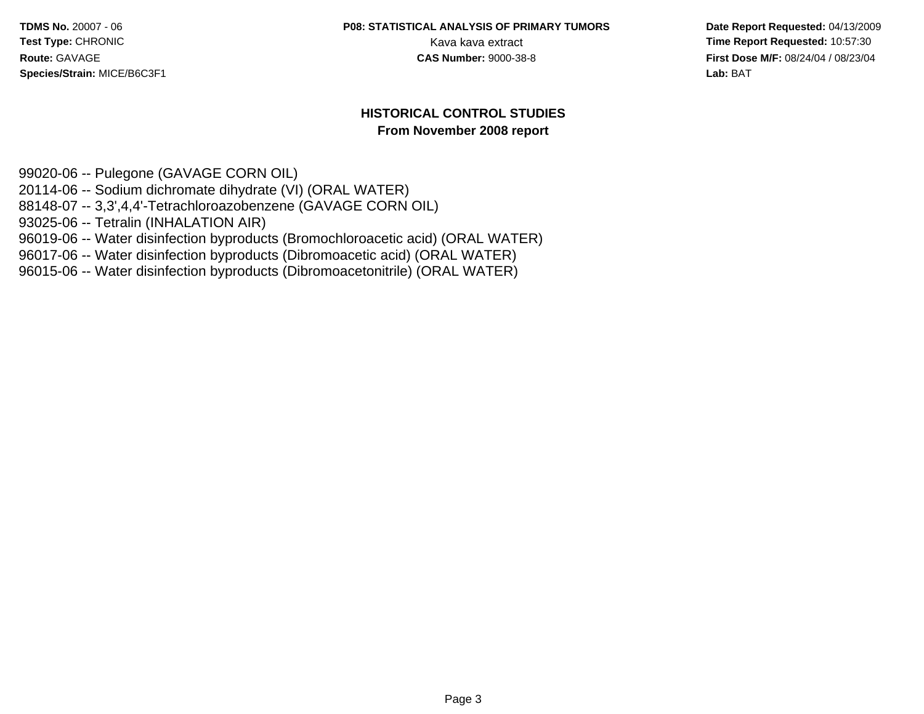#### **P08: STATISTICAL ANALYSIS OF PRIMARY TUMORS**

 **Date Report Requested:** 04/13/2009 Kava kava extract **Time Report Requested:** 10:57:30<br>**CAS Number:** 9000-38-8 **Time Report Requested:** 10:57:30 **First Dose M/F:** 08/24/04 / 08/23/04 Lab: BAT **Lab:** BAT

#### **HISTORICAL CONTROL STUDIESFrom November 2008 report**

99020-06 -- Pulegone (GAVAGE CORN OIL) 20114-06 -- Sodium dichromate dihydrate (VI) (ORAL WATER) 88148-07 -- 3,3',4,4'-Tetrachloroazobenzene (GAVAGE CORN OIL)93025-06 -- Tetralin (INHALATION AIR) 96019-06 -- Water disinfection byproducts (Bromochloroacetic acid) (ORAL WATER)96017-06 -- Water disinfection byproducts (Dibromoacetic acid) (ORAL WATER)96015-06 -- Water disinfection byproducts (Dibromoacetonitrile) (ORAL WATER)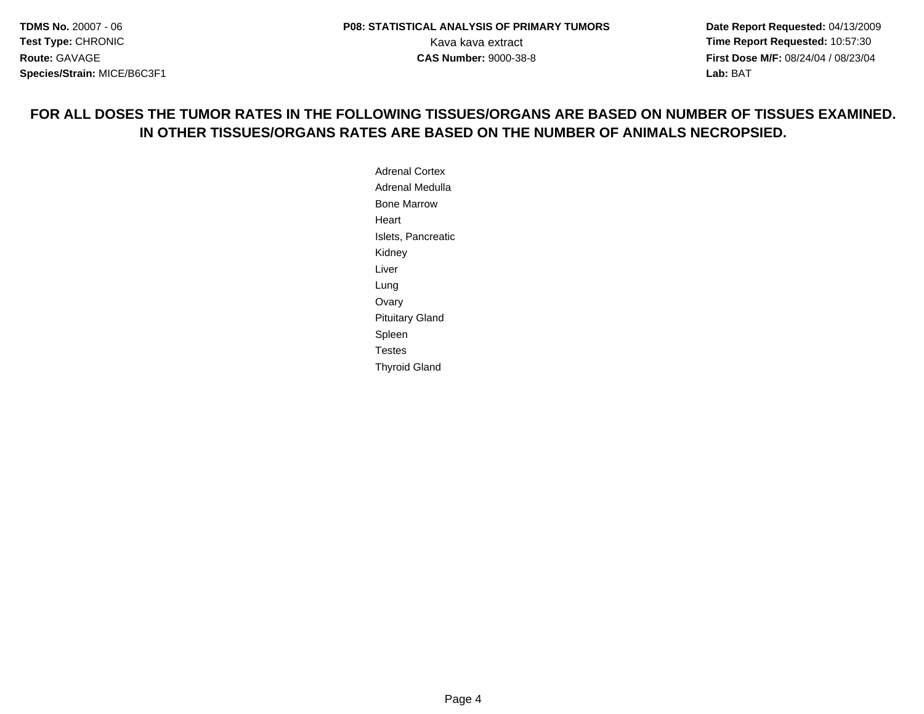**Date Report Requested:** 04/13/2009 **First Dose M/F:** 08/24/04 / 08/23/04<br>**Lab:** BAT **Lab:** BAT

#### **FOR ALL DOSES THE TUMOR RATES IN THE FOLLOWING TISSUES/ORGANS ARE BASED ON NUMBER OF TISSUES EXAMINED.IN OTHER TISSUES/ORGANS RATES ARE BASED ON THE NUMBER OF ANIMALS NECROPSIED.**

Adrenal Cortex Adrenal MedullaBone MarrowHeartIslets, PancreaticKidneyLiverLung**Ovary**  Pituitary GlandSpleen TestesThyroid Gland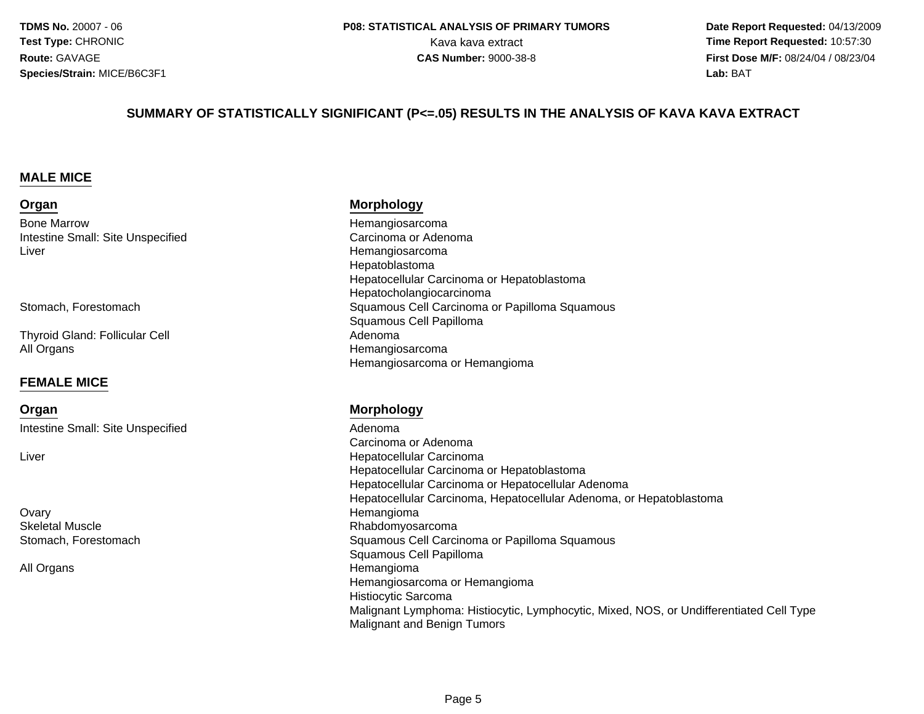**Date Report Requested:** 04/13/2009 Kava kava extract **Time Report Requested:** 10:57:30<br>**CAS Number:** 9000-38-8<br>**Time Report Requested:** 10:57:30 **First Dose M/F:** 08/24/04 / 08/23/04<br>**Lab:** BAT **Lab:** BAT

#### **SUMMARY OF STATISTICALLY SIGNIFICANT (P<=.05) RESULTS IN THE ANALYSIS OF KAVA KAVA EXTRACT**

#### **MALE MICE**

#### **Organ**

Bone MarrowIntestine Small: Site UnspecifiedLiver

Stomach, Forestomach

Thyroid Gland: Follicular CellAll Organs

#### **FEMALE MICE**

**Organ**Intestine Small: Site Unspecified

Liver

**Ovary** Skeletal MuscleStomach, Forestomach

All Organs

#### **Morphology**

 Hemangiosarcoma Carcinoma or Adenoma HemangiosarcomaHepatoblastoma Hepatocellular Carcinoma or HepatoblastomaHepatocholangiocarcinoma Squamous Cell Carcinoma or Papilloma Squamous Squamous Cell Papilloma Adenomas and the contract of the contract of the Hemangiosarcoma Hemangiosarcoma or Hemangioma

#### **Morphology**

 Adenoma Carcinoma or Adenomar **Exercía e Estado e Estado e Estado e Estado e Estado e Estado e Estado e Estado e Estado e Estado e Estado e**  Hepatocellular Carcinoma or Hepatoblastoma Hepatocellular Carcinoma or Hepatocellular Adenoma Hepatocellular Carcinoma, Hepatocellular Adenoma, or Hepatoblastoma Hemangiomae Rhabdomyosarcoma<br>Energia de la construcción de la construcción de la construcción de la construcción de la construcción de la c Squamous Cell Carcinoma or Papilloma Squamous Squamous Cell Papilloma Hemangioma Hemangiosarcoma or HemangiomaHistiocytic Sarcoma Malignant Lymphoma: Histiocytic, Lymphocytic, Mixed, NOS, or Undifferentiated Cell TypeMalignant and Benign Tumors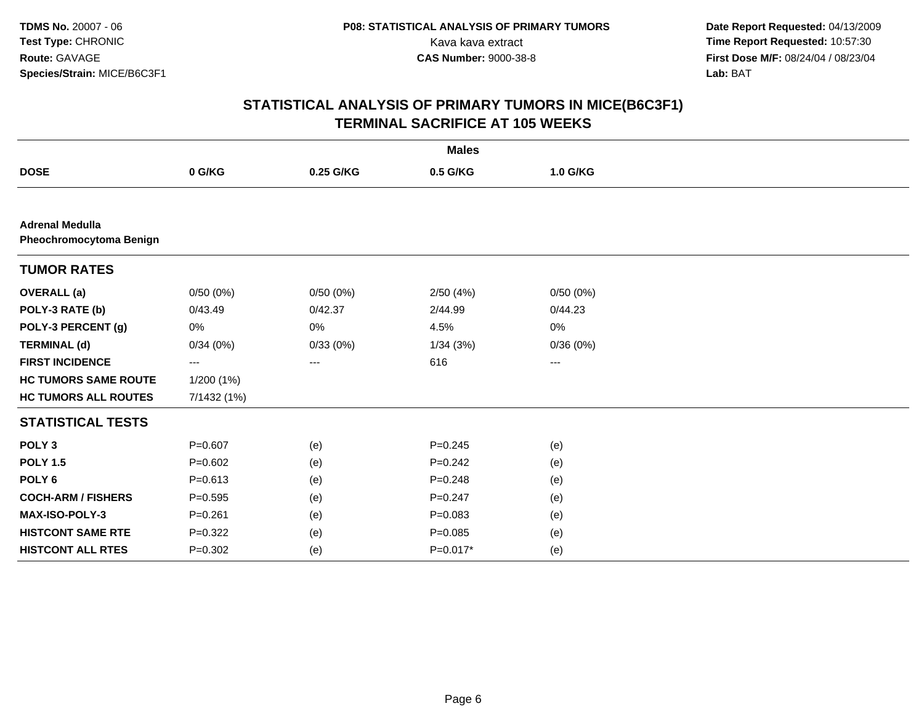|                                                   |             |           | <b>Males</b> |          |  |
|---------------------------------------------------|-------------|-----------|--------------|----------|--|
| <b>DOSE</b>                                       | 0 G/KG      | 0.25 G/KG | 0.5 G/KG     | 1.0 G/KG |  |
|                                                   |             |           |              |          |  |
| <b>Adrenal Medulla</b><br>Pheochromocytoma Benign |             |           |              |          |  |
| <b>TUMOR RATES</b>                                |             |           |              |          |  |
| <b>OVERALL</b> (a)                                | 0/50(0%)    | 0/50(0%)  | 2/50(4%)     | 0/50(0%) |  |
| POLY-3 RATE (b)                                   | 0/43.49     | 0/42.37   | 2/44.99      | 0/44.23  |  |
| POLY-3 PERCENT (g)                                | 0%          | 0%        | 4.5%         | 0%       |  |
| <b>TERMINAL (d)</b>                               | 0/34(0%)    | 0/33(0%)  | 1/34(3%)     | 0/36(0%) |  |
| <b>FIRST INCIDENCE</b>                            | ---         | $\cdots$  | 616          | ---      |  |
| <b>HC TUMORS SAME ROUTE</b>                       | 1/200 (1%)  |           |              |          |  |
| <b>HC TUMORS ALL ROUTES</b>                       | 7/1432 (1%) |           |              |          |  |
| <b>STATISTICAL TESTS</b>                          |             |           |              |          |  |
| POLY <sub>3</sub>                                 | $P=0.607$   | (e)       | $P = 0.245$  | (e)      |  |
| <b>POLY 1.5</b>                                   | $P=0.602$   | (e)       | $P=0.242$    | (e)      |  |
| POLY <sub>6</sub>                                 | $P = 0.613$ | (e)       | $P = 0.248$  | (e)      |  |
| <b>COCH-ARM / FISHERS</b>                         | $P = 0.595$ | (e)       | $P=0.247$    | (e)      |  |
| MAX-ISO-POLY-3                                    | $P = 0.261$ | (e)       | $P = 0.083$  | (e)      |  |
| <b>HISTCONT SAME RTE</b>                          | $P=0.322$   | (e)       | $P=0.085$    | (e)      |  |
| <b>HISTCONT ALL RTES</b>                          | $P = 0.302$ | (e)       | $P=0.017*$   | (e)      |  |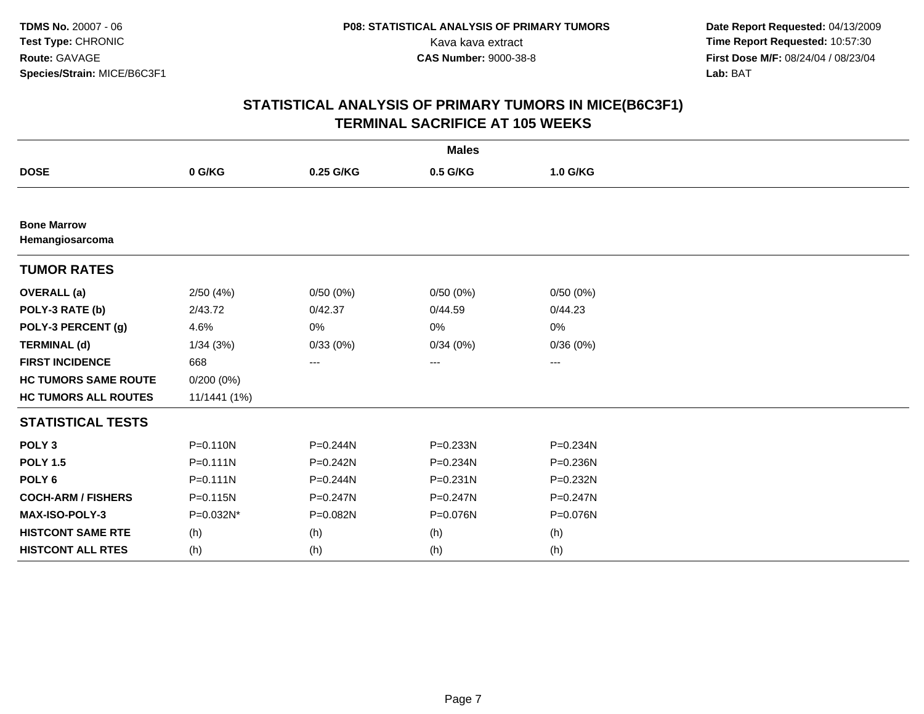**Date Report Requested:** 04/13/2009 Kava kava extract **Time Report Requested:** 10:57:30<br>**CAS Number:** 9000-38-8<br>**Time Report Requested:** 10:57:30<br>**First Dose M/F:** 08/24/04 / 08/23/04 **First Dose M/F:** 08/24/04 / 08/23/04<br>Lab: BAT **Lab:** BAT

|                                       |              |              | <b>Males</b>           |          |  |
|---------------------------------------|--------------|--------------|------------------------|----------|--|
| <b>DOSE</b>                           | 0 G/KG       | 0.25 G/KG    | 0.5 G/KG               | 1.0 G/KG |  |
|                                       |              |              |                        |          |  |
| <b>Bone Marrow</b><br>Hemangiosarcoma |              |              |                        |          |  |
| <b>TUMOR RATES</b>                    |              |              |                        |          |  |
| <b>OVERALL</b> (a)                    | 2/50(4%)     | 0/50(0%)     | 0/50(0%)               | 0/50(0%) |  |
| POLY-3 RATE (b)                       | 2/43.72      | 0/42.37      | 0/44.59                | 0/44.23  |  |
| POLY-3 PERCENT (g)                    | 4.6%         | 0%           | 0%                     | 0%       |  |
| <b>TERMINAL (d)</b>                   | 1/34(3%)     | 0/33(0%)     | 0/34(0%)               | 0/36(0%) |  |
| <b>FIRST INCIDENCE</b>                | 668          | ---          | $\qquad \qquad \cdots$ | ---      |  |
| <b>HC TUMORS SAME ROUTE</b>           | $0/200(0\%)$ |              |                        |          |  |
| <b>HC TUMORS ALL ROUTES</b>           | 11/1441 (1%) |              |                        |          |  |
| <b>STATISTICAL TESTS</b>              |              |              |                        |          |  |
| POLY <sub>3</sub>                     | $P = 0.110N$ | $P = 0.244N$ | P=0.233N               | P=0.234N |  |
| <b>POLY 1.5</b>                       | $P = 0.111N$ | $P = 0.242N$ | P=0.234N               | P=0.236N |  |
| POLY <sub>6</sub>                     | $P = 0.111N$ | P=0.244N     | $P = 0.231N$           | P=0.232N |  |
| <b>COCH-ARM / FISHERS</b>             | $P = 0.115N$ | $P = 0.247N$ | P=0.247N               | P=0.247N |  |
| MAX-ISO-POLY-3                        | P=0.032N*    | P=0.082N     | P=0.076N               | P=0.076N |  |
| <b>HISTCONT SAME RTE</b>              | (h)          | (h)          | (h)                    | (h)      |  |
| <b>HISTCONT ALL RTES</b>              | (h)          | (h)          | (h)                    | (h)      |  |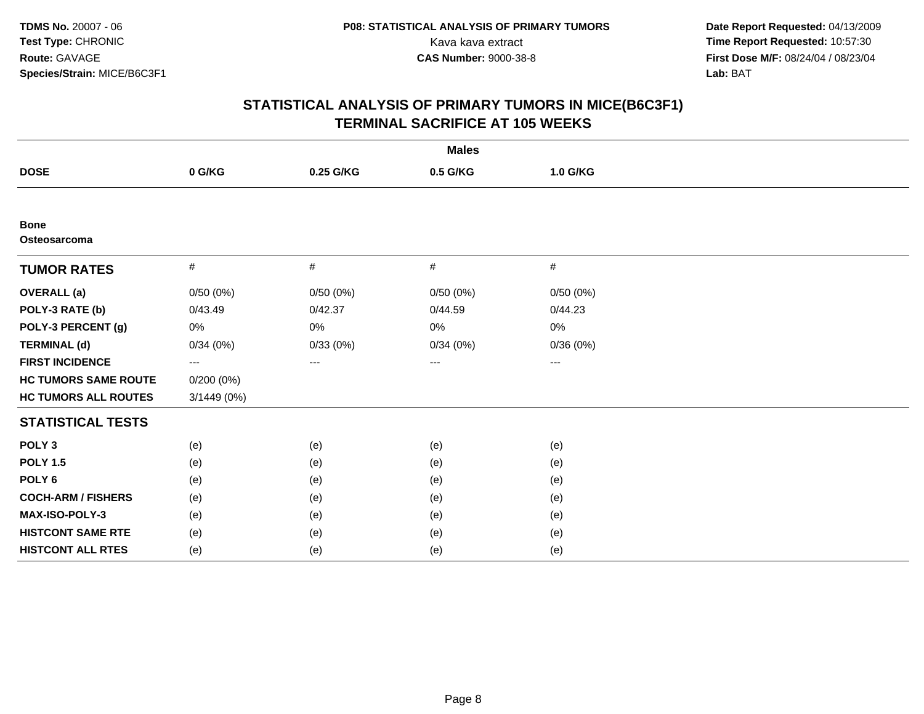| <b>Males</b>                |             |           |                   |          |  |
|-----------------------------|-------------|-----------|-------------------|----------|--|
| <b>DOSE</b>                 | 0 G/KG      | 0.25 G/KG | 0.5 G/KG          | 1.0 G/KG |  |
|                             |             |           |                   |          |  |
| <b>Bone</b><br>Osteosarcoma |             |           |                   |          |  |
| <b>TUMOR RATES</b>          | $\#$        | $\#$      | #                 | #        |  |
| <b>OVERALL</b> (a)          | 0/50(0%)    | 0/50(0%)  | 0/50(0%)          | 0/50(0%) |  |
| POLY-3 RATE (b)             | 0/43.49     | 0/42.37   | 0/44.59           | 0/44.23  |  |
| POLY-3 PERCENT (g)          | 0%          | 0%        | 0%                | 0%       |  |
| <b>TERMINAL (d)</b>         | 0/34(0%)    | 0/33(0%)  | 0/34(0%)          | 0/36(0%) |  |
| <b>FIRST INCIDENCE</b>      | ---         | ---       | $\qquad \qquad -$ | $\cdots$ |  |
| <b>HC TUMORS SAME ROUTE</b> | 0/200(0%)   |           |                   |          |  |
| <b>HC TUMORS ALL ROUTES</b> | 3/1449 (0%) |           |                   |          |  |
| <b>STATISTICAL TESTS</b>    |             |           |                   |          |  |
| POLY <sub>3</sub>           | (e)         | (e)       | (e)               | (e)      |  |
| <b>POLY 1.5</b>             | (e)         | (e)       | (e)               | (e)      |  |
| POLY <sub>6</sub>           | (e)         | (e)       | (e)               | (e)      |  |
| <b>COCH-ARM / FISHERS</b>   | (e)         | (e)       | (e)               | (e)      |  |
| MAX-ISO-POLY-3              | (e)         | (e)       | (e)               | (e)      |  |
| <b>HISTCONT SAME RTE</b>    | (e)         | (e)       | (e)               | (e)      |  |
| <b>HISTCONT ALL RTES</b>    | (e)         | (e)       | (e)               | (e)      |  |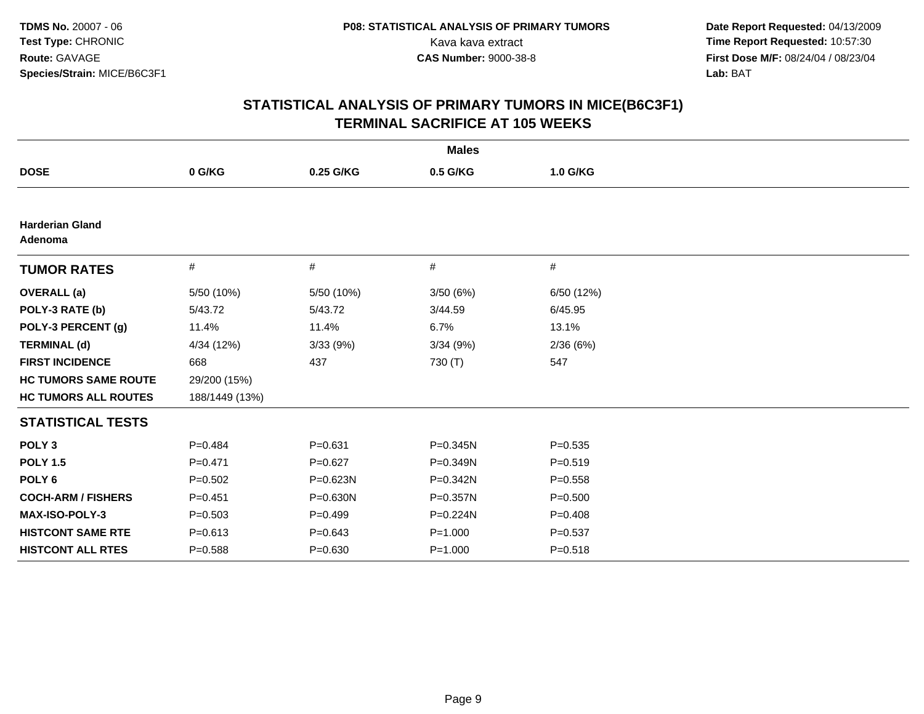|                                   |                |             | <b>Males</b> |             |
|-----------------------------------|----------------|-------------|--------------|-------------|
| <b>DOSE</b>                       | 0 G/KG         | 0.25 G/KG   | 0.5 G/KG     | 1.0 G/KG    |
|                                   |                |             |              |             |
| <b>Harderian Gland</b><br>Adenoma |                |             |              |             |
| <b>TUMOR RATES</b>                | #              | #           | #            | #           |
| <b>OVERALL</b> (a)                | 5/50 (10%)     | 5/50 (10%)  | 3/50(6%)     | 6/50 (12%)  |
| POLY-3 RATE (b)                   | 5/43.72        | 5/43.72     | 3/44.59      | 6/45.95     |
| POLY-3 PERCENT (g)                | 11.4%          | 11.4%       | 6.7%         | 13.1%       |
| <b>TERMINAL (d)</b>               | 4/34 (12%)     | 3/33 (9%)   | 3/34(9%)     | 2/36(6%)    |
| <b>FIRST INCIDENCE</b>            | 668            | 437         | 730 (T)      | 547         |
| <b>HC TUMORS SAME ROUTE</b>       | 29/200 (15%)   |             |              |             |
| <b>HC TUMORS ALL ROUTES</b>       | 188/1449 (13%) |             |              |             |
| <b>STATISTICAL TESTS</b>          |                |             |              |             |
| POLY <sub>3</sub>                 | $P=0.484$      | $P = 0.631$ | $P = 0.345N$ | $P = 0.535$ |
| <b>POLY 1.5</b>                   | $P=0.471$      | $P = 0.627$ | P=0.349N     | $P = 0.519$ |
| POLY <sub>6</sub>                 | $P=0.502$      | P=0.623N    | $P = 0.342N$ | $P = 0.558$ |
| <b>COCH-ARM / FISHERS</b>         | $P = 0.451$    | P=0.630N    | $P = 0.357N$ | $P = 0.500$ |
| <b>MAX-ISO-POLY-3</b>             | $P = 0.503$    | $P=0.499$   | P=0.224N     | $P = 0.408$ |
| <b>HISTCONT SAME RTE</b>          | $P = 0.613$    | $P = 0.643$ | $P = 1.000$  | $P = 0.537$ |
| <b>HISTCONT ALL RTES</b>          | $P = 0.588$    | $P = 0.630$ | $P = 1.000$  | $P = 0.518$ |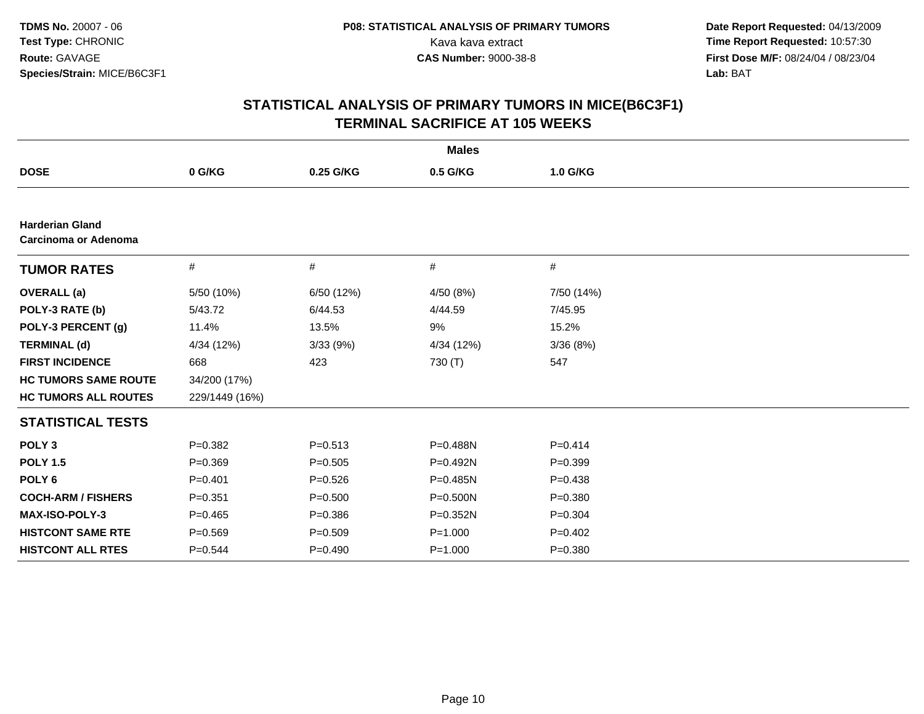| <b>Males</b>                                          |                |             |             |             |  |
|-------------------------------------------------------|----------------|-------------|-------------|-------------|--|
| <b>DOSE</b>                                           | 0 G/KG         | 0.25 G/KG   | 0.5 G/KG    | 1.0 G/KG    |  |
|                                                       |                |             |             |             |  |
| <b>Harderian Gland</b><br><b>Carcinoma or Adenoma</b> |                |             |             |             |  |
| <b>TUMOR RATES</b>                                    | #              | #           | #           | #           |  |
| <b>OVERALL</b> (a)                                    | 5/50 (10%)     | 6/50 (12%)  | 4/50 (8%)   | 7/50 (14%)  |  |
| POLY-3 RATE (b)                                       | 5/43.72        | 6/44.53     | 4/44.59     | 7/45.95     |  |
| POLY-3 PERCENT (g)                                    | 11.4%          | 13.5%       | 9%          | 15.2%       |  |
| <b>TERMINAL (d)</b>                                   | 4/34 (12%)     | 3/33(9%)    | 4/34 (12%)  | 3/36(8%)    |  |
| <b>FIRST INCIDENCE</b>                                | 668            | 423         | 730 (T)     | 547         |  |
| <b>HC TUMORS SAME ROUTE</b>                           | 34/200 (17%)   |             |             |             |  |
| <b>HC TUMORS ALL ROUTES</b>                           | 229/1449 (16%) |             |             |             |  |
| <b>STATISTICAL TESTS</b>                              |                |             |             |             |  |
| POLY <sub>3</sub>                                     | $P=0.382$      | $P = 0.513$ | P=0.488N    | $P=0.414$   |  |
| <b>POLY 1.5</b>                                       | $P = 0.369$    | $P = 0.505$ | $P=0.492N$  | $P = 0.399$ |  |
| POLY <sub>6</sub>                                     | $P = 0.401$    | $P = 0.526$ | P=0.485N    | $P = 0.438$ |  |
| <b>COCH-ARM / FISHERS</b>                             | $P = 0.351$    | $P = 0.500$ | P=0.500N    | $P = 0.380$ |  |
| MAX-ISO-POLY-3                                        | $P=0.465$      | $P = 0.386$ | P=0.352N    | $P=0.304$   |  |
| <b>HISTCONT SAME RTE</b>                              | $P = 0.569$    | $P = 0.509$ | $P = 1.000$ | $P=0.402$   |  |
| <b>HISTCONT ALL RTES</b>                              | $P = 0.544$    | $P=0.490$   | $P = 1.000$ | $P = 0.380$ |  |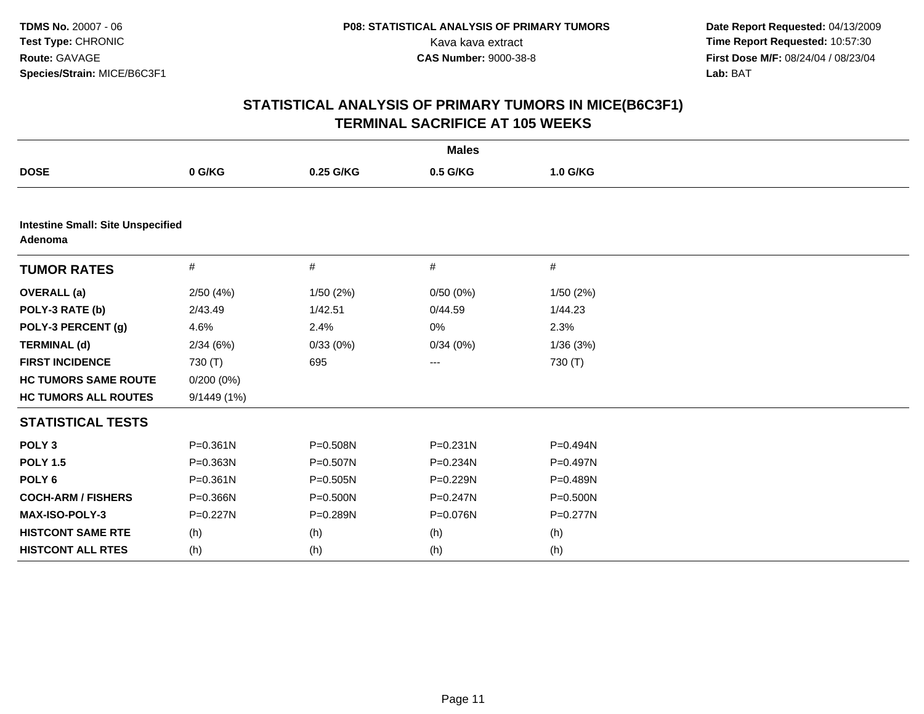| <b>Males</b>                                        |              |              |              |          |  |
|-----------------------------------------------------|--------------|--------------|--------------|----------|--|
| <b>DOSE</b>                                         | 0 G/KG       | 0.25 G/KG    | 0.5 G/KG     | 1.0 G/KG |  |
|                                                     |              |              |              |          |  |
| <b>Intestine Small: Site Unspecified</b><br>Adenoma |              |              |              |          |  |
| <b>TUMOR RATES</b>                                  | #            | $\#$         | #            | $\#$     |  |
| <b>OVERALL</b> (a)                                  | 2/50(4%)     | 1/50(2%)     | 0/50(0%)     | 1/50(2%) |  |
| POLY-3 RATE (b)                                     | 2/43.49      | 1/42.51      | 0/44.59      | 1/44.23  |  |
| POLY-3 PERCENT (g)                                  | 4.6%         | 2.4%         | 0%           | 2.3%     |  |
| <b>TERMINAL (d)</b>                                 | 2/34(6%)     | 0/33(0%)     | 0/34(0%)     | 1/36(3%) |  |
| <b>FIRST INCIDENCE</b>                              | 730 (T)      | 695          | ---          | 730 (T)  |  |
| <b>HC TUMORS SAME ROUTE</b>                         | $0/200(0\%)$ |              |              |          |  |
| <b>HC TUMORS ALL ROUTES</b>                         | 9/1449 (1%)  |              |              |          |  |
| <b>STATISTICAL TESTS</b>                            |              |              |              |          |  |
| POLY <sub>3</sub>                                   | $P = 0.361N$ | P=0.508N     | $P = 0.231N$ | P=0.494N |  |
| <b>POLY 1.5</b>                                     | P=0.363N     | P=0.507N     | P=0.234N     | P=0.497N |  |
| POLY <sub>6</sub>                                   | $P = 0.361N$ | $P = 0.505N$ | P=0.229N     | P=0.489N |  |
| <b>COCH-ARM / FISHERS</b>                           | P=0.366N     | $P = 0.500N$ | $P = 0.247N$ | P=0.500N |  |
| <b>MAX-ISO-POLY-3</b>                               | $P = 0.227N$ | P=0.289N     | P=0.076N     | P=0.277N |  |
| <b>HISTCONT SAME RTE</b>                            | (h)          | (h)          | (h)          | (h)      |  |
| <b>HISTCONT ALL RTES</b>                            | (h)          | (h)          | (h)          | (h)      |  |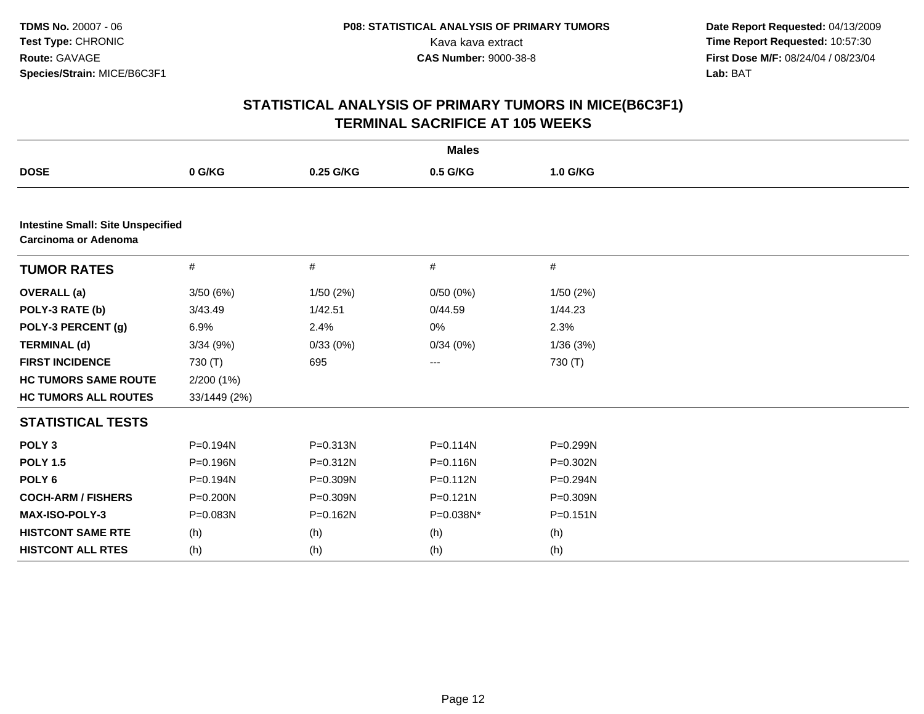|                                                                         |              |           | <b>Males</b> |              |  |
|-------------------------------------------------------------------------|--------------|-----------|--------------|--------------|--|
| <b>DOSE</b>                                                             | 0 G/KG       | 0.25 G/KG | 0.5 G/KG     | 1.0 G/KG     |  |
|                                                                         |              |           |              |              |  |
| <b>Intestine Small: Site Unspecified</b><br><b>Carcinoma or Adenoma</b> |              |           |              |              |  |
| <b>TUMOR RATES</b>                                                      | $\#$         | #         | $\#$         | $\#$         |  |
| <b>OVERALL</b> (a)                                                      | 3/50(6%)     | 1/50(2%)  | 0/50(0%)     | 1/50 (2%)    |  |
| POLY-3 RATE (b)                                                         | 3/43.49      | 1/42.51   | 0/44.59      | 1/44.23      |  |
| POLY-3 PERCENT (g)                                                      | 6.9%         | 2.4%      | 0%           | 2.3%         |  |
| <b>TERMINAL (d)</b>                                                     | 3/34(9%)     | 0/33(0%)  | 0/34(0%)     | 1/36(3%)     |  |
| <b>FIRST INCIDENCE</b>                                                  | 730 (T)      | 695       | ---          | 730 (T)      |  |
| <b>HC TUMORS SAME ROUTE</b>                                             | 2/200 (1%)   |           |              |              |  |
| <b>HC TUMORS ALL ROUTES</b>                                             | 33/1449 (2%) |           |              |              |  |
| <b>STATISTICAL TESTS</b>                                                |              |           |              |              |  |
| POLY <sub>3</sub>                                                       | P=0.194N     | P=0.313N  | $P = 0.114N$ | $P = 0.299N$ |  |
| <b>POLY 1.5</b>                                                         | P=0.196N     | P=0.312N  | $P = 0.116N$ | $P = 0.302N$ |  |
| POLY <sub>6</sub>                                                       | P=0.194N     | P=0.309N  | $P = 0.112N$ | P=0.294N     |  |
| <b>COCH-ARM / FISHERS</b>                                               | $P = 0.200N$ | P=0.309N  | $P = 0.121N$ | $P = 0.309N$ |  |
| MAX-ISO-POLY-3                                                          | P=0.083N     | P=0.162N  | P=0.038N*    | $P = 0.151N$ |  |
| <b>HISTCONT SAME RTE</b>                                                | (h)          | (h)       | (h)          | (h)          |  |
| <b>HISTCONT ALL RTES</b>                                                | (h)          | (h)       | (h)          | (h)          |  |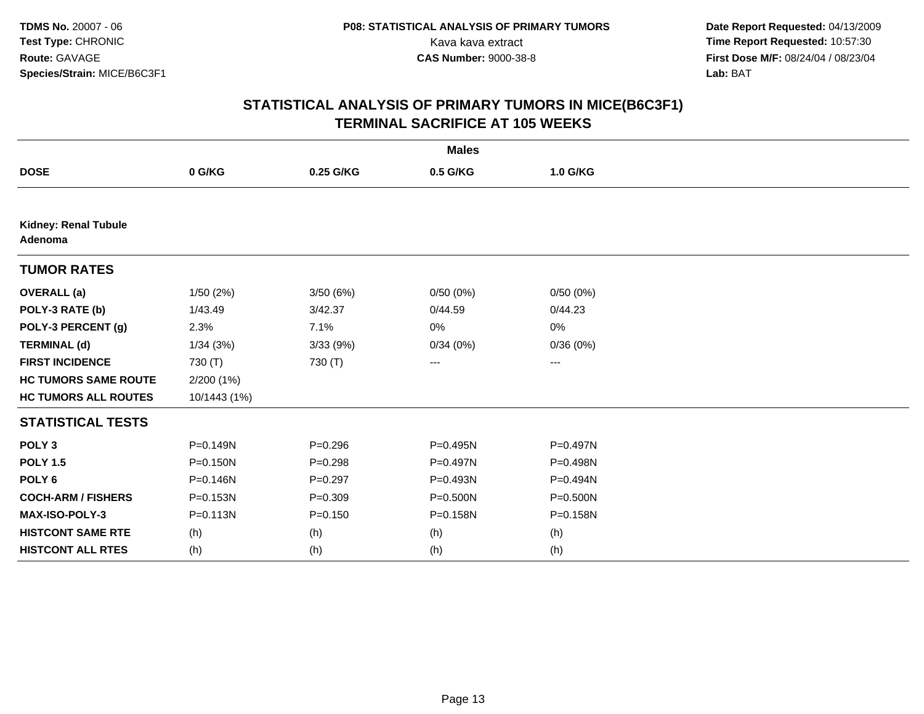|                                 |              |             | <b>Males</b> |          |  |
|---------------------------------|--------------|-------------|--------------|----------|--|
| <b>DOSE</b>                     | 0 G/KG       | 0.25 G/KG   | 0.5 G/KG     | 1.0 G/KG |  |
|                                 |              |             |              |          |  |
| Kidney: Renal Tubule<br>Adenoma |              |             |              |          |  |
| <b>TUMOR RATES</b>              |              |             |              |          |  |
| <b>OVERALL</b> (a)              | 1/50(2%)     | 3/50(6%)    | 0/50(0%)     | 0/50(0%) |  |
| POLY-3 RATE (b)                 | 1/43.49      | 3/42.37     | 0/44.59      | 0/44.23  |  |
| POLY-3 PERCENT (g)              | 2.3%         | 7.1%        | 0%           | 0%       |  |
| <b>TERMINAL (d)</b>             | 1/34(3%)     | 3/33(9%)    | 0/34(0%)     | 0/36(0%) |  |
| <b>FIRST INCIDENCE</b>          | 730 (T)      | 730 (T)     | ---          | ---      |  |
| <b>HC TUMORS SAME ROUTE</b>     | 2/200 (1%)   |             |              |          |  |
| <b>HC TUMORS ALL ROUTES</b>     | 10/1443 (1%) |             |              |          |  |
| <b>STATISTICAL TESTS</b>        |              |             |              |          |  |
| POLY <sub>3</sub>               | $P = 0.149N$ | $P = 0.296$ | $P = 0.495N$ | P=0.497N |  |
| <b>POLY 1.5</b>                 | $P = 0.150N$ | $P=0.298$   | P=0.497N     | P=0.498N |  |
| POLY <sub>6</sub>               | P=0.146N     | $P=0.297$   | P=0.493N     | P=0.494N |  |
| <b>COCH-ARM / FISHERS</b>       | P=0.153N     | $P = 0.309$ | P=0.500N     | P=0.500N |  |
| <b>MAX-ISO-POLY-3</b>           | $P = 0.113N$ | $P = 0.150$ | P=0.158N     | P=0.158N |  |
| <b>HISTCONT SAME RTE</b>        | (h)          | (h)         | (h)          | (h)      |  |
| <b>HISTCONT ALL RTES</b>        | (h)          | (h)         | (h)          | (h)      |  |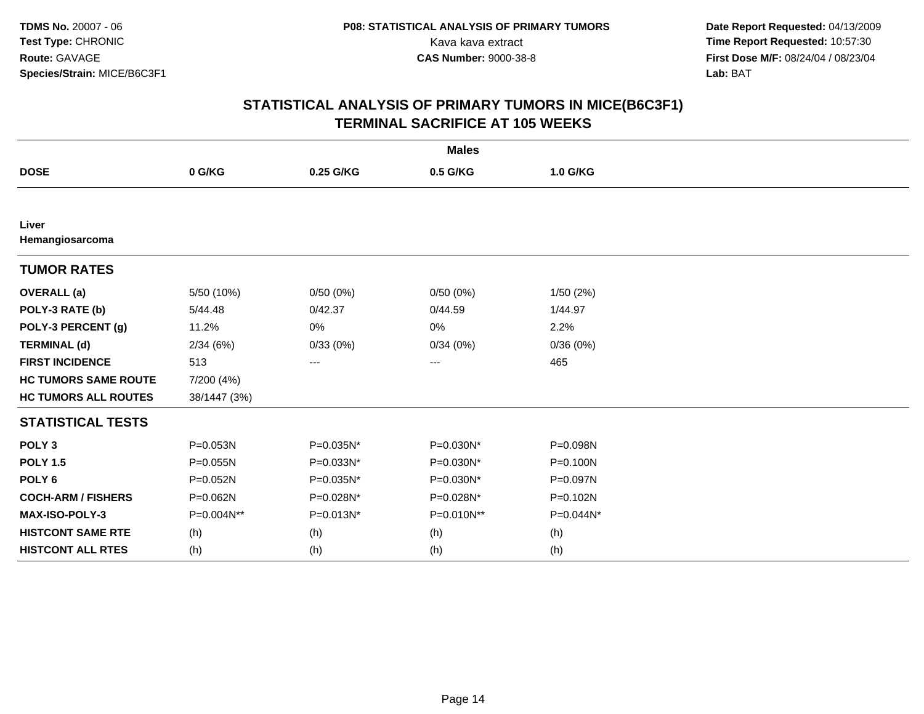| <b>Males</b>                |              |           |            |              |  |
|-----------------------------|--------------|-----------|------------|--------------|--|
| <b>DOSE</b>                 | 0 G/KG       | 0.25 G/KG | 0.5 G/KG   | 1.0 G/KG     |  |
|                             |              |           |            |              |  |
| Liver<br>Hemangiosarcoma    |              |           |            |              |  |
| <b>TUMOR RATES</b>          |              |           |            |              |  |
| <b>OVERALL</b> (a)          | 5/50 (10%)   | 0/50(0%)  | 0/50(0%)   | 1/50(2%)     |  |
| POLY-3 RATE (b)             | 5/44.48      | 0/42.37   | 0/44.59    | 1/44.97      |  |
| POLY-3 PERCENT (g)          | 11.2%        | 0%        | 0%         | 2.2%         |  |
| <b>TERMINAL (d)</b>         | 2/34(6%)     | 0/33(0%)  | 0/34(0%)   | 0/36(0%)     |  |
| <b>FIRST INCIDENCE</b>      | 513          | ---       | ---        | 465          |  |
| <b>HC TUMORS SAME ROUTE</b> | 7/200 (4%)   |           |            |              |  |
| <b>HC TUMORS ALL ROUTES</b> | 38/1447 (3%) |           |            |              |  |
| <b>STATISTICAL TESTS</b>    |              |           |            |              |  |
| POLY <sub>3</sub>           | P=0.053N     | P=0.035N* | P=0.030N*  | P=0.098N     |  |
| <b>POLY 1.5</b>             | $P = 0.055N$ | P=0.033N* | P=0.030N*  | P=0.100N     |  |
| POLY <sub>6</sub>           | P=0.052N     | P=0.035N* | P=0.030N*  | P=0.097N     |  |
| <b>COCH-ARM / FISHERS</b>   | P=0.062N     | P=0.028N* | P=0.028N*  | $P = 0.102N$ |  |
| MAX-ISO-POLY-3              | P=0.004N**   | P=0.013N* | P=0.010N** | P=0.044N*    |  |
| <b>HISTCONT SAME RTE</b>    | (h)          | (h)       | (h)        | (h)          |  |
| <b>HISTCONT ALL RTES</b>    | (h)          | (h)       | (h)        | (h)          |  |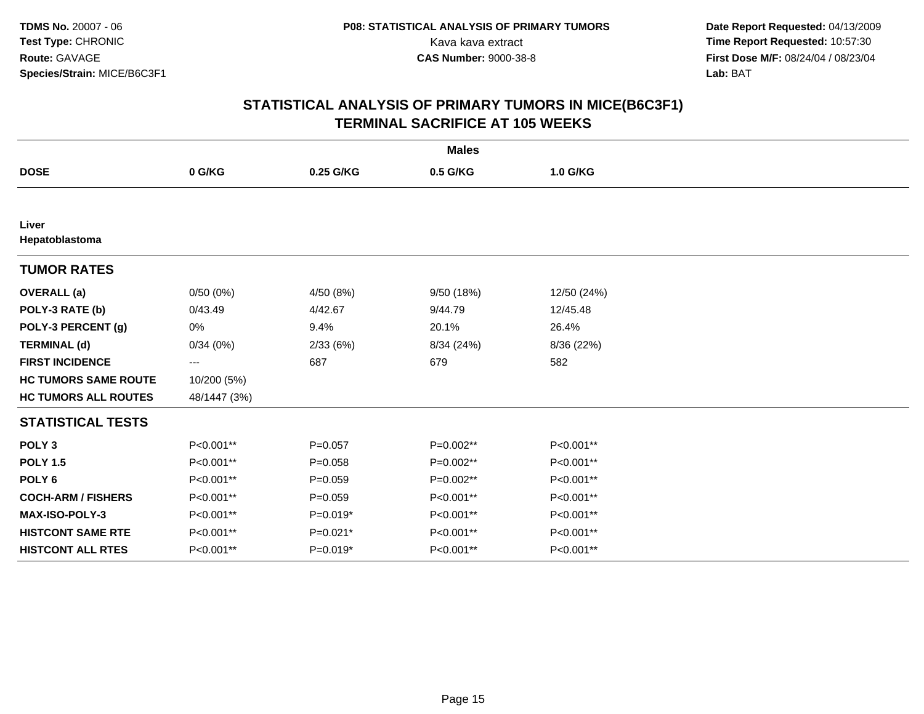| <b>Males</b>                |              |             |            |             |  |
|-----------------------------|--------------|-------------|------------|-------------|--|
| <b>DOSE</b>                 | 0 G/KG       | 0.25 G/KG   | 0.5 G/KG   | 1.0 G/KG    |  |
|                             |              |             |            |             |  |
| Liver<br>Hepatoblastoma     |              |             |            |             |  |
| <b>TUMOR RATES</b>          |              |             |            |             |  |
| <b>OVERALL</b> (a)          | 0/50(0%)     | 4/50 (8%)   | 9/50 (18%) | 12/50 (24%) |  |
| POLY-3 RATE (b)             | 0/43.49      | 4/42.67     | 9/44.79    | 12/45.48    |  |
| POLY-3 PERCENT (g)          | 0%           | 9.4%        | 20.1%      | 26.4%       |  |
| <b>TERMINAL (d)</b>         | 0/34(0%)     | 2/33(6%)    | 8/34 (24%) | 8/36 (22%)  |  |
| <b>FIRST INCIDENCE</b>      | ---          | 687         | 679        | 582         |  |
| <b>HC TUMORS SAME ROUTE</b> | 10/200 (5%)  |             |            |             |  |
| <b>HC TUMORS ALL ROUTES</b> | 48/1447 (3%) |             |            |             |  |
| <b>STATISTICAL TESTS</b>    |              |             |            |             |  |
| POLY <sub>3</sub>           | P<0.001**    | $P = 0.057$ | P=0.002**  | P<0.001**   |  |
| <b>POLY 1.5</b>             | P<0.001**    | $P = 0.058$ | P=0.002**  | P<0.001**   |  |
| POLY <sub>6</sub>           | P<0.001**    | $P = 0.059$ | P=0.002**  | P<0.001**   |  |
| <b>COCH-ARM / FISHERS</b>   | P<0.001**    | $P = 0.059$ | P<0.001**  | P<0.001**   |  |
| MAX-ISO-POLY-3              | P<0.001**    | $P=0.019*$  | P<0.001**  | P<0.001**   |  |
| <b>HISTCONT SAME RTE</b>    | P<0.001**    | $P=0.021*$  | P<0.001**  | P<0.001**   |  |
| <b>HISTCONT ALL RTES</b>    | P<0.001**    | $P=0.019*$  | P<0.001**  | P<0.001**   |  |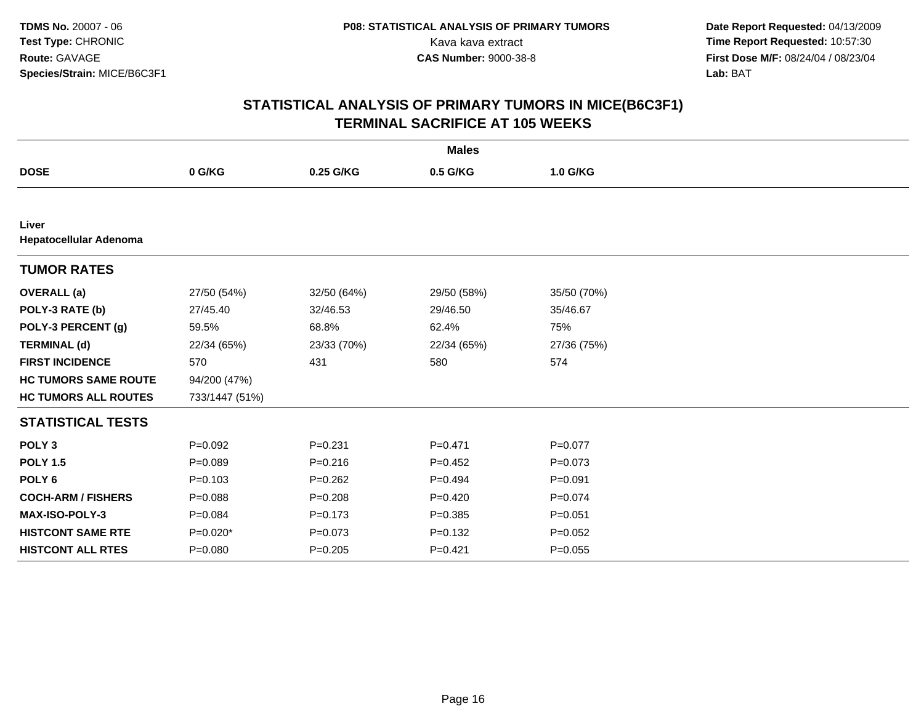| <b>Males</b>                    |                |             |             |             |  |
|---------------------------------|----------------|-------------|-------------|-------------|--|
| <b>DOSE</b>                     | 0 G/KG         | 0.25 G/KG   | 0.5 G/KG    | 1.0 G/KG    |  |
|                                 |                |             |             |             |  |
| Liver<br>Hepatocellular Adenoma |                |             |             |             |  |
| <b>TUMOR RATES</b>              |                |             |             |             |  |
| <b>OVERALL</b> (a)              | 27/50 (54%)    | 32/50 (64%) | 29/50 (58%) | 35/50 (70%) |  |
| POLY-3 RATE (b)                 | 27/45.40       | 32/46.53    | 29/46.50    | 35/46.67    |  |
| POLY-3 PERCENT (g)              | 59.5%          | 68.8%       | 62.4%       | 75%         |  |
| <b>TERMINAL (d)</b>             | 22/34 (65%)    | 23/33 (70%) | 22/34 (65%) | 27/36 (75%) |  |
| <b>FIRST INCIDENCE</b>          | 570            | 431         | 580         | 574         |  |
| <b>HC TUMORS SAME ROUTE</b>     | 94/200 (47%)   |             |             |             |  |
| <b>HC TUMORS ALL ROUTES</b>     | 733/1447 (51%) |             |             |             |  |
| <b>STATISTICAL TESTS</b>        |                |             |             |             |  |
| POLY <sub>3</sub>               | $P=0.092$      | $P = 0.231$ | $P = 0.471$ | $P=0.077$   |  |
| <b>POLY 1.5</b>                 | $P = 0.089$    | $P = 0.216$ | $P=0.452$   | $P = 0.073$ |  |
| POLY <sub>6</sub>               | $P = 0.103$    | $P=0.262$   | $P=0.494$   | $P = 0.091$ |  |
| <b>COCH-ARM / FISHERS</b>       | $P = 0.088$    | $P = 0.208$ | $P=0.420$   | $P=0.074$   |  |
| MAX-ISO-POLY-3                  | $P = 0.084$    | $P = 0.173$ | $P = 0.385$ | $P = 0.051$ |  |
| <b>HISTCONT SAME RTE</b>        | $P=0.020*$     | $P = 0.073$ | $P=0.132$   | $P=0.052$   |  |
| <b>HISTCONT ALL RTES</b>        | $P = 0.080$    | $P = 0.205$ | $P = 0.421$ | $P = 0.055$ |  |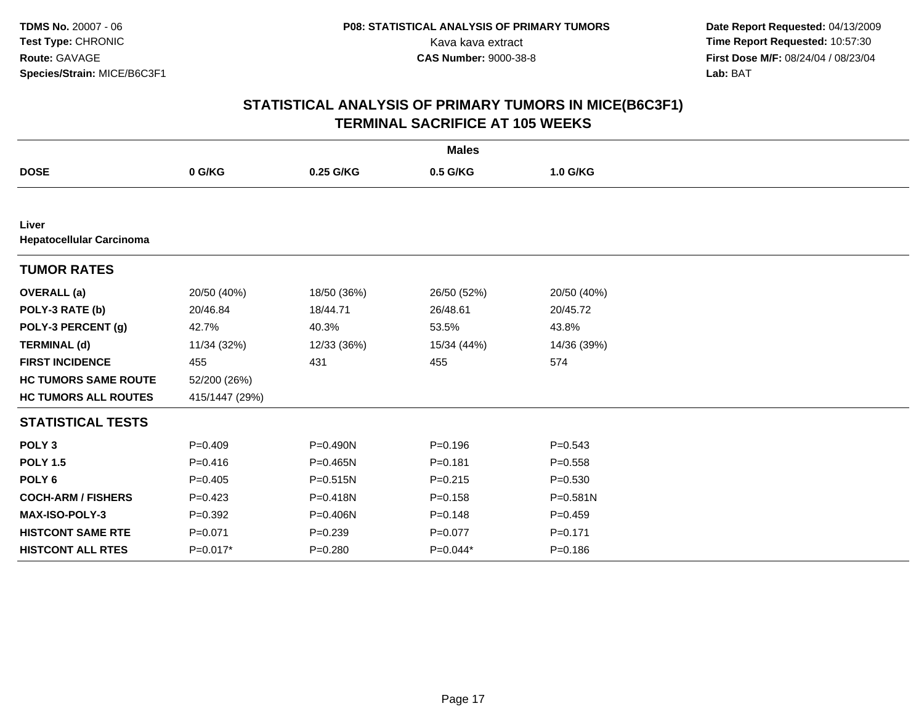| <b>Males</b>                             |                |              |             |              |  |  |
|------------------------------------------|----------------|--------------|-------------|--------------|--|--|
| <b>DOSE</b>                              | 0 G/KG         | 0.25 G/KG    | 0.5 G/KG    | 1.0 G/KG     |  |  |
|                                          |                |              |             |              |  |  |
| Liver<br><b>Hepatocellular Carcinoma</b> |                |              |             |              |  |  |
| <b>TUMOR RATES</b>                       |                |              |             |              |  |  |
| <b>OVERALL</b> (a)                       | 20/50 (40%)    | 18/50 (36%)  | 26/50 (52%) | 20/50 (40%)  |  |  |
| POLY-3 RATE (b)                          | 20/46.84       | 18/44.71     | 26/48.61    | 20/45.72     |  |  |
| POLY-3 PERCENT (g)                       | 42.7%          | 40.3%        | 53.5%       | 43.8%        |  |  |
| <b>TERMINAL (d)</b>                      | 11/34 (32%)    | 12/33 (36%)  | 15/34 (44%) | 14/36 (39%)  |  |  |
| <b>FIRST INCIDENCE</b>                   | 455            | 431          | 455         | 574          |  |  |
| <b>HC TUMORS SAME ROUTE</b>              | 52/200 (26%)   |              |             |              |  |  |
| <b>HC TUMORS ALL ROUTES</b>              | 415/1447 (29%) |              |             |              |  |  |
| <b>STATISTICAL TESTS</b>                 |                |              |             |              |  |  |
| POLY <sub>3</sub>                        | $P=0.409$      | $P = 0.490N$ | $P = 0.196$ | $P=0.543$    |  |  |
| <b>POLY 1.5</b>                          | $P = 0.416$    | P=0.465N     | $P = 0.181$ | $P = 0.558$  |  |  |
| POLY <sub>6</sub>                        | $P=0.405$      | $P = 0.515N$ | $P=0.215$   | $P = 0.530$  |  |  |
| <b>COCH-ARM / FISHERS</b>                | $P=0.423$      | P=0.418N     | $P = 0.158$ | $P = 0.581N$ |  |  |
| <b>MAX-ISO-POLY-3</b>                    | $P=0.392$      | P=0.406N     | $P = 0.148$ | $P=0.459$    |  |  |
| <b>HISTCONT SAME RTE</b>                 | $P = 0.071$    | $P = 0.239$  | $P = 0.077$ | $P = 0.171$  |  |  |
| <b>HISTCONT ALL RTES</b>                 | P=0.017*       | $P = 0.280$  | $P=0.044*$  | $P = 0.186$  |  |  |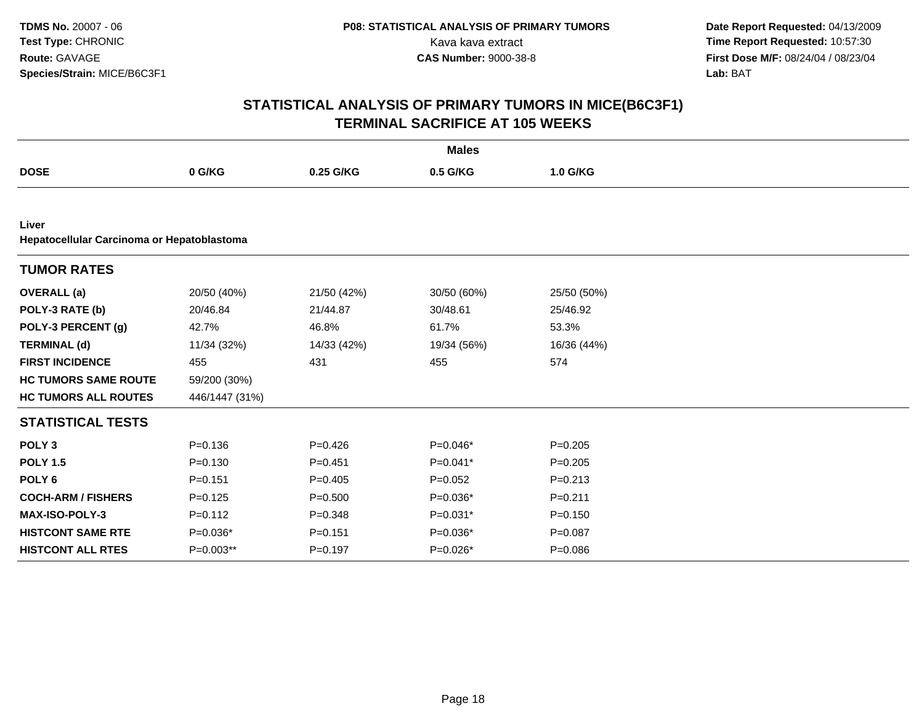|                                                     |                |             | <b>Males</b> |             |
|-----------------------------------------------------|----------------|-------------|--------------|-------------|
| <b>DOSE</b>                                         | 0 G/KG         | 0.25 G/KG   | 0.5 G/KG     | 1.0 G/KG    |
|                                                     |                |             |              |             |
| Liver<br>Hepatocellular Carcinoma or Hepatoblastoma |                |             |              |             |
| <b>TUMOR RATES</b>                                  |                |             |              |             |
| <b>OVERALL</b> (a)                                  | 20/50 (40%)    | 21/50 (42%) | 30/50 (60%)  | 25/50 (50%) |
| POLY-3 RATE (b)                                     | 20/46.84       | 21/44.87    | 30/48.61     | 25/46.92    |
| POLY-3 PERCENT (g)                                  | 42.7%          | 46.8%       | 61.7%        | 53.3%       |
| <b>TERMINAL (d)</b>                                 | 11/34 (32%)    | 14/33 (42%) | 19/34 (56%)  | 16/36 (44%) |
| <b>FIRST INCIDENCE</b>                              | 455            | 431         | 455          | 574         |
| <b>HC TUMORS SAME ROUTE</b>                         | 59/200 (30%)   |             |              |             |
| <b>HC TUMORS ALL ROUTES</b>                         | 446/1447 (31%) |             |              |             |
| <b>STATISTICAL TESTS</b>                            |                |             |              |             |
| POLY <sub>3</sub>                                   | $P = 0.136$    | $P=0.426$   | $P=0.046*$   | $P = 0.205$ |
| <b>POLY 1.5</b>                                     | $P = 0.130$    | $P = 0.451$ | $P=0.041*$   | $P=0.205$   |
| POLY <sub>6</sub>                                   | $P = 0.151$    | $P=0.405$   | $P=0.052$    | $P = 0.213$ |
| <b>COCH-ARM / FISHERS</b>                           | $P = 0.125$    | $P = 0.500$ | $P=0.036*$   | $P = 0.211$ |
| <b>MAX-ISO-POLY-3</b>                               | $P=0.112$      | $P = 0.348$ | $P=0.031*$   | $P = 0.150$ |
| <b>HISTCONT SAME RTE</b>                            | $P=0.036*$     | $P = 0.151$ | $P=0.036*$   | $P = 0.087$ |
| <b>HISTCONT ALL RTES</b>                            | P=0.003**      | $P = 0.197$ | P=0.026*     | $P = 0.086$ |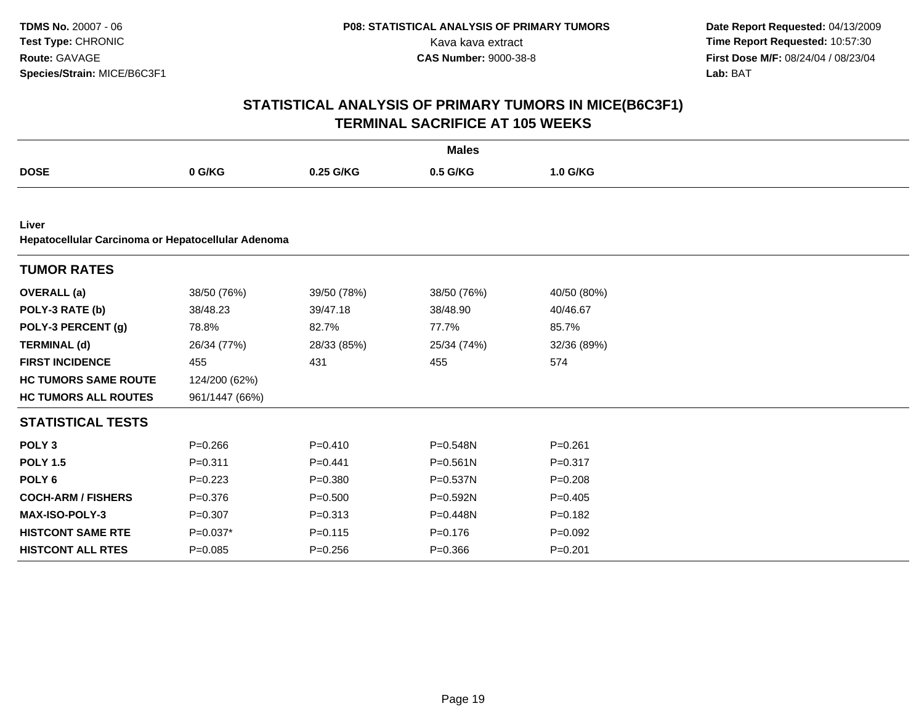|                             |                                                    |             | <b>Males</b> |             |  |  |  |  |  |
|-----------------------------|----------------------------------------------------|-------------|--------------|-------------|--|--|--|--|--|
| <b>DOSE</b>                 | 0 G/KG                                             | 0.25 G/KG   | 0.5 G/KG     | 1.0 G/KG    |  |  |  |  |  |
|                             |                                                    |             |              |             |  |  |  |  |  |
| Liver                       | Hepatocellular Carcinoma or Hepatocellular Adenoma |             |              |             |  |  |  |  |  |
| <b>TUMOR RATES</b>          |                                                    |             |              |             |  |  |  |  |  |
| <b>OVERALL</b> (a)          | 38/50 (76%)                                        | 39/50 (78%) | 38/50 (76%)  | 40/50 (80%) |  |  |  |  |  |
| POLY-3 RATE (b)             | 38/48.23                                           | 39/47.18    | 38/48.90     | 40/46.67    |  |  |  |  |  |
| POLY-3 PERCENT (g)          | 78.8%                                              | 82.7%       | 77.7%        | 85.7%       |  |  |  |  |  |
| <b>TERMINAL (d)</b>         | 26/34 (77%)                                        | 28/33 (85%) | 25/34 (74%)  | 32/36 (89%) |  |  |  |  |  |
| <b>FIRST INCIDENCE</b>      | 455                                                | 431         | 455          | 574         |  |  |  |  |  |
| <b>HC TUMORS SAME ROUTE</b> | 124/200 (62%)                                      |             |              |             |  |  |  |  |  |
| <b>HC TUMORS ALL ROUTES</b> | 961/1447 (66%)                                     |             |              |             |  |  |  |  |  |
| <b>STATISTICAL TESTS</b>    |                                                    |             |              |             |  |  |  |  |  |
| POLY <sub>3</sub>           | $P = 0.266$                                        | $P = 0.410$ | P=0.548N     | $P = 0.261$ |  |  |  |  |  |
| <b>POLY 1.5</b>             | $P = 0.311$                                        | $P=0.441$   | $P = 0.561N$ | $P = 0.317$ |  |  |  |  |  |
| POLY <sub>6</sub>           | $P = 0.223$                                        | $P = 0.380$ | P=0.537N     | $P = 0.208$ |  |  |  |  |  |
| <b>COCH-ARM / FISHERS</b>   | $P = 0.376$                                        | $P = 0.500$ | $P = 0.592N$ | $P = 0.405$ |  |  |  |  |  |
| <b>MAX-ISO-POLY-3</b>       | $P = 0.307$                                        | $P = 0.313$ | $P = 0.448N$ | $P = 0.182$ |  |  |  |  |  |
| <b>HISTCONT SAME RTE</b>    | $P=0.037*$                                         | $P = 0.115$ | $P=0.176$    | $P=0.092$   |  |  |  |  |  |
| <b>HISTCONT ALL RTES</b>    | $P=0.085$                                          | $P = 0.256$ | $P = 0.366$  | $P = 0.201$ |  |  |  |  |  |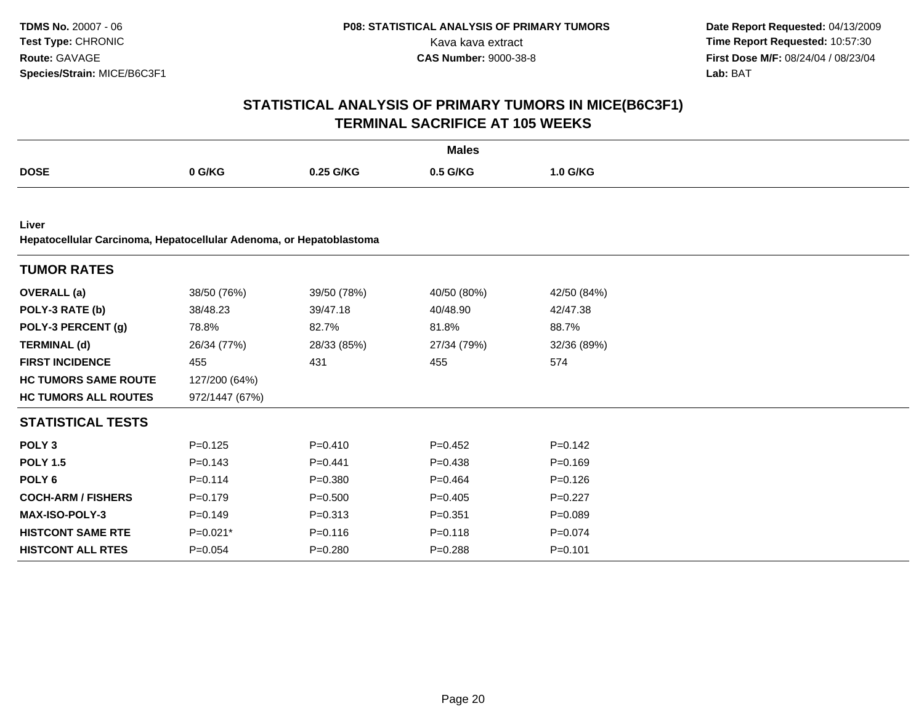| <b>Males</b>                |                                                                     |             |             |             |  |  |  |  |  |
|-----------------------------|---------------------------------------------------------------------|-------------|-------------|-------------|--|--|--|--|--|
| <b>DOSE</b>                 | 0 G/KG                                                              | 0.25 G/KG   | 0.5 G/KG    | 1.0 G/KG    |  |  |  |  |  |
|                             |                                                                     |             |             |             |  |  |  |  |  |
| Liver                       | Hepatocellular Carcinoma, Hepatocellular Adenoma, or Hepatoblastoma |             |             |             |  |  |  |  |  |
| <b>TUMOR RATES</b>          |                                                                     |             |             |             |  |  |  |  |  |
| <b>OVERALL</b> (a)          | 38/50 (76%)                                                         | 39/50 (78%) | 40/50 (80%) | 42/50 (84%) |  |  |  |  |  |
| POLY-3 RATE (b)             | 38/48.23                                                            | 39/47.18    | 40/48.90    | 42/47.38    |  |  |  |  |  |
| POLY-3 PERCENT (g)          | 78.8%                                                               | 82.7%       | 81.8%       | 88.7%       |  |  |  |  |  |
| <b>TERMINAL (d)</b>         | 26/34 (77%)                                                         | 28/33 (85%) | 27/34 (79%) | 32/36 (89%) |  |  |  |  |  |
| <b>FIRST INCIDENCE</b>      | 455                                                                 | 431         | 455         | 574         |  |  |  |  |  |
| <b>HC TUMORS SAME ROUTE</b> | 127/200 (64%)                                                       |             |             |             |  |  |  |  |  |
| <b>HC TUMORS ALL ROUTES</b> | 972/1447 (67%)                                                      |             |             |             |  |  |  |  |  |
| <b>STATISTICAL TESTS</b>    |                                                                     |             |             |             |  |  |  |  |  |
| POLY <sub>3</sub>           | $P=0.125$                                                           | $P=0.410$   | $P=0.452$   | $P=0.142$   |  |  |  |  |  |
| <b>POLY 1.5</b>             | $P = 0.143$                                                         | $P=0.441$   | $P=0.438$   | $P=0.169$   |  |  |  |  |  |
| POLY <sub>6</sub>           | $P = 0.114$                                                         | $P = 0.380$ | $P=0.464$   | $P=0.126$   |  |  |  |  |  |
| <b>COCH-ARM / FISHERS</b>   | $P = 0.179$                                                         | $P = 0.500$ | $P=0.405$   | $P=0.227$   |  |  |  |  |  |
| MAX-ISO-POLY-3              | $P=0.149$                                                           | $P = 0.313$ | $P = 0.351$ | $P = 0.089$ |  |  |  |  |  |
| <b>HISTCONT SAME RTE</b>    | $P=0.021*$                                                          | $P = 0.116$ | $P = 0.118$ | $P = 0.074$ |  |  |  |  |  |
| <b>HISTCONT ALL RTES</b>    | $P = 0.054$                                                         | $P=0.280$   | $P = 0.288$ | $P = 0.101$ |  |  |  |  |  |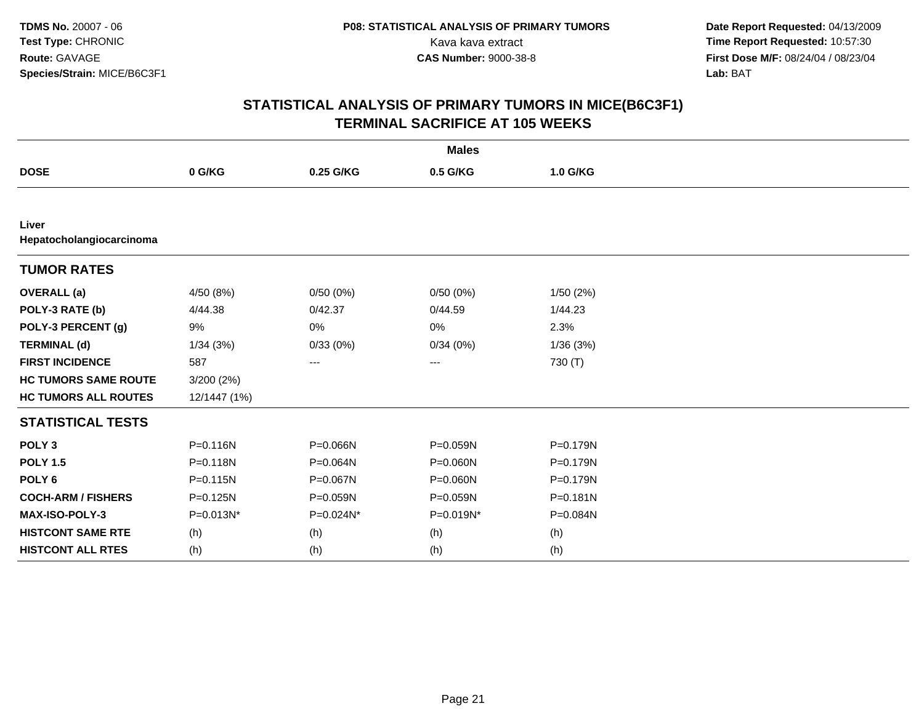|                                   |              |           | <b>Males</b> |          |  |
|-----------------------------------|--------------|-----------|--------------|----------|--|
| <b>DOSE</b>                       | 0 G/KG       | 0.25 G/KG | 0.5 G/KG     | 1.0 G/KG |  |
|                                   |              |           |              |          |  |
| Liver<br>Hepatocholangiocarcinoma |              |           |              |          |  |
| <b>TUMOR RATES</b>                |              |           |              |          |  |
| <b>OVERALL</b> (a)                | 4/50(8%)     | 0/50(0%)  | 0/50(0%)     | 1/50(2%) |  |
| POLY-3 RATE (b)                   | 4/44.38      | 0/42.37   | 0/44.59      | 1/44.23  |  |
| POLY-3 PERCENT (g)                | 9%           | 0%        | 0%           | 2.3%     |  |
| <b>TERMINAL (d)</b>               | 1/34(3%)     | 0/33(0%)  | 0/34(0%)     | 1/36(3%) |  |
| <b>FIRST INCIDENCE</b>            | 587          | ---       | ---          | 730 (T)  |  |
| <b>HC TUMORS SAME ROUTE</b>       | 3/200(2%)    |           |              |          |  |
| <b>HC TUMORS ALL ROUTES</b>       | 12/1447 (1%) |           |              |          |  |
| <b>STATISTICAL TESTS</b>          |              |           |              |          |  |
| POLY <sub>3</sub>                 | $P = 0.116N$ | P=0.066N  | P=0.059N     | P=0.179N |  |
| <b>POLY 1.5</b>                   | P=0.118N     | P=0.064N  | P=0.060N     | P=0.179N |  |
| POLY <sub>6</sub>                 | $P = 0.115N$ | P=0.067N  | P=0.060N     | P=0.179N |  |
| <b>COCH-ARM / FISHERS</b>         | P=0.125N     | P=0.059N  | P=0.059N     | P=0.181N |  |
| MAX-ISO-POLY-3                    | P=0.013N*    | P=0.024N* | P=0.019N*    | P=0.084N |  |
| <b>HISTCONT SAME RTE</b>          | (h)          | (h)       | (h)          | (h)      |  |
| <b>HISTCONT ALL RTES</b>          | (h)          | (h)       | (h)          | (h)      |  |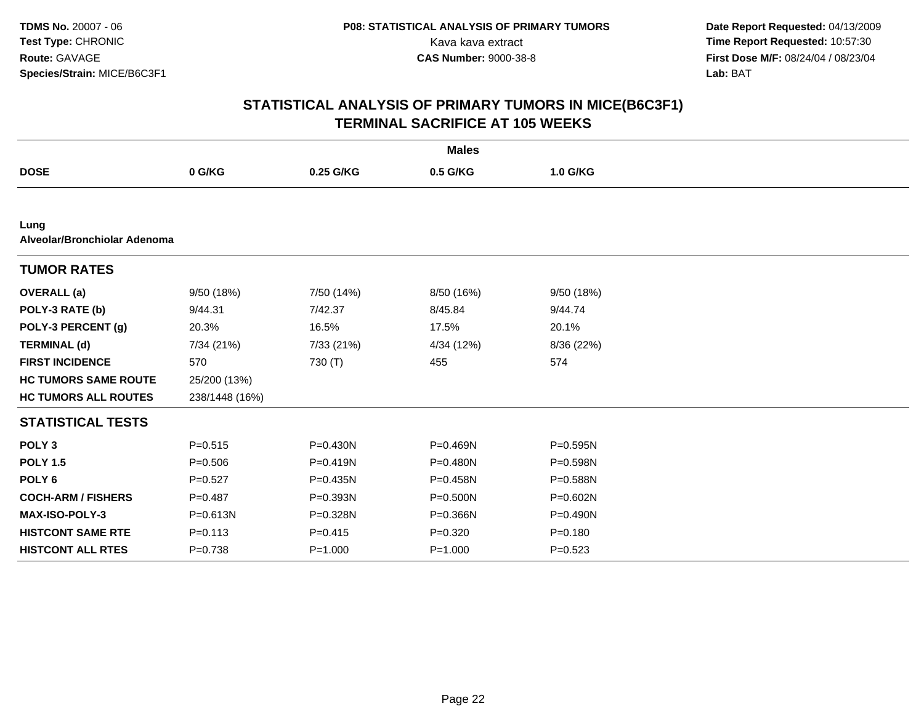| <b>Males</b>                         |                |              |              |              |  |  |
|--------------------------------------|----------------|--------------|--------------|--------------|--|--|
| <b>DOSE</b>                          | 0 G/KG         | 0.25 G/KG    | 0.5 G/KG     | 1.0 G/KG     |  |  |
|                                      |                |              |              |              |  |  |
| Lung<br>Alveolar/Bronchiolar Adenoma |                |              |              |              |  |  |
| <b>TUMOR RATES</b>                   |                |              |              |              |  |  |
| <b>OVERALL</b> (a)                   | 9/50(18%)      | 7/50 (14%)   | 8/50 (16%)   | 9/50 (18%)   |  |  |
| POLY-3 RATE (b)                      | 9/44.31        | 7/42.37      | 8/45.84      | 9/44.74      |  |  |
| POLY-3 PERCENT (g)                   | 20.3%          | 16.5%        | 17.5%        | 20.1%        |  |  |
| <b>TERMINAL (d)</b>                  | 7/34 (21%)     | 7/33 (21%)   | 4/34 (12%)   | 8/36 (22%)   |  |  |
| <b>FIRST INCIDENCE</b>               | 570            | 730 (T)      | 455          | 574          |  |  |
| <b>HC TUMORS SAME ROUTE</b>          | 25/200 (13%)   |              |              |              |  |  |
| <b>HC TUMORS ALL ROUTES</b>          | 238/1448 (16%) |              |              |              |  |  |
| <b>STATISTICAL TESTS</b>             |                |              |              |              |  |  |
| POLY <sub>3</sub>                    | $P = 0.515$    | $P = 0.430N$ | P=0.469N     | P=0.595N     |  |  |
| <b>POLY 1.5</b>                      | $P = 0.506$    | $P = 0.419N$ | P=0.480N     | P=0.598N     |  |  |
| POLY <sub>6</sub>                    | $P=0.527$      | $P = 0.435N$ | P=0.458N     | $P = 0.588N$ |  |  |
| <b>COCH-ARM / FISHERS</b>            | $P=0.487$      | P=0.393N     | $P = 0.500N$ | P=0.602N     |  |  |
| <b>MAX-ISO-POLY-3</b>                | P=0.613N       | P=0.328N     | P=0.366N     | $P = 0.490N$ |  |  |
| <b>HISTCONT SAME RTE</b>             | $P = 0.113$    | $P = 0.415$  | $P = 0.320$  | $P = 0.180$  |  |  |
| <b>HISTCONT ALL RTES</b>             | $P = 0.738$    | $P = 1.000$  | $P = 1.000$  | $P = 0.523$  |  |  |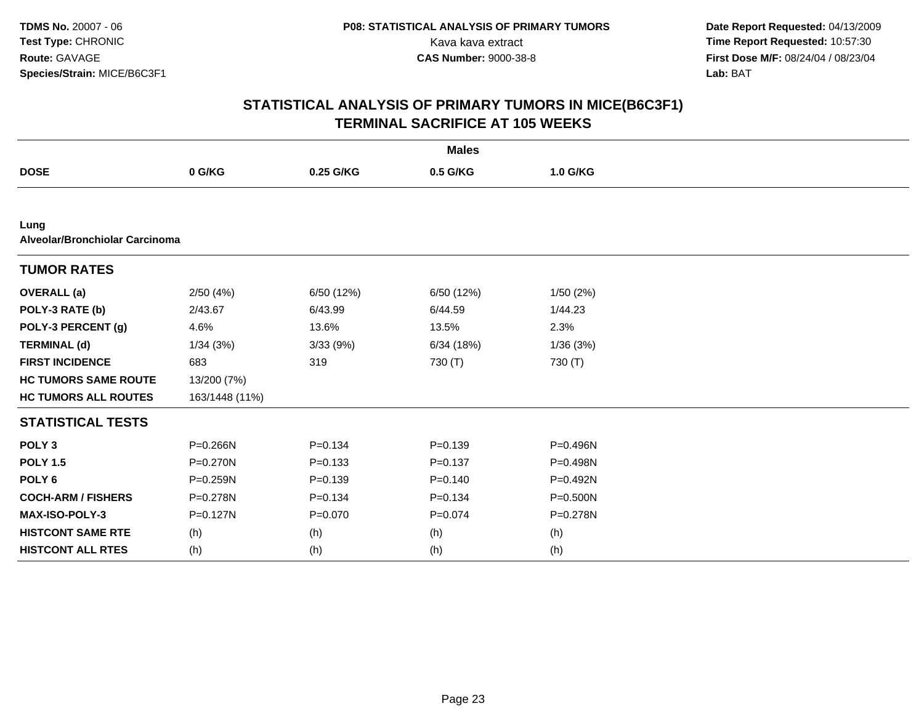| <b>Males</b>                           |                |             |             |          |  |  |  |  |  |
|----------------------------------------|----------------|-------------|-------------|----------|--|--|--|--|--|
| <b>DOSE</b>                            | 0 G/KG         | 0.25 G/KG   | 0.5 G/KG    | 1.0 G/KG |  |  |  |  |  |
|                                        |                |             |             |          |  |  |  |  |  |
| Lung<br>Alveolar/Bronchiolar Carcinoma |                |             |             |          |  |  |  |  |  |
| <b>TUMOR RATES</b>                     |                |             |             |          |  |  |  |  |  |
| <b>OVERALL</b> (a)                     | 2/50(4%)       | 6/50 (12%)  | 6/50 (12%)  | 1/50(2%) |  |  |  |  |  |
| POLY-3 RATE (b)                        | 2/43.67        | 6/43.99     | 6/44.59     | 1/44.23  |  |  |  |  |  |
| POLY-3 PERCENT (g)                     | 4.6%           | 13.6%       | 13.5%       | 2.3%     |  |  |  |  |  |
| <b>TERMINAL (d)</b>                    | 1/34(3%)       | 3/33(9%)    | 6/34(18%)   | 1/36(3%) |  |  |  |  |  |
| <b>FIRST INCIDENCE</b>                 | 683            | 319         | 730 (T)     | 730 (T)  |  |  |  |  |  |
| <b>HC TUMORS SAME ROUTE</b>            | 13/200 (7%)    |             |             |          |  |  |  |  |  |
| <b>HC TUMORS ALL ROUTES</b>            | 163/1448 (11%) |             |             |          |  |  |  |  |  |
| <b>STATISTICAL TESTS</b>               |                |             |             |          |  |  |  |  |  |
| POLY <sub>3</sub>                      | P=0.266N       | $P = 0.134$ | $P = 0.139$ | P=0.496N |  |  |  |  |  |
| <b>POLY 1.5</b>                        | P=0.270N       | $P = 0.133$ | $P = 0.137$ | P=0.498N |  |  |  |  |  |
| POLY <sub>6</sub>                      | P=0.259N       | $P = 0.139$ | $P=0.140$   | P=0.492N |  |  |  |  |  |
| <b>COCH-ARM / FISHERS</b>              | P=0.278N       | $P = 0.134$ | $P = 0.134$ | P=0.500N |  |  |  |  |  |
| <b>MAX-ISO-POLY-3</b>                  | P=0.127N       | $P=0.070$   | $P=0.074$   | P=0.278N |  |  |  |  |  |
| <b>HISTCONT SAME RTE</b>               | (h)            | (h)         | (h)         | (h)      |  |  |  |  |  |
| <b>HISTCONT ALL RTES</b>               | (h)            | (h)         | (h)         | (h)      |  |  |  |  |  |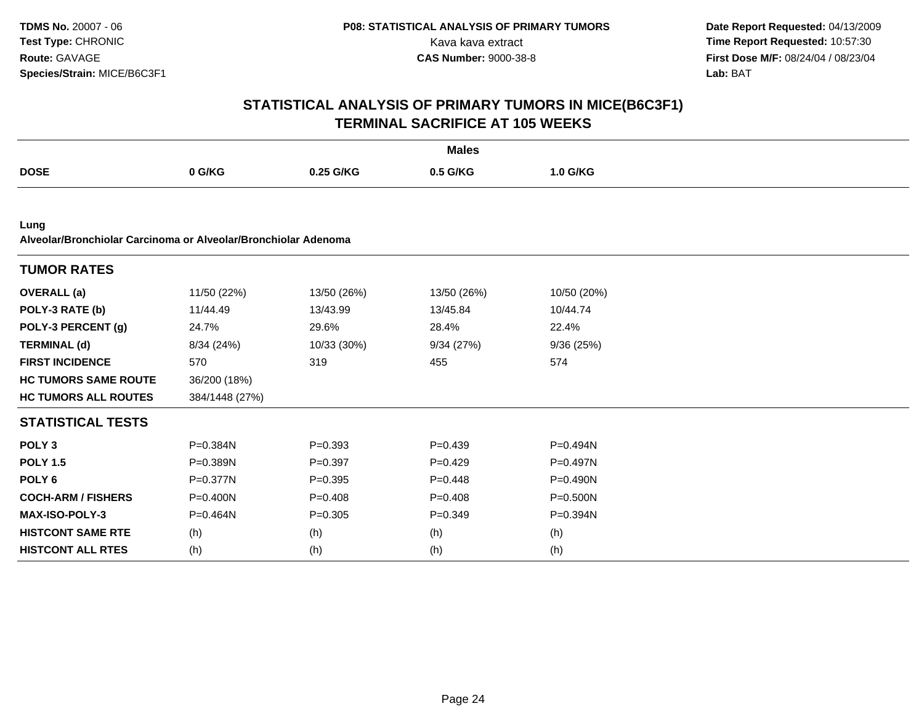|                                                                        |                |             | <b>Males</b> |              |  |
|------------------------------------------------------------------------|----------------|-------------|--------------|--------------|--|
| <b>DOSE</b>                                                            | 0 G/KG         | 0.25 G/KG   | 0.5 G/KG     | 1.0 G/KG     |  |
|                                                                        |                |             |              |              |  |
| Lung<br>Alveolar/Bronchiolar Carcinoma or Alveolar/Bronchiolar Adenoma |                |             |              |              |  |
| <b>TUMOR RATES</b>                                                     |                |             |              |              |  |
| <b>OVERALL</b> (a)                                                     | 11/50 (22%)    | 13/50 (26%) | 13/50 (26%)  | 10/50 (20%)  |  |
| POLY-3 RATE (b)                                                        | 11/44.49       | 13/43.99    | 13/45.84     | 10/44.74     |  |
| POLY-3 PERCENT (g)                                                     | 24.7%          | 29.6%       | 28.4%        | 22.4%        |  |
| <b>TERMINAL (d)</b>                                                    | 8/34 (24%)     | 10/33 (30%) | 9/34(27%)    | 9/36(25%)    |  |
| <b>FIRST INCIDENCE</b>                                                 | 570            | 319         | 455          | 574          |  |
| <b>HC TUMORS SAME ROUTE</b>                                            | 36/200 (18%)   |             |              |              |  |
| <b>HC TUMORS ALL ROUTES</b>                                            | 384/1448 (27%) |             |              |              |  |
| <b>STATISTICAL TESTS</b>                                               |                |             |              |              |  |
| POLY <sub>3</sub>                                                      | P=0.384N       | $P = 0.393$ | $P=0.439$    | P=0.494N     |  |
| <b>POLY 1.5</b>                                                        | P=0.389N       | $P=0.397$   | $P=0.429$    | P=0.497N     |  |
| POLY <sub>6</sub>                                                      | P=0.377N       | $P = 0.395$ | $P=0.448$    | P=0.490N     |  |
| <b>COCH-ARM / FISHERS</b>                                              | $P = 0.400N$   | $P = 0.408$ | $P=0.408$    | $P = 0.500N$ |  |
| <b>MAX-ISO-POLY-3</b>                                                  | $P = 0.464N$   | $P = 0.305$ | $P=0.349$    | P=0.394N     |  |
| <b>HISTCONT SAME RTE</b>                                               | (h)            | (h)         | (h)          | (h)          |  |
| <b>HISTCONT ALL RTES</b>                                               | (h)            | (h)         | (h)          | (h)          |  |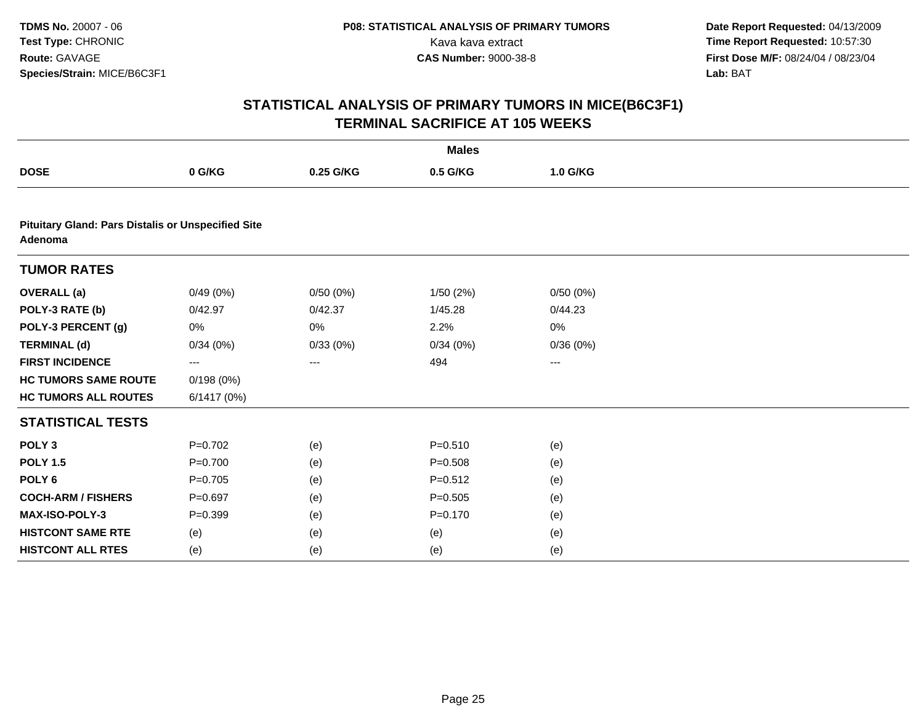|                             |                                                           |           | <b>Males</b> |          |  |  |  |  |  |
|-----------------------------|-----------------------------------------------------------|-----------|--------------|----------|--|--|--|--|--|
| <b>DOSE</b>                 | 0 G/KG                                                    | 0.25 G/KG | 0.5 G/KG     | 1.0 G/KG |  |  |  |  |  |
|                             |                                                           |           |              |          |  |  |  |  |  |
| Adenoma                     | <b>Pituitary Gland: Pars Distalis or Unspecified Site</b> |           |              |          |  |  |  |  |  |
| <b>TUMOR RATES</b>          |                                                           |           |              |          |  |  |  |  |  |
| <b>OVERALL</b> (a)          | 0/49(0%)                                                  | 0/50(0%)  | 1/50(2%)     | 0/50(0%) |  |  |  |  |  |
| POLY-3 RATE (b)             | 0/42.97                                                   | 0/42.37   | 1/45.28      | 0/44.23  |  |  |  |  |  |
| POLY-3 PERCENT (g)          | 0%                                                        | 0%        | 2.2%         | 0%       |  |  |  |  |  |
| <b>TERMINAL (d)</b>         | 0/34(0%)                                                  | 0/33(0%)  | 0/34(0%)     | 0/36(0%) |  |  |  |  |  |
| <b>FIRST INCIDENCE</b>      | ---                                                       | ---       | 494          | ---      |  |  |  |  |  |
| <b>HC TUMORS SAME ROUTE</b> | 0/198(0%)                                                 |           |              |          |  |  |  |  |  |
| <b>HC TUMORS ALL ROUTES</b> | 6/1417(0%)                                                |           |              |          |  |  |  |  |  |
| <b>STATISTICAL TESTS</b>    |                                                           |           |              |          |  |  |  |  |  |
| POLY <sub>3</sub>           | $P=0.702$                                                 | (e)       | $P = 0.510$  | (e)      |  |  |  |  |  |
| <b>POLY 1.5</b>             | $P=0.700$                                                 | (e)       | $P = 0.508$  | (e)      |  |  |  |  |  |
| POLY <sub>6</sub>           | $P = 0.705$                                               | (e)       | $P = 0.512$  | (e)      |  |  |  |  |  |
| <b>COCH-ARM / FISHERS</b>   | $P = 0.697$                                               | (e)       | $P = 0.505$  | (e)      |  |  |  |  |  |
| MAX-ISO-POLY-3              | $P=0.399$                                                 | (e)       | $P = 0.170$  | (e)      |  |  |  |  |  |
| <b>HISTCONT SAME RTE</b>    | (e)                                                       | (e)       | (e)          | (e)      |  |  |  |  |  |
| <b>HISTCONT ALL RTES</b>    | (e)                                                       | (e)       | (e)          | (e)      |  |  |  |  |  |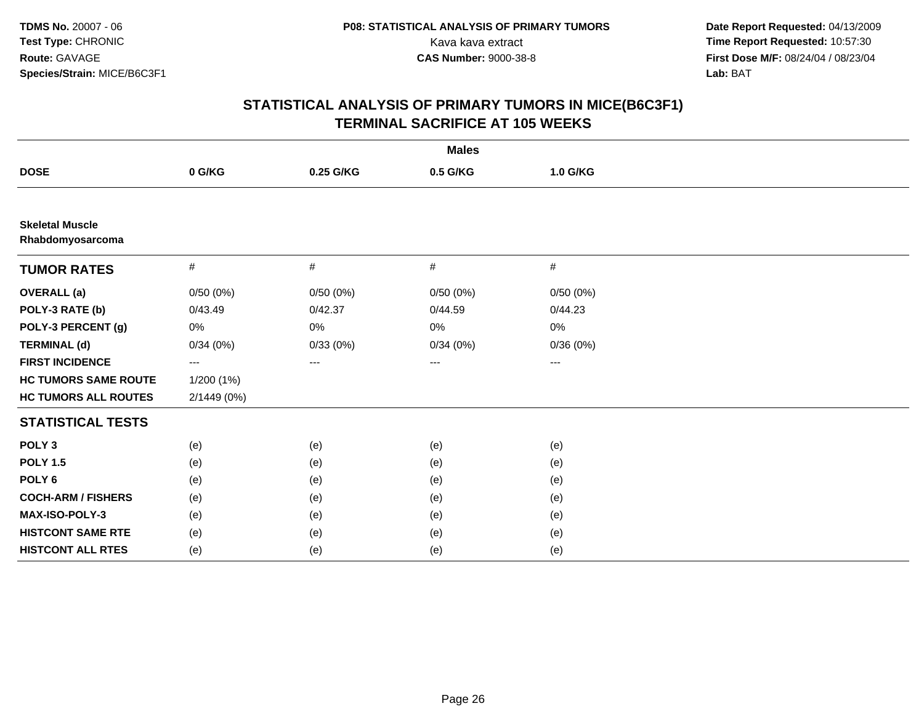| <b>Males</b>                               |             |           |          |                     |  |  |
|--------------------------------------------|-------------|-----------|----------|---------------------|--|--|
| <b>DOSE</b>                                | 0 G/KG      | 0.25 G/KG | 0.5 G/KG | 1.0 G/KG            |  |  |
|                                            |             |           |          |                     |  |  |
| <b>Skeletal Muscle</b><br>Rhabdomyosarcoma |             |           |          |                     |  |  |
| <b>TUMOR RATES</b>                         | #           | #         | #        | $\#$                |  |  |
| <b>OVERALL (a)</b>                         | 0/50(0%)    | 0/50(0%)  | 0/50(0%) | 0/50(0%)            |  |  |
| POLY-3 RATE (b)                            | 0/43.49     | 0/42.37   | 0/44.59  | 0/44.23             |  |  |
| POLY-3 PERCENT (g)                         | 0%          | 0%        | 0%       | 0%                  |  |  |
| <b>TERMINAL (d)</b>                        | 0/34(0%)    | 0/33(0%)  | 0/34(0%) | 0/36(0%)            |  |  |
| <b>FIRST INCIDENCE</b>                     | ---         | $\cdots$  | ---      | $\qquad \qquad - -$ |  |  |
| <b>HC TUMORS SAME ROUTE</b>                | 1/200 (1%)  |           |          |                     |  |  |
| <b>HC TUMORS ALL ROUTES</b>                | 2/1449 (0%) |           |          |                     |  |  |
| <b>STATISTICAL TESTS</b>                   |             |           |          |                     |  |  |
| POLY <sub>3</sub>                          | (e)         | (e)       | (e)      | (e)                 |  |  |
| <b>POLY 1.5</b>                            | (e)         | (e)       | (e)      | (e)                 |  |  |
| POLY <sub>6</sub>                          | (e)         | (e)       | (e)      | (e)                 |  |  |
| <b>COCH-ARM / FISHERS</b>                  | (e)         | (e)       | (e)      | (e)                 |  |  |
| MAX-ISO-POLY-3                             | (e)         | (e)       | (e)      | (e)                 |  |  |
| <b>HISTCONT SAME RTE</b>                   | (e)         | (e)       | (e)      | (e)                 |  |  |
| <b>HISTCONT ALL RTES</b>                   | (e)         | (e)       | (e)      | (e)                 |  |  |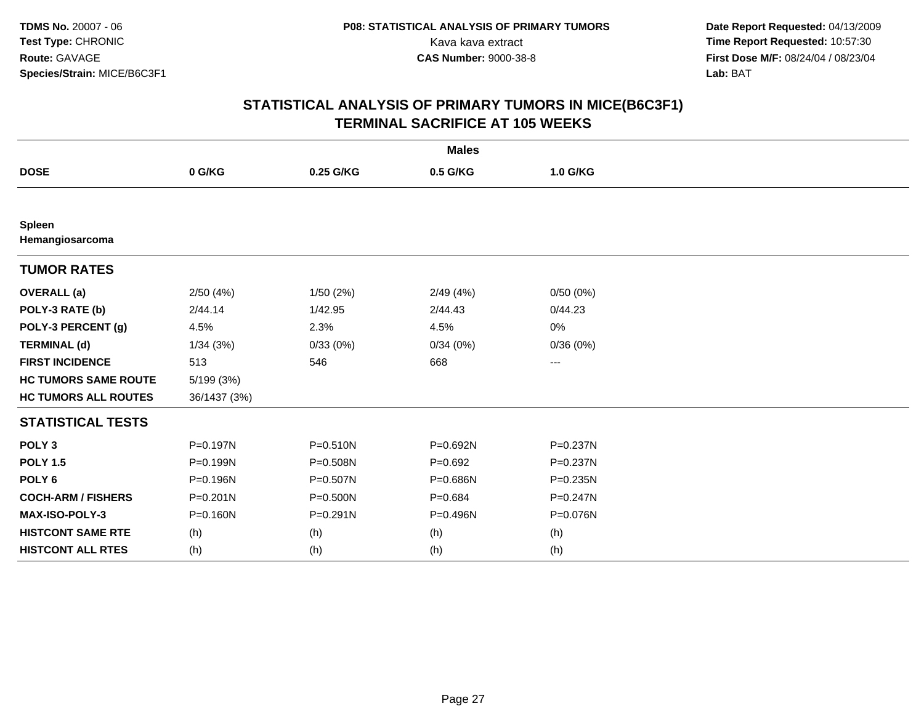| <b>Males</b>                     |              |              |             |              |  |  |
|----------------------------------|--------------|--------------|-------------|--------------|--|--|
| <b>DOSE</b>                      | 0 G/KG       | 0.25 G/KG    | 0.5 G/KG    | 1.0 G/KG     |  |  |
|                                  |              |              |             |              |  |  |
| <b>Spleen</b><br>Hemangiosarcoma |              |              |             |              |  |  |
| <b>TUMOR RATES</b>               |              |              |             |              |  |  |
| <b>OVERALL</b> (a)               | 2/50(4%)     | 1/50(2%)     | 2/49(4%)    | 0/50(0%)     |  |  |
| POLY-3 RATE (b)                  | 2/44.14      | 1/42.95      | 2/44.43     | 0/44.23      |  |  |
| POLY-3 PERCENT (g)               | 4.5%         | 2.3%         | 4.5%        | 0%           |  |  |
| <b>TERMINAL (d)</b>              | 1/34(3%)     | 0/33(0%)     | 0/34(0%)    | 0/36(0%)     |  |  |
| <b>FIRST INCIDENCE</b>           | 513          | 546          | 668         | ---          |  |  |
| <b>HC TUMORS SAME ROUTE</b>      | 5/199 (3%)   |              |             |              |  |  |
| <b>HC TUMORS ALL ROUTES</b>      | 36/1437 (3%) |              |             |              |  |  |
| <b>STATISTICAL TESTS</b>         |              |              |             |              |  |  |
| POLY <sub>3</sub>                | P=0.197N     | $P = 0.510N$ | P=0.692N    | $P = 0.237N$ |  |  |
| <b>POLY 1.5</b>                  | P=0.199N     | P=0.508N     | $P = 0.692$ | $P = 0.237N$ |  |  |
| POLY <sub>6</sub>                | P=0.196N     | P=0.507N     | P=0.686N    | P=0.235N     |  |  |
| <b>COCH-ARM / FISHERS</b>        | $P = 0.201N$ | P=0.500N     | $P = 0.684$ | $P = 0.247N$ |  |  |
| MAX-ISO-POLY-3                   | $P = 0.160N$ | $P = 0.291N$ | P=0.496N    | P=0.076N     |  |  |
| <b>HISTCONT SAME RTE</b>         | (h)          | (h)          | (h)         | (h)          |  |  |
| <b>HISTCONT ALL RTES</b>         | (h)          | (h)          | (h)         | (h)          |  |  |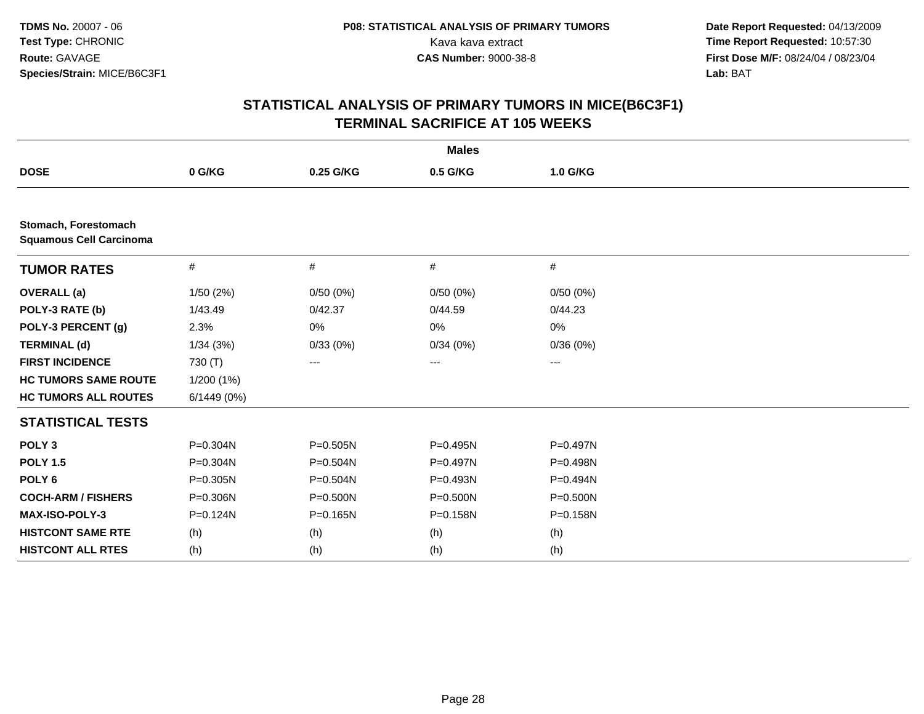| <b>Males</b>                                           |            |              |              |          |  |  |
|--------------------------------------------------------|------------|--------------|--------------|----------|--|--|
| <b>DOSE</b>                                            | 0 G/KG     | 0.25 G/KG    | 0.5 G/KG     | 1.0 G/KG |  |  |
|                                                        |            |              |              |          |  |  |
| Stomach, Forestomach<br><b>Squamous Cell Carcinoma</b> |            |              |              |          |  |  |
| <b>TUMOR RATES</b>                                     | $\#$       | #            | $\#$         | #        |  |  |
| <b>OVERALL</b> (a)                                     | 1/50(2%)   | 0/50(0%)     | 0/50(0%)     | 0/50(0%) |  |  |
| POLY-3 RATE (b)                                        | 1/43.49    | 0/42.37      | 0/44.59      | 0/44.23  |  |  |
| POLY-3 PERCENT (g)                                     | 2.3%       | 0%           | 0%           | 0%       |  |  |
| <b>TERMINAL (d)</b>                                    | 1/34(3%)   | 0/33(0%)     | 0/34(0%)     | 0/36(0%) |  |  |
| <b>FIRST INCIDENCE</b>                                 | 730 (T)    | ---          | $---$        | $---$    |  |  |
| <b>HC TUMORS SAME ROUTE</b>                            | 1/200(1%)  |              |              |          |  |  |
| <b>HC TUMORS ALL ROUTES</b>                            | 6/1449(0%) |              |              |          |  |  |
| <b>STATISTICAL TESTS</b>                               |            |              |              |          |  |  |
| POLY <sub>3</sub>                                      | P=0.304N   | $P = 0.505N$ | P=0.495N     | P=0.497N |  |  |
| <b>POLY 1.5</b>                                        | P=0.304N   | $P = 0.504N$ | P=0.497N     | P=0.498N |  |  |
| POLY <sub>6</sub>                                      | P=0.305N   | $P = 0.504N$ | P=0.493N     | P=0.494N |  |  |
| <b>COCH-ARM / FISHERS</b>                              | P=0.306N   | $P = 0.500N$ | $P = 0.500N$ | P=0.500N |  |  |
| MAX-ISO-POLY-3                                         | P=0.124N   | P=0.165N     | P=0.158N     | P=0.158N |  |  |
| <b>HISTCONT SAME RTE</b>                               | (h)        | (h)          | (h)          | (h)      |  |  |
| <b>HISTCONT ALL RTES</b>                               | (h)        | (h)          | (h)          | (h)      |  |  |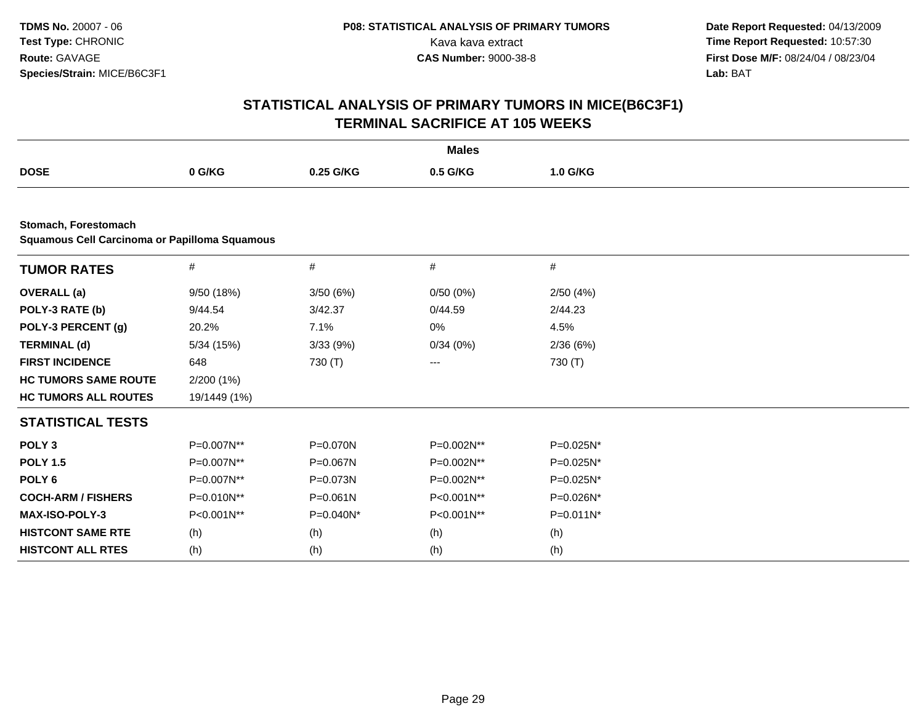| <b>Males</b>                                                                 |              |              |            |           |  |  |  |  |  |
|------------------------------------------------------------------------------|--------------|--------------|------------|-----------|--|--|--|--|--|
| <b>DOSE</b>                                                                  | 0 G/KG       | 0.25 G/KG    | 0.5 G/KG   | 1.0 G/KG  |  |  |  |  |  |
|                                                                              |              |              |            |           |  |  |  |  |  |
| Stomach, Forestomach<br><b>Squamous Cell Carcinoma or Papilloma Squamous</b> |              |              |            |           |  |  |  |  |  |
| <b>TUMOR RATES</b>                                                           | $\#$         | $\#$         | $\#$       | $\#$      |  |  |  |  |  |
| <b>OVERALL</b> (a)                                                           | 9/50 (18%)   | 3/50(6%)     | 0/50(0%)   | 2/50(4%)  |  |  |  |  |  |
| POLY-3 RATE (b)                                                              | 9/44.54      | 3/42.37      | 0/44.59    | 2/44.23   |  |  |  |  |  |
| POLY-3 PERCENT (g)                                                           | 20.2%        | 7.1%         | 0%         | 4.5%      |  |  |  |  |  |
| <b>TERMINAL (d)</b>                                                          | 5/34 (15%)   | 3/33(9%)     | 0/34(0%)   | 2/36(6%)  |  |  |  |  |  |
| <b>FIRST INCIDENCE</b>                                                       | 648          | 730 (T)      | ---        | 730 (T)   |  |  |  |  |  |
| <b>HC TUMORS SAME ROUTE</b>                                                  | 2/200 (1%)   |              |            |           |  |  |  |  |  |
| <b>HC TUMORS ALL ROUTES</b>                                                  | 19/1449 (1%) |              |            |           |  |  |  |  |  |
| <b>STATISTICAL TESTS</b>                                                     |              |              |            |           |  |  |  |  |  |
| POLY <sub>3</sub>                                                            | P=0.007N**   | P=0.070N     | P=0.002N** | P=0.025N* |  |  |  |  |  |
| <b>POLY 1.5</b>                                                              | P=0.007N**   | P=0.067N     | P=0.002N** | P=0.025N* |  |  |  |  |  |
| POLY <sub>6</sub>                                                            | P=0.007N**   | P=0.073N     | P=0.002N** | P=0.025N* |  |  |  |  |  |
| <b>COCH-ARM / FISHERS</b>                                                    | P=0.010N**   | $P = 0.061N$ | P<0.001N** | P=0.026N* |  |  |  |  |  |
| <b>MAX-ISO-POLY-3</b>                                                        | P<0.001N**   | P=0.040N*    | P<0.001N** | P=0.011N* |  |  |  |  |  |
| <b>HISTCONT SAME RTE</b>                                                     | (h)          | (h)          | (h)        | (h)       |  |  |  |  |  |
| <b>HISTCONT ALL RTES</b>                                                     | (h)          | (h)          | (h)        | (h)       |  |  |  |  |  |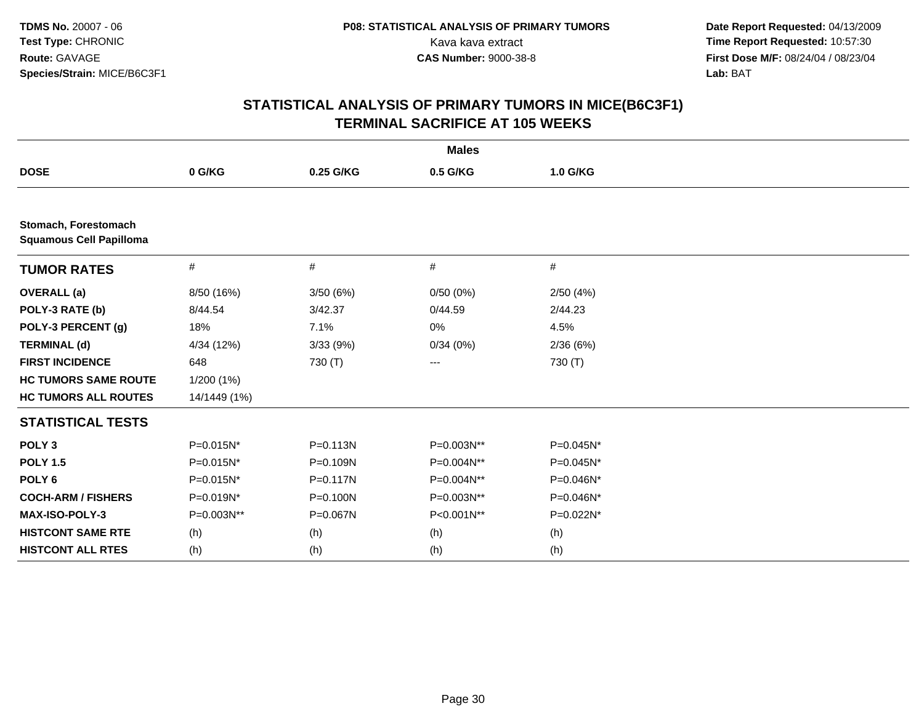| <b>Males</b>                                           |                |              |            |           |  |  |  |
|--------------------------------------------------------|----------------|--------------|------------|-----------|--|--|--|
| <b>DOSE</b>                                            | 0 G/KG         | 0.25 G/KG    | 0.5 G/KG   | 1.0 G/KG  |  |  |  |
|                                                        |                |              |            |           |  |  |  |
| Stomach, Forestomach<br><b>Squamous Cell Papilloma</b> |                |              |            |           |  |  |  |
| <b>TUMOR RATES</b>                                     | $\#$           | #            | #          | #         |  |  |  |
| <b>OVERALL</b> (a)                                     | 8/50 (16%)     | 3/50(6%)     | 0/50(0%)   | 2/50(4%)  |  |  |  |
| POLY-3 RATE (b)                                        | 8/44.54        | 3/42.37      | 0/44.59    | 2/44.23   |  |  |  |
| POLY-3 PERCENT (g)                                     | 18%            | 7.1%         | 0%         | 4.5%      |  |  |  |
| <b>TERMINAL (d)</b>                                    | 4/34 (12%)     | 3/33(9%)     | 0/34(0%)   | 2/36(6%)  |  |  |  |
| <b>FIRST INCIDENCE</b>                                 | 648            | 730 (T)      | ---        | 730 (T)   |  |  |  |
| <b>HC TUMORS SAME ROUTE</b>                            | 1/200(1%)      |              |            |           |  |  |  |
| <b>HC TUMORS ALL ROUTES</b>                            | 14/1449 (1%)   |              |            |           |  |  |  |
| <b>STATISTICAL TESTS</b>                               |                |              |            |           |  |  |  |
| POLY <sub>3</sub>                                      | $P = 0.015N^*$ | $P = 0.113N$ | P=0.003N** | P=0.045N* |  |  |  |
| <b>POLY 1.5</b>                                        | P=0.015N*      | P=0.109N     | P=0.004N** | P=0.045N* |  |  |  |
| POLY <sub>6</sub>                                      | P=0.015N*      | $P = 0.117N$ | P=0.004N** | P=0.046N* |  |  |  |
| <b>COCH-ARM / FISHERS</b>                              | P=0.019N*      | $P = 0.100N$ | P=0.003N** | P=0.046N* |  |  |  |
| MAX-ISO-POLY-3                                         | P=0.003N**     | P=0.067N     | P<0.001N** | P=0.022N* |  |  |  |
| <b>HISTCONT SAME RTE</b>                               | (h)            | (h)          | (h)        | (h)       |  |  |  |
| <b>HISTCONT ALL RTES</b>                               | (h)            | (h)          | (h)        | (h)       |  |  |  |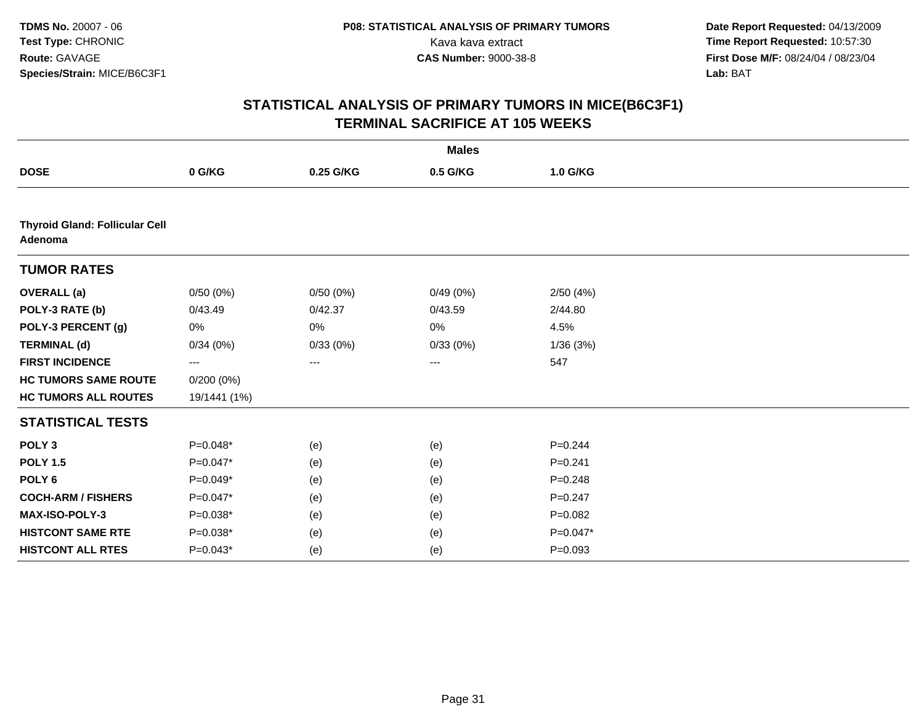|                                                  |              |           | <b>Males</b> |             |  |
|--------------------------------------------------|--------------|-----------|--------------|-------------|--|
| <b>DOSE</b>                                      | 0 G/KG       | 0.25 G/KG | 0.5 G/KG     | 1.0 G/KG    |  |
|                                                  |              |           |              |             |  |
| <b>Thyroid Gland: Follicular Cell</b><br>Adenoma |              |           |              |             |  |
| <b>TUMOR RATES</b>                               |              |           |              |             |  |
| <b>OVERALL</b> (a)                               | 0/50(0%)     | 0/50(0%)  | 0/49(0%)     | 2/50(4%)    |  |
| POLY-3 RATE (b)                                  | 0/43.49      | 0/42.37   | 0/43.59      | 2/44.80     |  |
| POLY-3 PERCENT (g)                               | 0%           | 0%        | 0%           | 4.5%        |  |
| <b>TERMINAL (d)</b>                              | 0/34(0%)     | 0/33(0%)  | 0/33(0%)     | 1/36(3%)    |  |
| <b>FIRST INCIDENCE</b>                           | ---          | ---       | ---          | 547         |  |
| <b>HC TUMORS SAME ROUTE</b>                      | $0/200(0\%)$ |           |              |             |  |
| <b>HC TUMORS ALL ROUTES</b>                      | 19/1441 (1%) |           |              |             |  |
| <b>STATISTICAL TESTS</b>                         |              |           |              |             |  |
| POLY <sub>3</sub>                                | $P=0.048*$   | (e)       | (e)          | $P = 0.244$ |  |
| <b>POLY 1.5</b>                                  | $P=0.047*$   | (e)       | (e)          | $P = 0.241$ |  |
| POLY <sub>6</sub>                                | P=0.049*     | (e)       | (e)          | $P = 0.248$ |  |
| <b>COCH-ARM / FISHERS</b>                        | $P=0.047*$   | (e)       | (e)          | $P = 0.247$ |  |
| MAX-ISO-POLY-3                                   | P=0.038*     | (e)       | (e)          | $P = 0.082$ |  |
| <b>HISTCONT SAME RTE</b>                         | $P=0.038*$   | (e)       | (e)          | $P=0.047*$  |  |
| <b>HISTCONT ALL RTES</b>                         | $P=0.043*$   | (e)       | (e)          | $P=0.093$   |  |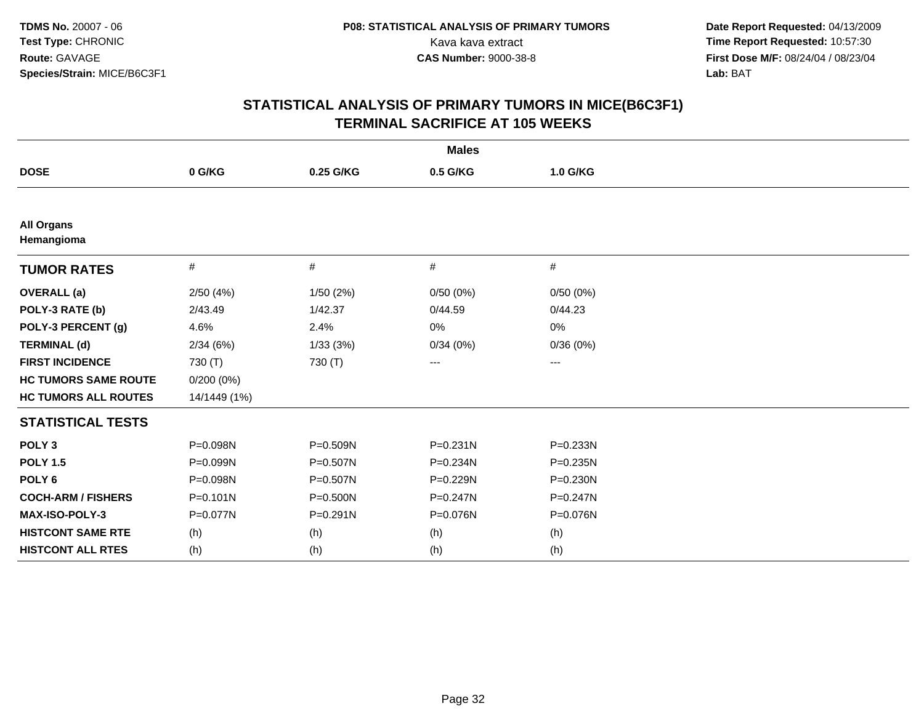| <b>Males</b>                    |              |              |              |              |  |  |  |
|---------------------------------|--------------|--------------|--------------|--------------|--|--|--|
| <b>DOSE</b>                     | 0 G/KG       | 0.25 G/KG    | 0.5 G/KG     | 1.0 G/KG     |  |  |  |
|                                 |              |              |              |              |  |  |  |
| <b>All Organs</b><br>Hemangioma |              |              |              |              |  |  |  |
| <b>TUMOR RATES</b>              | $\#$         | $\#$         | #            | #            |  |  |  |
| <b>OVERALL</b> (a)              | 2/50(4%)     | 1/50(2%)     | 0/50(0%)     | 0/50(0%)     |  |  |  |
| POLY-3 RATE (b)                 | 2/43.49      | 1/42.37      | 0/44.59      | 0/44.23      |  |  |  |
| POLY-3 PERCENT (g)              | 4.6%         | 2.4%         | 0%           | 0%           |  |  |  |
| <b>TERMINAL (d)</b>             | 2/34(6%)     | 1/33(3%)     | 0/34(0%)     | 0/36(0%)     |  |  |  |
| <b>FIRST INCIDENCE</b>          | 730 (T)      | 730 (T)      | ---          | $--$         |  |  |  |
| <b>HC TUMORS SAME ROUTE</b>     | $0/200(0\%)$ |              |              |              |  |  |  |
| <b>HC TUMORS ALL ROUTES</b>     | 14/1449 (1%) |              |              |              |  |  |  |
| <b>STATISTICAL TESTS</b>        |              |              |              |              |  |  |  |
| POLY <sub>3</sub>               | P=0.098N     | P=0.509N     | $P = 0.231N$ | $P = 0.233N$ |  |  |  |
| <b>POLY 1.5</b>                 | P=0.099N     | P=0.507N     | P=0.234N     | $P = 0.235N$ |  |  |  |
| POLY <sub>6</sub>               | P=0.098N     | P=0.507N     | P=0.229N     | $P = 0.230N$ |  |  |  |
| <b>COCH-ARM / FISHERS</b>       | $P = 0.101N$ | $P = 0.500N$ | P=0.247N     | $P = 0.247N$ |  |  |  |
| <b>MAX-ISO-POLY-3</b>           | P=0.077N     | $P = 0.291N$ | P=0.076N     | P=0.076N     |  |  |  |
| <b>HISTCONT SAME RTE</b>        | (h)          | (h)          | (h)          | (h)          |  |  |  |
| <b>HISTCONT ALL RTES</b>        | (h)          | (h)          | (h)          | (h)          |  |  |  |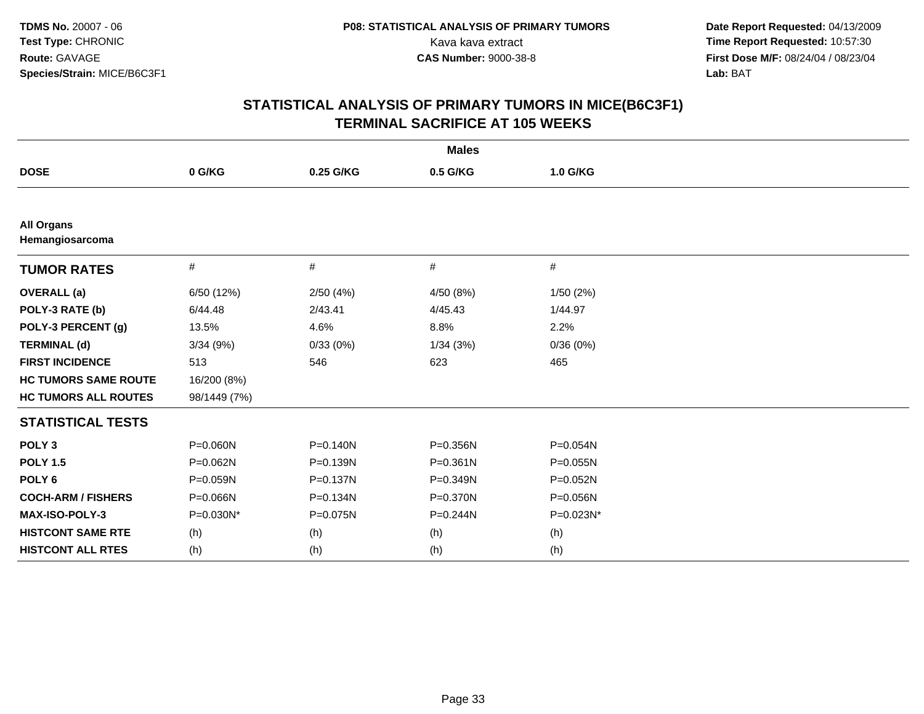|                                      |              |              | <b>Males</b> |           |
|--------------------------------------|--------------|--------------|--------------|-----------|
| <b>DOSE</b>                          | 0 G/KG       | 0.25 G/KG    | 0.5 G/KG     | 1.0 G/KG  |
|                                      |              |              |              |           |
| <b>All Organs</b><br>Hemangiosarcoma |              |              |              |           |
| <b>TUMOR RATES</b>                   | $\#$         | #            | #            | #         |
| <b>OVERALL</b> (a)                   | 6/50 (12%)   | 2/50(4%)     | 4/50 (8%)    | 1/50(2%)  |
| POLY-3 RATE (b)                      | 6/44.48      | 2/43.41      | 4/45.43      | 1/44.97   |
| POLY-3 PERCENT (g)                   | 13.5%        | 4.6%         | 8.8%         | 2.2%      |
| <b>TERMINAL (d)</b>                  | 3/34(9%)     | 0/33(0%)     | 1/34(3%)     | 0/36(0%)  |
| <b>FIRST INCIDENCE</b>               | 513          | 546          | 623          | 465       |
| <b>HC TUMORS SAME ROUTE</b>          | 16/200 (8%)  |              |              |           |
| <b>HC TUMORS ALL ROUTES</b>          | 98/1449 (7%) |              |              |           |
| <b>STATISTICAL TESTS</b>             |              |              |              |           |
| POLY <sub>3</sub>                    | P=0.060N     | $P = 0.140N$ | P=0.356N     | P=0.054N  |
| <b>POLY 1.5</b>                      | P=0.062N     | P=0.139N     | $P = 0.361N$ | P=0.055N  |
| POLY <sub>6</sub>                    | P=0.059N     | P=0.137N     | $P = 0.349N$ | P=0.052N  |
| <b>COCH-ARM / FISHERS</b>            | P=0.066N     | P=0.134N     | P=0.370N     | P=0.056N  |
| MAX-ISO-POLY-3                       | P=0.030N*    | P=0.075N     | $P = 0.244N$ | P=0.023N* |
| <b>HISTCONT SAME RTE</b>             | (h)          | (h)          | (h)          | (h)       |
| <b>HISTCONT ALL RTES</b>             | (h)          | (h)          | (h)          | (h)       |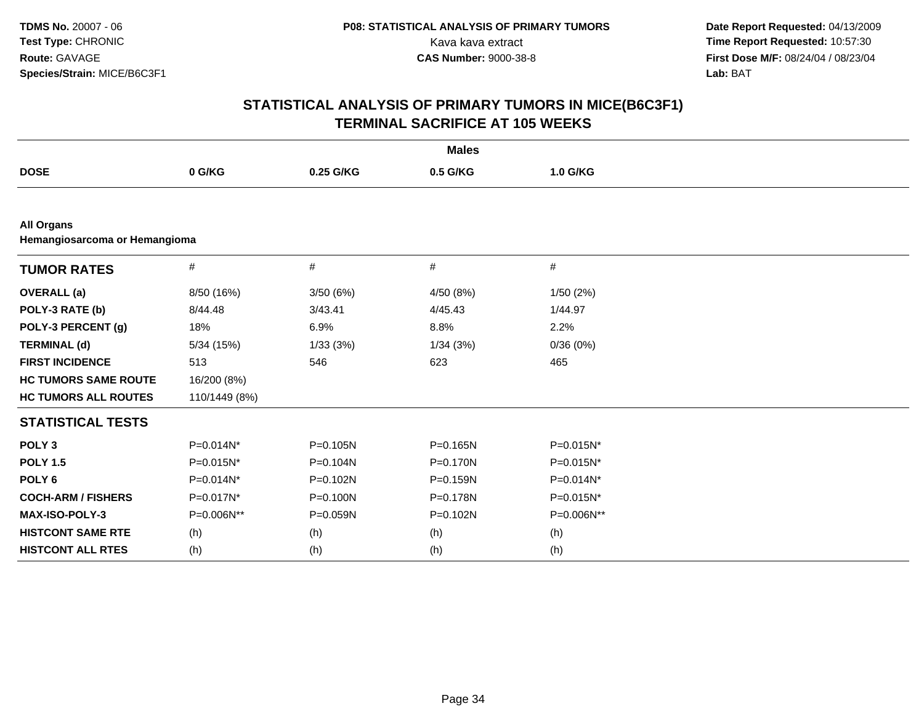| <b>Males</b>                                       |               |              |              |              |  |  |  |  |
|----------------------------------------------------|---------------|--------------|--------------|--------------|--|--|--|--|
| <b>DOSE</b>                                        | 0 G/KG        | 0.25 G/KG    | 0.5 G/KG     | 1.0 G/KG     |  |  |  |  |
|                                                    |               |              |              |              |  |  |  |  |
| <b>All Organs</b><br>Hemangiosarcoma or Hemangioma |               |              |              |              |  |  |  |  |
| <b>TUMOR RATES</b>                                 | $\#$          | #            | $\#$         | #            |  |  |  |  |
| <b>OVERALL</b> (a)                                 | 8/50 (16%)    | 3/50(6%)     | 4/50(8%)     | 1/50(2%)     |  |  |  |  |
| POLY-3 RATE (b)                                    | 8/44.48       | 3/43.41      | 4/45.43      | 1/44.97      |  |  |  |  |
| POLY-3 PERCENT (g)                                 | 18%           | 6.9%         | 8.8%         | 2.2%         |  |  |  |  |
| <b>TERMINAL (d)</b>                                | 5/34 (15%)    | 1/33(3%)     | 1/34(3%)     | 0/36(0%)     |  |  |  |  |
| <b>FIRST INCIDENCE</b>                             | 513           | 546          | 623          | 465          |  |  |  |  |
| <b>HC TUMORS SAME ROUTE</b>                        | 16/200 (8%)   |              |              |              |  |  |  |  |
| <b>HC TUMORS ALL ROUTES</b>                        | 110/1449 (8%) |              |              |              |  |  |  |  |
| <b>STATISTICAL TESTS</b>                           |               |              |              |              |  |  |  |  |
| POLY <sub>3</sub>                                  | $P=0.014N^*$  | $P = 0.105N$ | $P = 0.165N$ | P=0.015N*    |  |  |  |  |
| <b>POLY 1.5</b>                                    | P=0.015N*     | P=0.104N     | P=0.170N     | P=0.015N*    |  |  |  |  |
| POLY <sub>6</sub>                                  | $P=0.014N^*$  | P=0.102N     | $P = 0.159N$ | $P=0.014N^*$ |  |  |  |  |
| <b>COCH-ARM / FISHERS</b>                          | P=0.017N*     | $P = 0.100N$ | $P = 0.178N$ | P=0.015N*    |  |  |  |  |
| MAX-ISO-POLY-3                                     | P=0.006N**    | P=0.059N     | P=0.102N     | P=0.006N**   |  |  |  |  |
| <b>HISTCONT SAME RTE</b>                           | (h)           | (h)          | (h)          | (h)          |  |  |  |  |
| <b>HISTCONT ALL RTES</b>                           | (h)           | (h)          | (h)          | (h)          |  |  |  |  |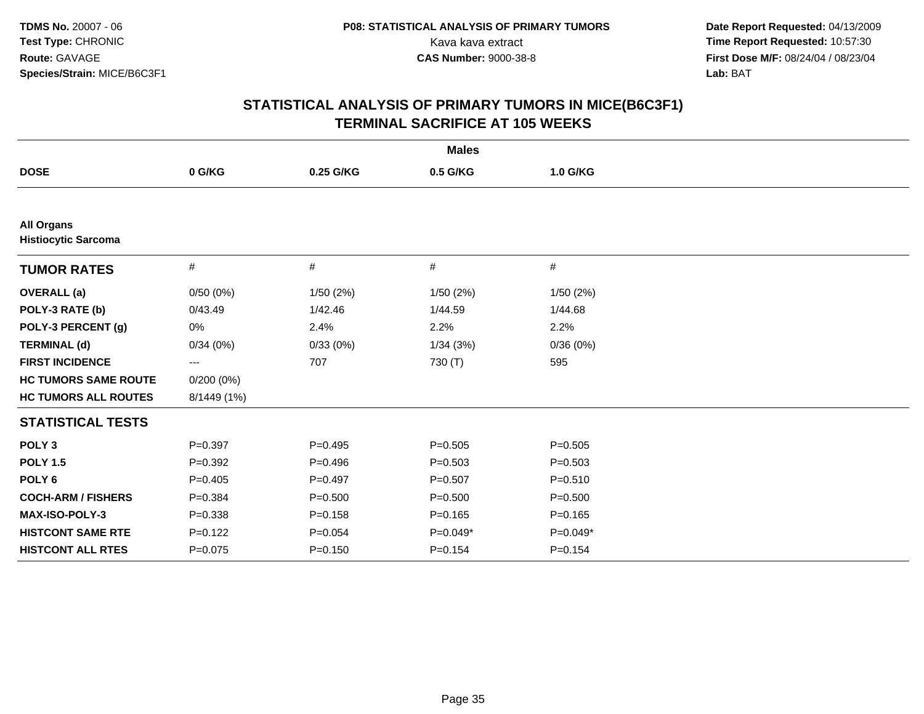| <b>Males</b>                                    |              |             |             |             |  |  |  |
|-------------------------------------------------|--------------|-------------|-------------|-------------|--|--|--|
| <b>DOSE</b>                                     | 0 G/KG       | 0.25 G/KG   | 0.5 G/KG    | 1.0 G/KG    |  |  |  |
|                                                 |              |             |             |             |  |  |  |
| <b>All Organs</b><br><b>Histiocytic Sarcoma</b> |              |             |             |             |  |  |  |
| <b>TUMOR RATES</b>                              | #            | #           | #           | #           |  |  |  |
| <b>OVERALL</b> (a)                              | 0/50(0%)     | 1/50(2%)    | 1/50(2%)    | 1/50(2%)    |  |  |  |
| POLY-3 RATE (b)                                 | 0/43.49      | 1/42.46     | 1/44.59     | 1/44.68     |  |  |  |
| POLY-3 PERCENT (g)                              | 0%           | 2.4%        | 2.2%        | 2.2%        |  |  |  |
| <b>TERMINAL (d)</b>                             | 0/34(0%)     | 0/33(0%)    | 1/34(3%)    | 0/36(0%)    |  |  |  |
| <b>FIRST INCIDENCE</b>                          | ---          | 707         | 730 (T)     | 595         |  |  |  |
| <b>HC TUMORS SAME ROUTE</b>                     | $0/200(0\%)$ |             |             |             |  |  |  |
| <b>HC TUMORS ALL ROUTES</b>                     | 8/1449 (1%)  |             |             |             |  |  |  |
| <b>STATISTICAL TESTS</b>                        |              |             |             |             |  |  |  |
| POLY <sub>3</sub>                               | $P = 0.397$  | $P = 0.495$ | $P = 0.505$ | $P = 0.505$ |  |  |  |
| <b>POLY 1.5</b>                                 | $P=0.392$    | $P = 0.496$ | $P = 0.503$ | $P = 0.503$ |  |  |  |
| POLY <sub>6</sub>                               | $P = 0.405$  | $P=0.497$   | $P=0.507$   | $P = 0.510$ |  |  |  |
| <b>COCH-ARM / FISHERS</b>                       | $P = 0.384$  | $P = 0.500$ | $P = 0.500$ | $P = 0.500$ |  |  |  |
| MAX-ISO-POLY-3                                  | $P = 0.338$  | $P = 0.158$ | $P = 0.165$ | $P = 0.165$ |  |  |  |
| <b>HISTCONT SAME RTE</b>                        | $P=0.122$    | $P=0.054$   | $P=0.049*$  | $P=0.049*$  |  |  |  |
| <b>HISTCONT ALL RTES</b>                        | $P = 0.075$  | $P = 0.150$ | $P = 0.154$ | $P = 0.154$ |  |  |  |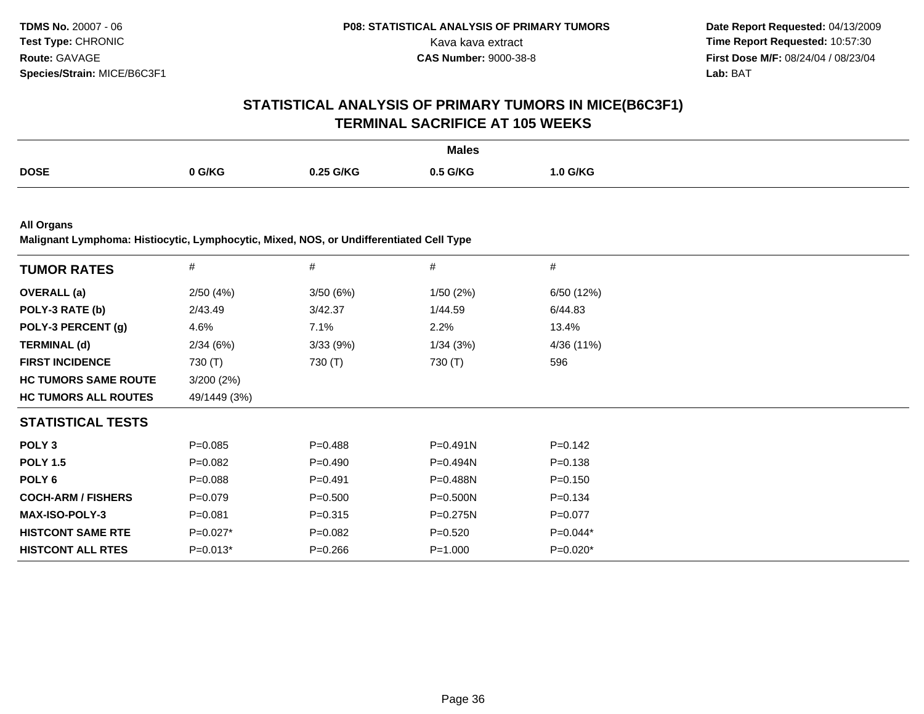### **STATISTICAL ANALYSIS OF PRIMARY TUMORS IN MICE(B6C3F1)TERMINAL SACRIFICE AT 105 WEEKS**

|             |          |           | <b>Males</b> |                 |
|-------------|----------|-----------|--------------|-----------------|
| <b>DOSE</b> | $0$ G/KG | 0.25 G/KG | 0.5 G/KG     | $1.0$ G/KG<br>. |

**All Organs**

**Malignant Lymphoma: Histiocytic, Lymphocytic, Mixed, NOS, or Undifferentiated Cell Type**

| <b>TUMOR RATES</b>          | $\#$         | #           | #            | #           |
|-----------------------------|--------------|-------------|--------------|-------------|
| <b>OVERALL</b> (a)          | 2/50(4%)     | 3/50(6%)    | 1/50(2%)     | 6/50 (12%)  |
| POLY-3 RATE (b)             | 2/43.49      | 3/42.37     | 1/44.59      | 6/44.83     |
| POLY-3 PERCENT (g)          | 4.6%         | 7.1%        | 2.2%         | 13.4%       |
| <b>TERMINAL (d)</b>         | 2/34(6%)     | 3/33(9%)    | 1/34(3%)     | 4/36 (11%)  |
| <b>FIRST INCIDENCE</b>      | 730 (T)      | 730 (T)     | 730 (T)      | 596         |
| <b>HC TUMORS SAME ROUTE</b> | 3/200(2%)    |             |              |             |
| <b>HC TUMORS ALL ROUTES</b> | 49/1449 (3%) |             |              |             |
| <b>STATISTICAL TESTS</b>    |              |             |              |             |
| POLY <sub>3</sub>           | $P=0.085$    | $P = 0.488$ | $P=0.491N$   | $P = 0.142$ |
| <b>POLY 1.5</b>             | $P=0.082$    | $P=0.490$   | $P=0.494N$   | $P = 0.138$ |
| POLY 6                      | $P = 0.088$  | $P=0.491$   | P=0.488N     | $P = 0.150$ |
| <b>COCH-ARM / FISHERS</b>   | $P = 0.079$  | $P = 0.500$ | P=0.500N     | $P = 0.134$ |
| <b>MAX-ISO-POLY-3</b>       | $P = 0.081$  | $P = 0.315$ | $P = 0.275N$ | $P=0.077$   |
| <b>HISTCONT SAME RTE</b>    | $P=0.027*$   | $P=0.082$   | $P=0.520$    | $P=0.044*$  |
| <b>HISTCONT ALL RTES</b>    | $P=0.013*$   | $P = 0.266$ | $P = 1.000$  | $P=0.020*$  |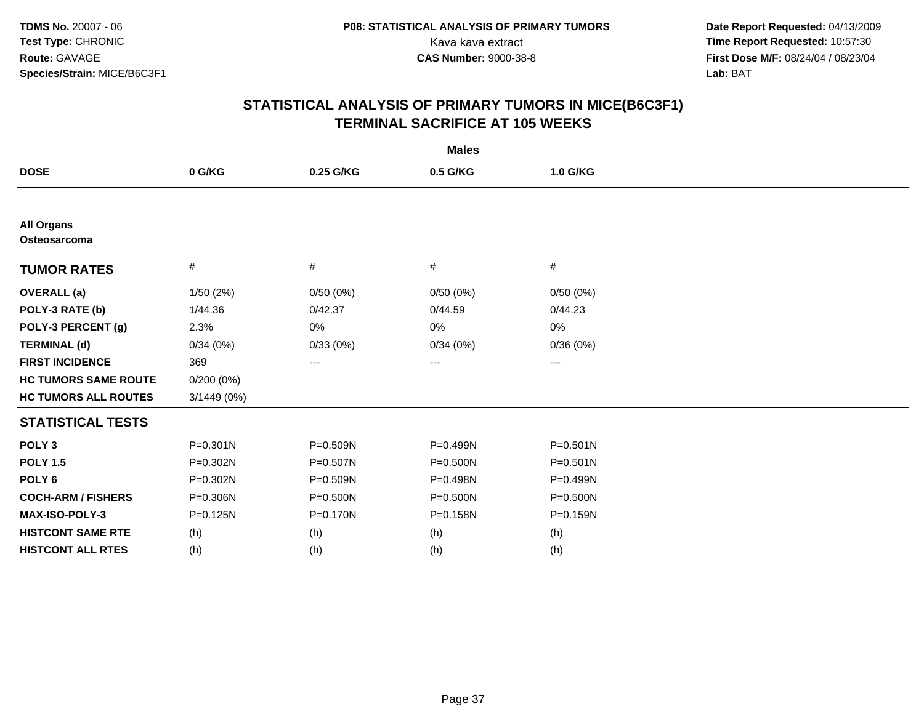|                                   |              |           | <b>Males</b>           |              |  |
|-----------------------------------|--------------|-----------|------------------------|--------------|--|
| <b>DOSE</b>                       | 0 G/KG       | 0.25 G/KG | 0.5 G/KG               | 1.0 G/KG     |  |
|                                   |              |           |                        |              |  |
| <b>All Organs</b><br>Osteosarcoma |              |           |                        |              |  |
| <b>TUMOR RATES</b>                | #            | #         | #                      | #            |  |
| <b>OVERALL</b> (a)                | 1/50(2%)     | 0/50(0%)  | 0/50(0%)               | 0/50(0%)     |  |
| POLY-3 RATE (b)                   | 1/44.36      | 0/42.37   | 0/44.59                | 0/44.23      |  |
| POLY-3 PERCENT (g)                | 2.3%         | 0%        | 0%                     | 0%           |  |
| <b>TERMINAL (d)</b>               | 0/34(0%)     | 0/33(0%)  | 0/34(0%)               | 0/36(0%)     |  |
| <b>FIRST INCIDENCE</b>            | 369          | ---       | $\qquad \qquad \cdots$ | ---          |  |
| <b>HC TUMORS SAME ROUTE</b>       | $0/200(0\%)$ |           |                        |              |  |
| <b>HC TUMORS ALL ROUTES</b>       | 3/1449 (0%)  |           |                        |              |  |
| <b>STATISTICAL TESTS</b>          |              |           |                        |              |  |
| POLY <sub>3</sub>                 | $P = 0.301N$ | P=0.509N  | P=0.499N               | $P = 0.501N$ |  |
| <b>POLY 1.5</b>                   | P=0.302N     | P=0.507N  | $P = 0.500N$           | $P = 0.501N$ |  |
| POLY <sub>6</sub>                 | P=0.302N     | P=0.509N  | P=0.498N               | P=0.499N     |  |
| <b>COCH-ARM / FISHERS</b>         | P=0.306N     | P=0.500N  | P=0.500N               | $P = 0.500N$ |  |
| <b>MAX-ISO-POLY-3</b>             | $P = 0.125N$ | P=0.170N  | P=0.158N               | P=0.159N     |  |
| <b>HISTCONT SAME RTE</b>          | (h)          | (h)       | (h)                    | (h)          |  |
| <b>HISTCONT ALL RTES</b>          | (h)          | (h)       | (h)                    | (h)          |  |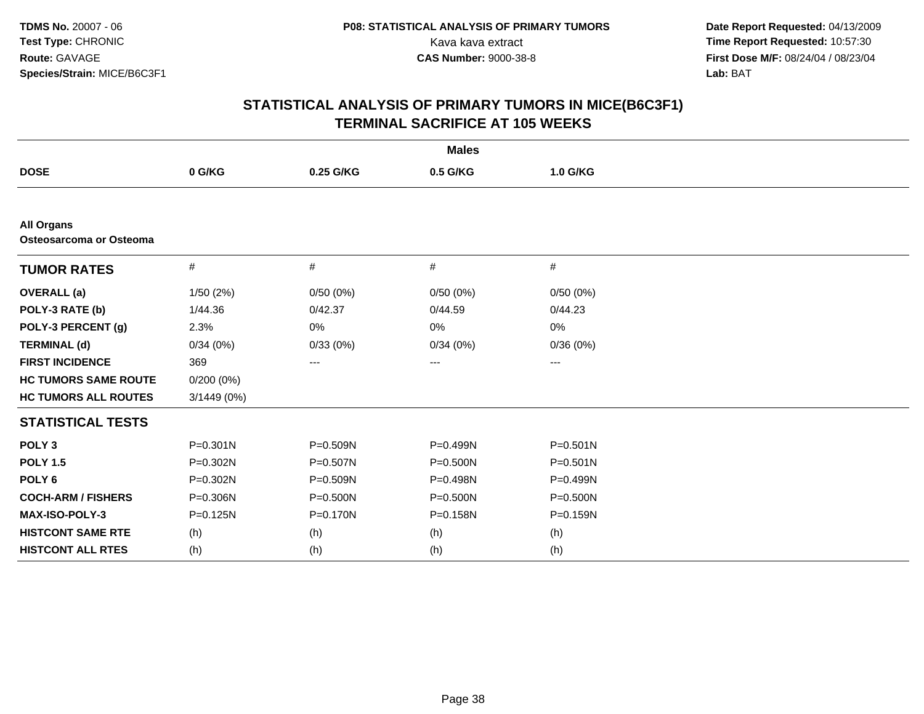|                                              |               |           | <b>Males</b> |              |
|----------------------------------------------|---------------|-----------|--------------|--------------|
| <b>DOSE</b>                                  | 0 G/KG        | 0.25 G/KG | 0.5 G/KG     | 1.0 G/KG     |
|                                              |               |           |              |              |
| <b>All Organs</b><br>Osteosarcoma or Osteoma |               |           |              |              |
| <b>TUMOR RATES</b>                           | $\#$          | #         | #            | #            |
| <b>OVERALL</b> (a)                           | 1/50(2%)      | 0/50(0%)  | 0/50(0%)     | 0/50(0%)     |
| POLY-3 RATE (b)                              | 1/44.36       | 0/42.37   | 0/44.59      | 0/44.23      |
| POLY-3 PERCENT (g)                           | 2.3%          | 0%        | 0%           | 0%           |
| <b>TERMINAL (d)</b>                          | 0/34(0%)      | 0/33(0%)  | 0/34(0%)     | 0/36(0%)     |
| <b>FIRST INCIDENCE</b>                       | 369           | ---       | ---          | ---          |
| <b>HC TUMORS SAME ROUTE</b>                  | 0/200(0%)     |           |              |              |
| <b>HC TUMORS ALL ROUTES</b>                  | $3/1449(0\%)$ |           |              |              |
| <b>STATISTICAL TESTS</b>                     |               |           |              |              |
| POLY <sub>3</sub>                            | $P = 0.301N$  | P=0.509N  | P=0.499N     | $P = 0.501N$ |
| <b>POLY 1.5</b>                              | P=0.302N      | P=0.507N  | $P = 0.500N$ | $P = 0.501N$ |
| POLY <sub>6</sub>                            | P=0.302N      | P=0.509N  | P=0.498N     | P=0.499N     |
| <b>COCH-ARM / FISHERS</b>                    | P=0.306N      | P=0.500N  | $P = 0.500N$ | P=0.500N     |
| <b>MAX-ISO-POLY-3</b>                        | $P = 0.125N$  | P=0.170N  | P=0.158N     | P=0.159N     |
| <b>HISTCONT SAME RTE</b>                     | (h)           | (h)       | (h)          | (h)          |
| <b>HISTCONT ALL RTES</b>                     | (h)           | (h)       | (h)          | (h)          |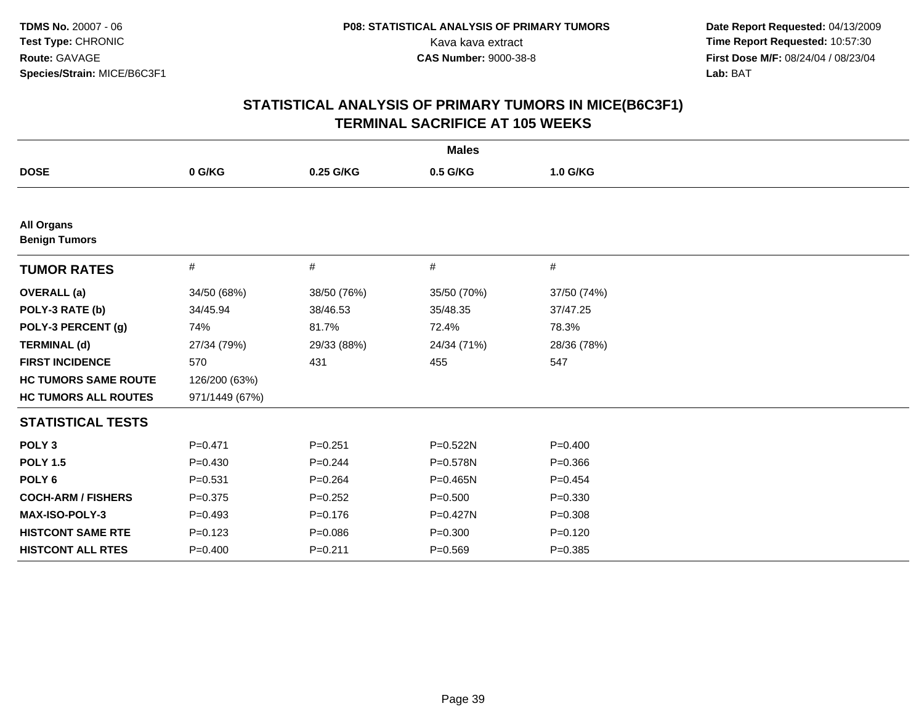| <b>Males</b>                              |                |             |              |             |  |  |
|-------------------------------------------|----------------|-------------|--------------|-------------|--|--|
| <b>DOSE</b>                               | 0 G/KG         | 0.25 G/KG   | 0.5 G/KG     | 1.0 G/KG    |  |  |
|                                           |                |             |              |             |  |  |
| <b>All Organs</b><br><b>Benign Tumors</b> |                |             |              |             |  |  |
| <b>TUMOR RATES</b>                        | #              | #           | #            | #           |  |  |
| <b>OVERALL</b> (a)                        | 34/50 (68%)    | 38/50 (76%) | 35/50 (70%)  | 37/50 (74%) |  |  |
| POLY-3 RATE (b)                           | 34/45.94       | 38/46.53    | 35/48.35     | 37/47.25    |  |  |
| POLY-3 PERCENT (g)                        | 74%            | 81.7%       | 72.4%        | 78.3%       |  |  |
| <b>TERMINAL (d)</b>                       | 27/34 (79%)    | 29/33 (88%) | 24/34 (71%)  | 28/36 (78%) |  |  |
| <b>FIRST INCIDENCE</b>                    | 570            | 431         | 455          | 547         |  |  |
| <b>HC TUMORS SAME ROUTE</b>               | 126/200 (63%)  |             |              |             |  |  |
| <b>HC TUMORS ALL ROUTES</b>               | 971/1449 (67%) |             |              |             |  |  |
| <b>STATISTICAL TESTS</b>                  |                |             |              |             |  |  |
| POLY <sub>3</sub>                         | $P=0.471$      | $P=0.251$   | $P = 0.522N$ | $P = 0.400$ |  |  |
| <b>POLY 1.5</b>                           | $P=0.430$      | $P=0.244$   | P=0.578N     | $P = 0.366$ |  |  |
| POLY <sub>6</sub>                         | $P = 0.531$    | $P = 0.264$ | $P = 0.465N$ | $P = 0.454$ |  |  |
| <b>COCH-ARM / FISHERS</b>                 | $P = 0.375$    | $P = 0.252$ | $P = 0.500$  | $P = 0.330$ |  |  |
| MAX-ISO-POLY-3                            | $P = 0.493$    | $P = 0.176$ | $P = 0.427N$ | $P = 0.308$ |  |  |
| <b>HISTCONT SAME RTE</b>                  | $P = 0.123$    | $P = 0.086$ | $P = 0.300$  | $P = 0.120$ |  |  |
| <b>HISTCONT ALL RTES</b>                  | $P=0.400$      | $P = 0.211$ | $P = 0.569$  | $P = 0.385$ |  |  |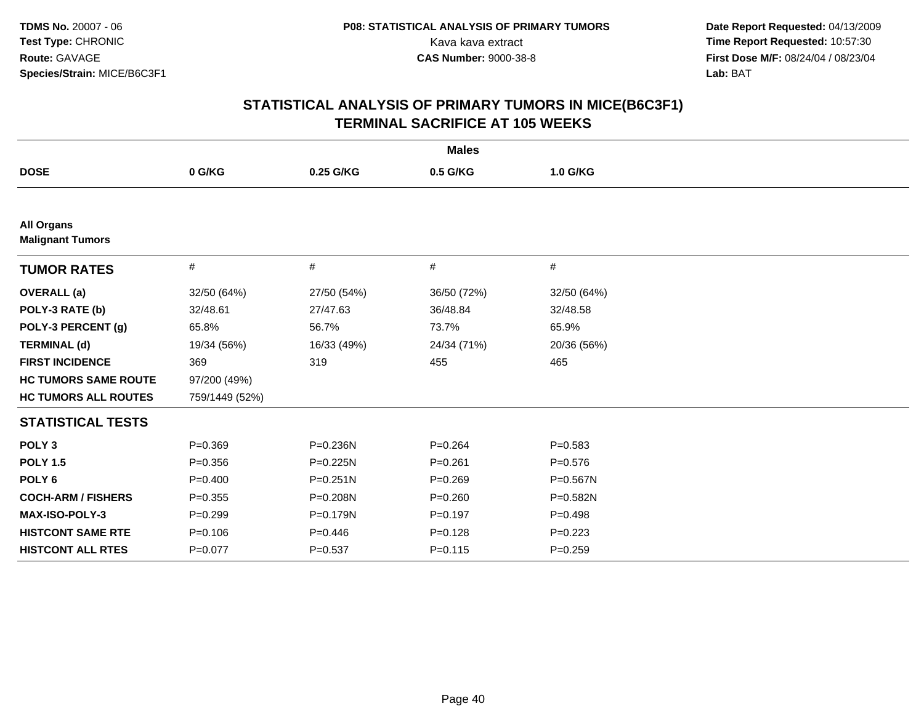| <b>Males</b>                                 |                |              |             |             |  |
|----------------------------------------------|----------------|--------------|-------------|-------------|--|
| <b>DOSE</b>                                  | 0 G/KG         | 0.25 G/KG    | 0.5 G/KG    | 1.0 G/KG    |  |
|                                              |                |              |             |             |  |
| <b>All Organs</b><br><b>Malignant Tumors</b> |                |              |             |             |  |
| <b>TUMOR RATES</b>                           | #              | #            | #           | #           |  |
| <b>OVERALL</b> (a)                           | 32/50 (64%)    | 27/50 (54%)  | 36/50 (72%) | 32/50 (64%) |  |
| POLY-3 RATE (b)                              | 32/48.61       | 27/47.63     | 36/48.84    | 32/48.58    |  |
| POLY-3 PERCENT (g)                           | 65.8%          | 56.7%        | 73.7%       | 65.9%       |  |
| <b>TERMINAL (d)</b>                          | 19/34 (56%)    | 16/33 (49%)  | 24/34 (71%) | 20/36 (56%) |  |
| <b>FIRST INCIDENCE</b>                       | 369            | 319          | 455         | 465         |  |
| <b>HC TUMORS SAME ROUTE</b>                  | 97/200 (49%)   |              |             |             |  |
| <b>HC TUMORS ALL ROUTES</b>                  | 759/1449 (52%) |              |             |             |  |
| <b>STATISTICAL TESTS</b>                     |                |              |             |             |  |
| POLY <sub>3</sub>                            | $P = 0.369$    | P=0.236N     | $P=0.264$   | $P = 0.583$ |  |
| <b>POLY 1.5</b>                              | $P = 0.356$    | P=0.225N     | $P = 0.261$ | $P = 0.576$ |  |
| POLY <sub>6</sub>                            | $P=0.400$      | $P = 0.251N$ | $P=0.269$   | P=0.567N    |  |
| <b>COCH-ARM / FISHERS</b>                    | $P=0.355$      | P=0.208N     | $P = 0.260$ | P=0.582N    |  |
| MAX-ISO-POLY-3                               | $P=0.299$      | P=0.179N     | $P=0.197$   | $P = 0.498$ |  |
| <b>HISTCONT SAME RTE</b>                     | $P = 0.106$    | $P=0.446$    | $P = 0.128$ | $P=0.223$   |  |
| <b>HISTCONT ALL RTES</b>                     | $P=0.077$      | $P = 0.537$  | $P = 0.115$ | $P = 0.259$ |  |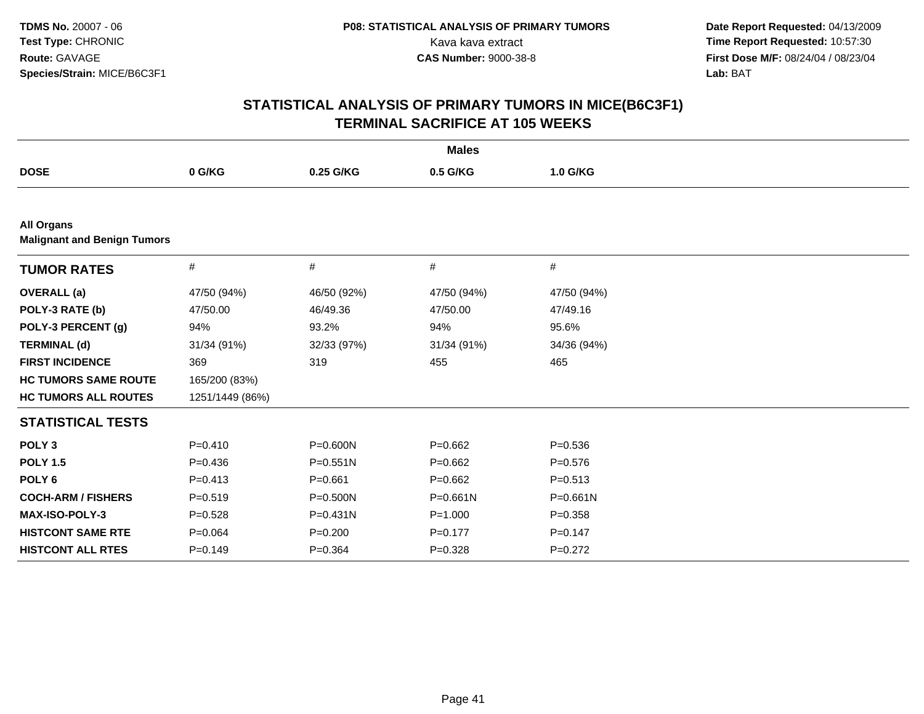| <b>Males</b>                                            |                 |              |              |             |  |  |
|---------------------------------------------------------|-----------------|--------------|--------------|-------------|--|--|
| <b>DOSE</b>                                             | 0 G/KG          | 0.25 G/KG    | 0.5 G/KG     | 1.0 G/KG    |  |  |
|                                                         |                 |              |              |             |  |  |
| <b>All Organs</b><br><b>Malignant and Benign Tumors</b> |                 |              |              |             |  |  |
| <b>TUMOR RATES</b>                                      | $\#$            | #            | $\#$         | #           |  |  |
| <b>OVERALL</b> (a)                                      | 47/50 (94%)     | 46/50 (92%)  | 47/50 (94%)  | 47/50 (94%) |  |  |
| POLY-3 RATE (b)                                         | 47/50.00        | 46/49.36     | 47/50.00     | 47/49.16    |  |  |
| POLY-3 PERCENT (g)                                      | 94%             | 93.2%        | 94%          | 95.6%       |  |  |
| <b>TERMINAL (d)</b>                                     | 31/34 (91%)     | 32/33 (97%)  | 31/34 (91%)  | 34/36 (94%) |  |  |
| <b>FIRST INCIDENCE</b>                                  | 369             | 319          | 455          | 465         |  |  |
| <b>HC TUMORS SAME ROUTE</b>                             | 165/200 (83%)   |              |              |             |  |  |
| <b>HC TUMORS ALL ROUTES</b>                             | 1251/1449 (86%) |              |              |             |  |  |
| <b>STATISTICAL TESTS</b>                                |                 |              |              |             |  |  |
| POLY <sub>3</sub>                                       | $P=0.410$       | P=0.600N     | $P=0.662$    | $P = 0.536$ |  |  |
| <b>POLY 1.5</b>                                         | $P=0.436$       | $P = 0.551N$ | $P=0.662$    | $P = 0.576$ |  |  |
| POLY <sub>6</sub>                                       | $P = 0.413$     | $P = 0.661$  | $P=0.662$    | $P = 0.513$ |  |  |
| <b>COCH-ARM / FISHERS</b>                               | $P = 0.519$     | P=0.500N     | $P = 0.661N$ | P=0.661N    |  |  |
| <b>MAX-ISO-POLY-3</b>                                   | $P = 0.528$     | $P = 0.431N$ | $P = 1.000$  | $P = 0.358$ |  |  |
| <b>HISTCONT SAME RTE</b>                                | $P = 0.064$     | $P = 0.200$  | $P = 0.177$  | $P = 0.147$ |  |  |
| <b>HISTCONT ALL RTES</b>                                | $P=0.149$       | $P = 0.364$  | $P=0.328$    | $P=0.272$   |  |  |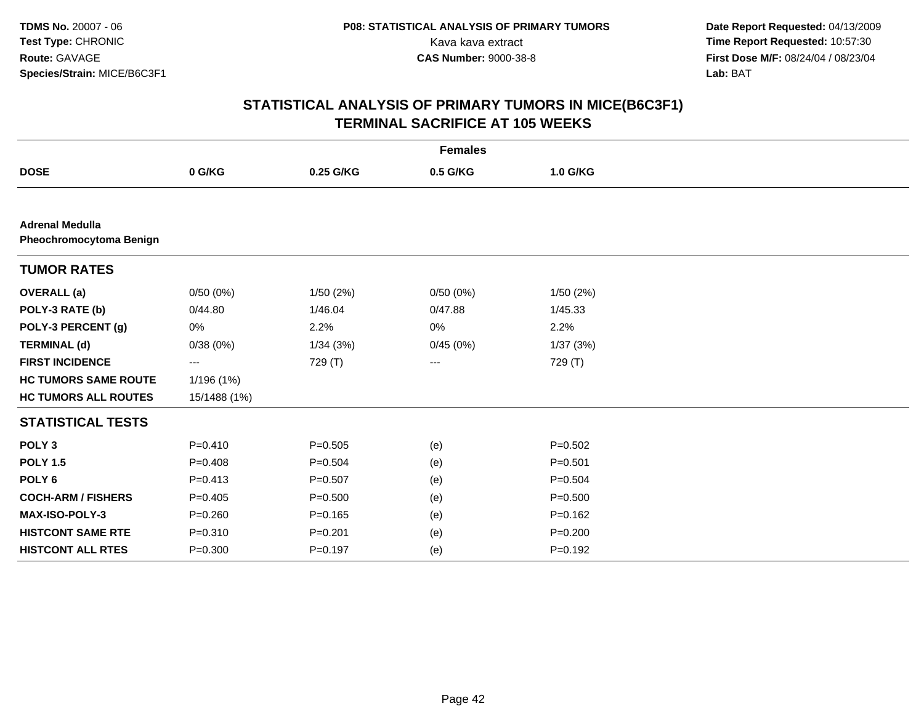|                                                          |              |             | <b>Females</b> |             |
|----------------------------------------------------------|--------------|-------------|----------------|-------------|
| <b>DOSE</b>                                              | 0 G/KG       | 0.25 G/KG   | 0.5 G/KG       | 1.0 G/KG    |
|                                                          |              |             |                |             |
| <b>Adrenal Medulla</b><br><b>Pheochromocytoma Benign</b> |              |             |                |             |
| <b>TUMOR RATES</b>                                       |              |             |                |             |
| <b>OVERALL</b> (a)                                       | 0/50(0%)     | 1/50(2%)    | 0/50(0%)       | 1/50(2%)    |
| POLY-3 RATE (b)                                          | 0/44.80      | 1/46.04     | 0/47.88        | 1/45.33     |
| POLY-3 PERCENT (g)                                       | 0%           | 2.2%        | 0%             | 2.2%        |
| <b>TERMINAL (d)</b>                                      | 0/38(0%)     | 1/34(3%)    | 0/45(0%)       | 1/37(3%)    |
| <b>FIRST INCIDENCE</b>                                   | ---          | 729 (T)     | ---            | 729 (T)     |
| <b>HC TUMORS SAME ROUTE</b>                              | 1/196 (1%)   |             |                |             |
| <b>HC TUMORS ALL ROUTES</b>                              | 15/1488 (1%) |             |                |             |
| <b>STATISTICAL TESTS</b>                                 |              |             |                |             |
| POLY <sub>3</sub>                                        | $P = 0.410$  | $P = 0.505$ | (e)            | $P = 0.502$ |
| <b>POLY 1.5</b>                                          | $P = 0.408$  | $P = 0.504$ | (e)            | $P = 0.501$ |
| POLY <sub>6</sub>                                        | $P = 0.413$  | $P = 0.507$ | (e)            | $P = 0.504$ |
| <b>COCH-ARM / FISHERS</b>                                | $P=0.405$    | $P = 0.500$ | (e)            | $P = 0.500$ |
| MAX-ISO-POLY-3                                           | $P = 0.260$  | $P = 0.165$ | (e)            | $P = 0.162$ |
| <b>HISTCONT SAME RTE</b>                                 | $P = 0.310$  | $P = 0.201$ | (e)            | $P = 0.200$ |
| <b>HISTCONT ALL RTES</b>                                 | $P = 0.300$  | $P = 0.197$ | (e)            | $P = 0.192$ |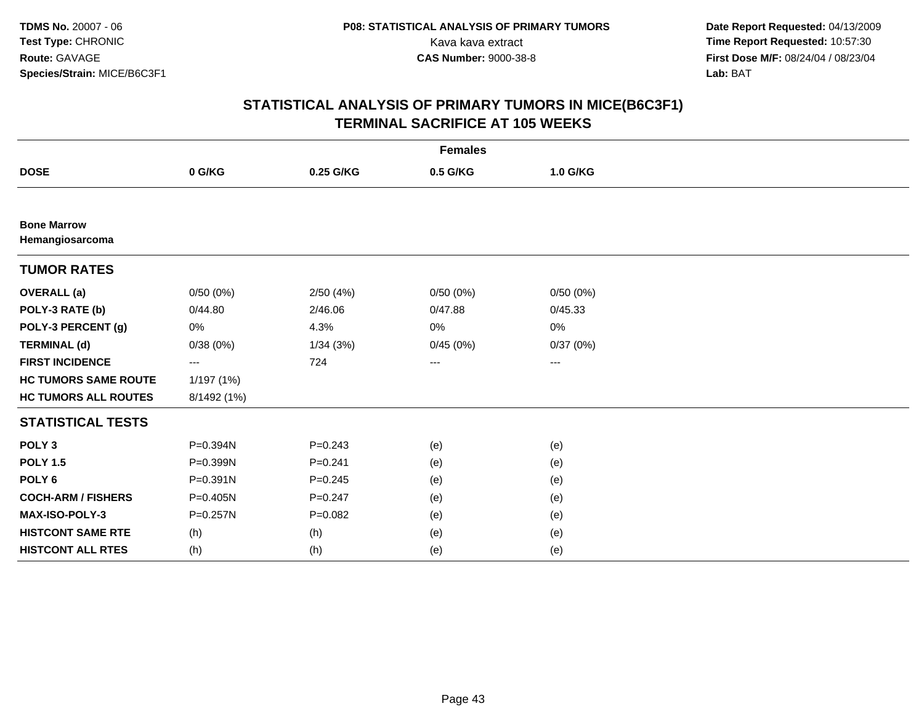| <b>Females</b>                        |              |             |          |          |  |  |
|---------------------------------------|--------------|-------------|----------|----------|--|--|
| <b>DOSE</b>                           | 0 G/KG       | 0.25 G/KG   | 0.5 G/KG | 1.0 G/KG |  |  |
|                                       |              |             |          |          |  |  |
| <b>Bone Marrow</b><br>Hemangiosarcoma |              |             |          |          |  |  |
| <b>TUMOR RATES</b>                    |              |             |          |          |  |  |
| <b>OVERALL</b> (a)                    | 0/50(0%)     | 2/50(4%)    | 0/50(0%) | 0/50(0%) |  |  |
| POLY-3 RATE (b)                       | 0/44.80      | 2/46.06     | 0/47.88  | 0/45.33  |  |  |
| POLY-3 PERCENT (g)                    | 0%           | 4.3%        | 0%       | 0%       |  |  |
| <b>TERMINAL (d)</b>                   | 0/38(0%)     | 1/34(3%)    | 0/45(0%) | 0/37(0%) |  |  |
| <b>FIRST INCIDENCE</b>                | ---          | 724         | ---      | ---      |  |  |
| <b>HC TUMORS SAME ROUTE</b>           | 1/197 (1%)   |             |          |          |  |  |
| <b>HC TUMORS ALL ROUTES</b>           | 8/1492 (1%)  |             |          |          |  |  |
| <b>STATISTICAL TESTS</b>              |              |             |          |          |  |  |
| POLY <sub>3</sub>                     | P=0.394N     | $P=0.243$   | (e)      | (e)      |  |  |
| <b>POLY 1.5</b>                       | P=0.399N     | $P = 0.241$ | (e)      | (e)      |  |  |
| POLY <sub>6</sub>                     | $P = 0.391N$ | $P = 0.245$ | (e)      | (e)      |  |  |
| <b>COCH-ARM / FISHERS</b>             | P=0.405N     | $P = 0.247$ | (e)      | (e)      |  |  |
| MAX-ISO-POLY-3                        | $P = 0.257N$ | $P = 0.082$ | (e)      | (e)      |  |  |
| <b>HISTCONT SAME RTE</b>              | (h)          | (h)         | (e)      | (e)      |  |  |
| <b>HISTCONT ALL RTES</b>              | (h)          | (h)         | (e)      | (e)      |  |  |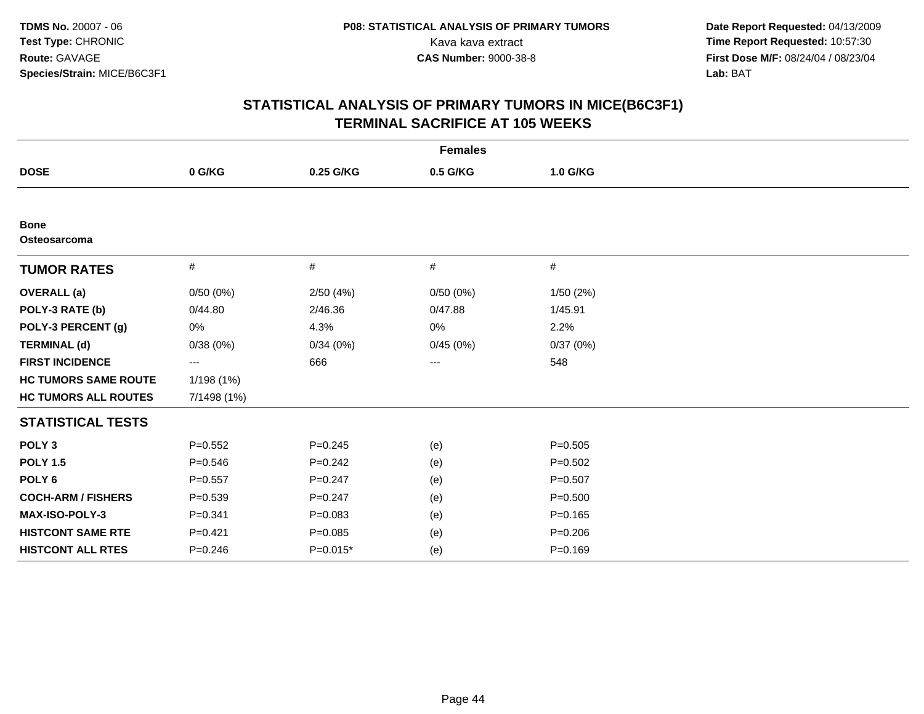| <b>Females</b>              |             |             |          |             |  |
|-----------------------------|-------------|-------------|----------|-------------|--|
| <b>DOSE</b>                 | 0 G/KG      | 0.25 G/KG   | 0.5 G/KG | 1.0 G/KG    |  |
|                             |             |             |          |             |  |
| <b>Bone</b><br>Osteosarcoma |             |             |          |             |  |
| <b>TUMOR RATES</b>          | #           | #           | #        | $\#$        |  |
| <b>OVERALL</b> (a)          | 0/50(0%)    | 2/50(4%)    | 0/50(0%) | 1/50(2%)    |  |
| POLY-3 RATE (b)             | 0/44.80     | 2/46.36     | 0/47.88  | 1/45.91     |  |
| POLY-3 PERCENT (g)          | 0%          | 4.3%        | 0%       | 2.2%        |  |
| <b>TERMINAL (d)</b>         | 0/38(0%)    | 0/34(0%)    | 0/45(0%) | 0/37(0%)    |  |
| <b>FIRST INCIDENCE</b>      | ---         | 666         | ---      | 548         |  |
| <b>HC TUMORS SAME ROUTE</b> | 1/198 (1%)  |             |          |             |  |
| <b>HC TUMORS ALL ROUTES</b> | 7/1498 (1%) |             |          |             |  |
| <b>STATISTICAL TESTS</b>    |             |             |          |             |  |
| POLY <sub>3</sub>           | $P=0.552$   | $P = 0.245$ | (e)      | $P=0.505$   |  |
| <b>POLY 1.5</b>             | $P = 0.546$ | $P = 0.242$ | (e)      | $P = 0.502$ |  |
| POLY <sub>6</sub>           | $P=0.557$   | $P=0.247$   | (e)      | $P = 0.507$ |  |
| <b>COCH-ARM / FISHERS</b>   | $P = 0.539$ | $P=0.247$   | (e)      | $P = 0.500$ |  |
| MAX-ISO-POLY-3              | $P = 0.341$ | $P = 0.083$ | (e)      | $P = 0.165$ |  |
| <b>HISTCONT SAME RTE</b>    | $P = 0.421$ | $P = 0.085$ | (e)      | $P = 0.206$ |  |
| <b>HISTCONT ALL RTES</b>    | $P = 0.246$ | P=0.015*    | (e)      | $P = 0.169$ |  |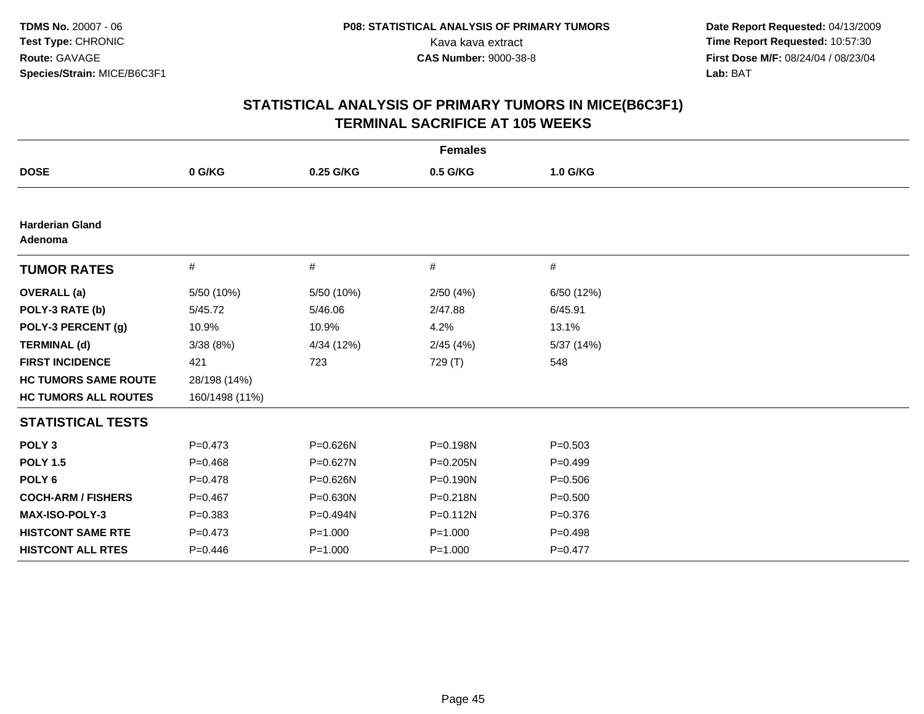| <b>Females</b>                    |                |              |              |             |  |
|-----------------------------------|----------------|--------------|--------------|-------------|--|
| <b>DOSE</b>                       | 0 G/KG         | 0.25 G/KG    | 0.5 G/KG     | 1.0 G/KG    |  |
|                                   |                |              |              |             |  |
| <b>Harderian Gland</b><br>Adenoma |                |              |              |             |  |
| <b>TUMOR RATES</b>                | $\#$           | #            | #            | #           |  |
| <b>OVERALL</b> (a)                | 5/50 (10%)     | 5/50 (10%)   | 2/50(4%)     | 6/50 (12%)  |  |
| POLY-3 RATE (b)                   | 5/45.72        | 5/46.06      | 2/47.88      | 6/45.91     |  |
| POLY-3 PERCENT (g)                | 10.9%          | 10.9%        | 4.2%         | 13.1%       |  |
| <b>TERMINAL (d)</b>               | 3/38(8%)       | 4/34 (12%)   | 2/45(4%)     | 5/37 (14%)  |  |
| <b>FIRST INCIDENCE</b>            | 421            | 723          | 729 (T)      | 548         |  |
| <b>HC TUMORS SAME ROUTE</b>       | 28/198 (14%)   |              |              |             |  |
| <b>HC TUMORS ALL ROUTES</b>       | 160/1498 (11%) |              |              |             |  |
| <b>STATISTICAL TESTS</b>          |                |              |              |             |  |
| POLY <sub>3</sub>                 | $P=0.473$      | P=0.626N     | P=0.198N     | $P = 0.503$ |  |
| <b>POLY 1.5</b>                   | $P=0.468$      | $P = 0.627N$ | P=0.205N     | $P=0.499$   |  |
| POLY <sub>6</sub>                 | $P = 0.478$    | P=0.626N     | $P = 0.190N$ | $P = 0.506$ |  |
| <b>COCH-ARM / FISHERS</b>         | $P=0.467$      | $P = 0.630N$ | P=0.218N     | $P = 0.500$ |  |
| MAX-ISO-POLY-3                    | $P = 0.383$    | P=0.494N     | $P = 0.112N$ | $P = 0.376$ |  |
| <b>HISTCONT SAME RTE</b>          | $P=0.473$      | $P = 1.000$  | $P = 1.000$  | $P = 0.498$ |  |
| <b>HISTCONT ALL RTES</b>          | $P=0.446$      | $P = 1.000$  | $P = 1.000$  | $P = 0.477$ |  |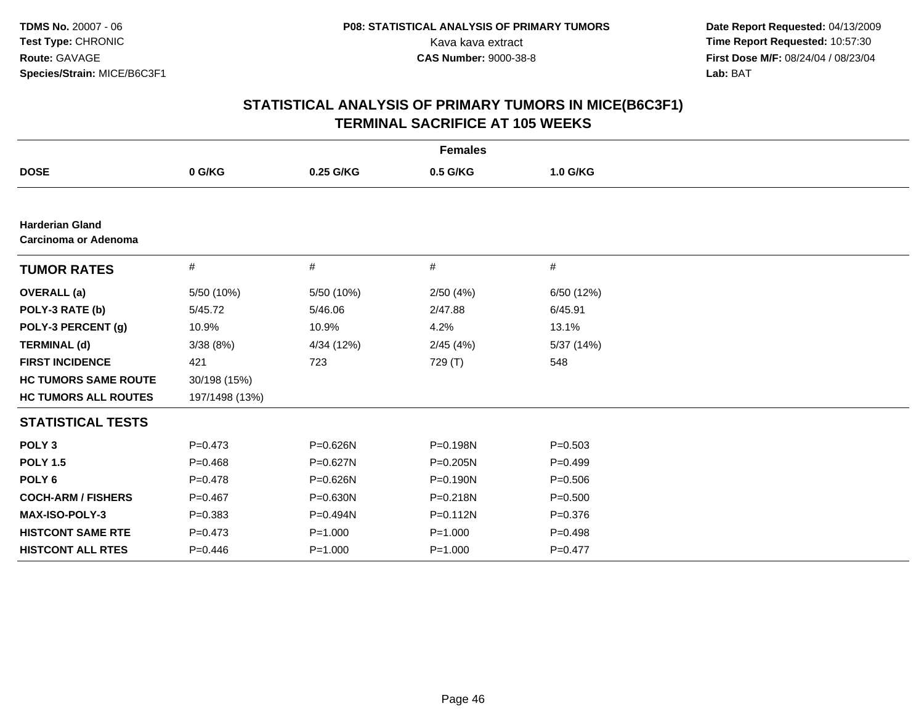|                                                       |                |              | <b>Females</b> |             |  |
|-------------------------------------------------------|----------------|--------------|----------------|-------------|--|
| <b>DOSE</b>                                           | 0 G/KG         | 0.25 G/KG    | 0.5 G/KG       | 1.0 G/KG    |  |
|                                                       |                |              |                |             |  |
| <b>Harderian Gland</b><br><b>Carcinoma or Adenoma</b> |                |              |                |             |  |
| <b>TUMOR RATES</b>                                    | #              | #            | #              | $\#$        |  |
| <b>OVERALL</b> (a)                                    | 5/50 (10%)     | 5/50 (10%)   | 2/50(4%)       | 6/50 (12%)  |  |
| POLY-3 RATE (b)                                       | 5/45.72        | 5/46.06      | 2/47.88        | 6/45.91     |  |
| POLY-3 PERCENT (g)                                    | 10.9%          | 10.9%        | 4.2%           | 13.1%       |  |
| <b>TERMINAL (d)</b>                                   | 3/38(8%)       | 4/34 (12%)   | 2/45(4%)       | 5/37 (14%)  |  |
| <b>FIRST INCIDENCE</b>                                | 421            | 723          | 729 (T)        | 548         |  |
| <b>HC TUMORS SAME ROUTE</b>                           | 30/198 (15%)   |              |                |             |  |
| <b>HC TUMORS ALL ROUTES</b>                           | 197/1498 (13%) |              |                |             |  |
| <b>STATISTICAL TESTS</b>                              |                |              |                |             |  |
| POLY <sub>3</sub>                                     | $P = 0.473$    | P=0.626N     | P=0.198N       | $P = 0.503$ |  |
| <b>POLY 1.5</b>                                       | $P=0.468$      | P=0.627N     | P=0.205N       | $P=0.499$   |  |
| POLY <sub>6</sub>                                     | $P=0.478$      | P=0.626N     | $P = 0.190N$   | $P = 0.506$ |  |
| <b>COCH-ARM / FISHERS</b>                             | $P=0.467$      | $P = 0.630N$ | P=0.218N       | $P = 0.500$ |  |
| <b>MAX-ISO-POLY-3</b>                                 | $P = 0.383$    | P=0.494N     | P=0.112N       | $P = 0.376$ |  |
| <b>HISTCONT SAME RTE</b>                              | $P=0.473$      | $P = 1.000$  | $P = 1.000$    | $P = 0.498$ |  |
| <b>HISTCONT ALL RTES</b>                              | $P=0.446$      | $P = 1.000$  | $P = 1.000$    | $P=0.477$   |  |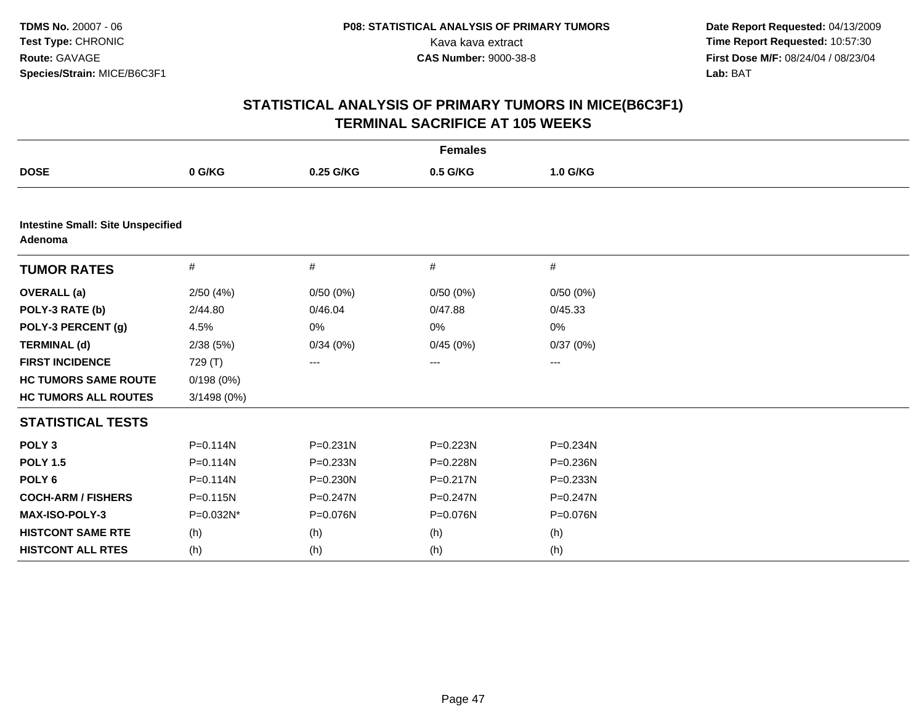| <b>Females</b>                                      |              |              |              |              |  |
|-----------------------------------------------------|--------------|--------------|--------------|--------------|--|
| <b>DOSE</b>                                         | 0 G/KG       | 0.25 G/KG    | 0.5 G/KG     | 1.0 G/KG     |  |
|                                                     |              |              |              |              |  |
| <b>Intestine Small: Site Unspecified</b><br>Adenoma |              |              |              |              |  |
| <b>TUMOR RATES</b>                                  | #            | #            | #            | $\#$         |  |
| <b>OVERALL</b> (a)                                  | 2/50(4%)     | 0/50(0%)     | 0/50(0%)     | 0/50(0%)     |  |
| POLY-3 RATE (b)                                     | 2/44.80      | 0/46.04      | 0/47.88      | 0/45.33      |  |
| POLY-3 PERCENT (g)                                  | 4.5%         | 0%           | 0%           | 0%           |  |
| <b>TERMINAL (d)</b>                                 | 2/38(5%)     | 0/34(0%)     | 0/45(0%)     | 0/37(0%)     |  |
| <b>FIRST INCIDENCE</b>                              | 729 (T)      | ---          | ---          | ---          |  |
| <b>HC TUMORS SAME ROUTE</b>                         | 0/198(0%)    |              |              |              |  |
| <b>HC TUMORS ALL ROUTES</b>                         | 3/1498 (0%)  |              |              |              |  |
| <b>STATISTICAL TESTS</b>                            |              |              |              |              |  |
| POLY <sub>3</sub>                                   | $P = 0.114N$ | $P = 0.231N$ | P=0.223N     | P=0.234N     |  |
| <b>POLY 1.5</b>                                     | $P = 0.114N$ | $P = 0.233N$ | P=0.228N     | $P = 0.236N$ |  |
| POLY <sub>6</sub>                                   | $P = 0.114N$ | P=0.230N     | $P = 0.217N$ | P=0.233N     |  |
| <b>COCH-ARM / FISHERS</b>                           | $P = 0.115N$ | $P = 0.247N$ | $P = 0.247N$ | P=0.247N     |  |
| <b>MAX-ISO-POLY-3</b>                               | P=0.032N*    | P=0.076N     | P=0.076N     | P=0.076N     |  |
| <b>HISTCONT SAME RTE</b>                            | (h)          | (h)          | (h)          | (h)          |  |
| <b>HISTCONT ALL RTES</b>                            | (h)          | (h)          | (h)          | (h)          |  |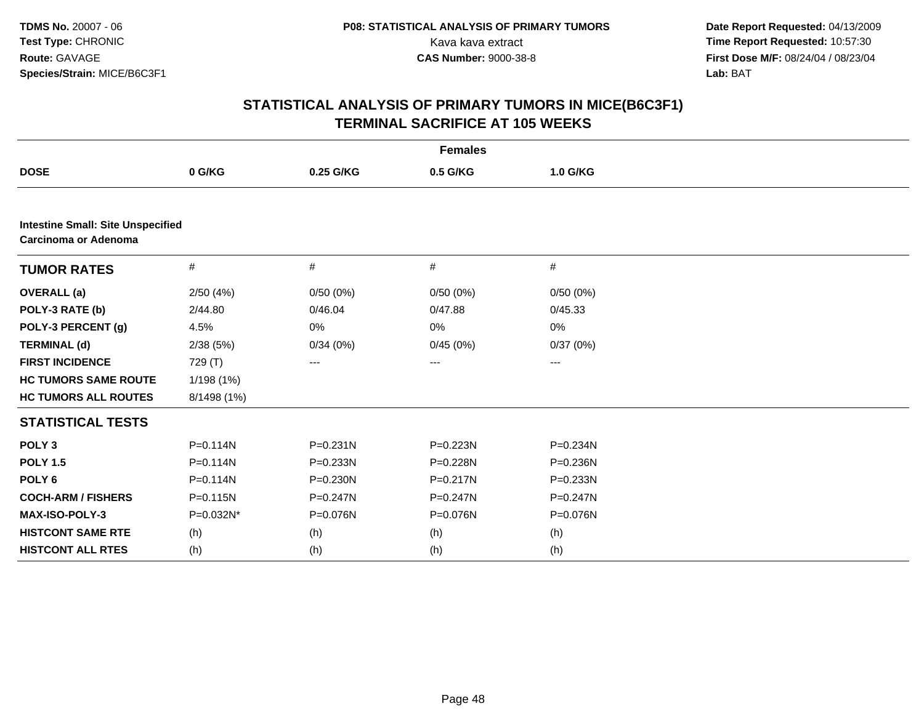| <b>Females</b>                                                   |              |              |          |          |  |
|------------------------------------------------------------------|--------------|--------------|----------|----------|--|
| <b>DOSE</b>                                                      | 0 G/KG       | 0.25 G/KG    | 0.5 G/KG | 1.0 G/KG |  |
|                                                                  |              |              |          |          |  |
| <b>Intestine Small: Site Unspecified</b><br>Carcinoma or Adenoma |              |              |          |          |  |
| <b>TUMOR RATES</b>                                               | #            | #            | $\#$     | $\#$     |  |
| <b>OVERALL</b> (a)                                               | 2/50(4%)     | 0/50(0%)     | 0/50(0%) | 0/50(0%) |  |
| POLY-3 RATE (b)                                                  | 2/44.80      | 0/46.04      | 0/47.88  | 0/45.33  |  |
| POLY-3 PERCENT (g)                                               | 4.5%         | 0%           | 0%       | 0%       |  |
| <b>TERMINAL (d)</b>                                              | 2/38(5%)     | 0/34(0%)     | 0/45(0%) | 0/37(0%) |  |
| <b>FIRST INCIDENCE</b>                                           | 729 (T)      | ---          | ---      | ---      |  |
| <b>HC TUMORS SAME ROUTE</b>                                      | 1/198(1%)    |              |          |          |  |
| <b>HC TUMORS ALL ROUTES</b>                                      | 8/1498 (1%)  |              |          |          |  |
| <b>STATISTICAL TESTS</b>                                         |              |              |          |          |  |
| POLY <sub>3</sub>                                                | $P = 0.114N$ | $P = 0.231N$ | P=0.223N | P=0.234N |  |
| <b>POLY 1.5</b>                                                  | $P = 0.114N$ | P=0.233N     | P=0.228N | P=0.236N |  |
| POLY <sub>6</sub>                                                | $P = 0.114N$ | P=0.230N     | P=0.217N | P=0.233N |  |
| <b>COCH-ARM / FISHERS</b>                                        | P=0.115N     | P=0.247N     | P=0.247N | P=0.247N |  |
| MAX-ISO-POLY-3                                                   | P=0.032N*    | P=0.076N     | P=0.076N | P=0.076N |  |
| <b>HISTCONT SAME RTE</b>                                         | (h)          | (h)          | (h)      | (h)      |  |
| <b>HISTCONT ALL RTES</b>                                         | (h)          | (h)          | (h)      | (h)      |  |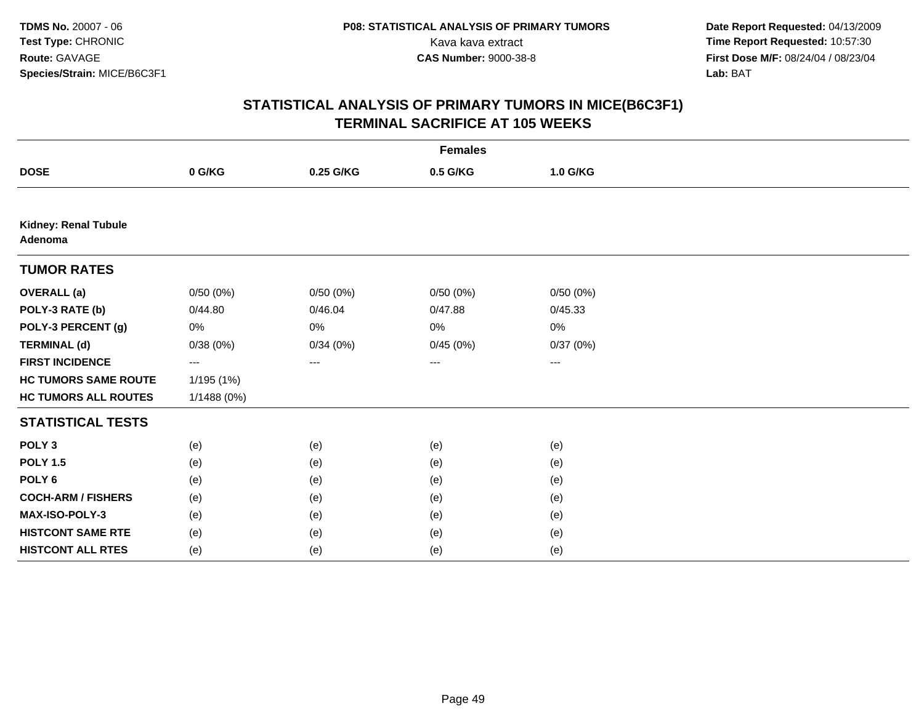|                                 | <b>Females</b> |           |          |          |  |  |  |
|---------------------------------|----------------|-----------|----------|----------|--|--|--|
| <b>DOSE</b>                     | 0 G/KG         | 0.25 G/KG | 0.5 G/KG | 1.0 G/KG |  |  |  |
|                                 |                |           |          |          |  |  |  |
| Kidney: Renal Tubule<br>Adenoma |                |           |          |          |  |  |  |
| <b>TUMOR RATES</b>              |                |           |          |          |  |  |  |
| <b>OVERALL</b> (a)              | 0/50(0%)       | 0/50(0%)  | 0/50(0%) | 0/50(0%) |  |  |  |
| POLY-3 RATE (b)                 | 0/44.80        | 0/46.04   | 0/47.88  | 0/45.33  |  |  |  |
| POLY-3 PERCENT (g)              | 0%             | 0%        | 0%       | 0%       |  |  |  |
| <b>TERMINAL (d)</b>             | 0/38(0%)       | 0/34(0%)  | 0/45(0%) | 0/37(0%) |  |  |  |
| <b>FIRST INCIDENCE</b>          | ---            | $---$     | ---      | ---      |  |  |  |
| <b>HC TUMORS SAME ROUTE</b>     | 1/195 (1%)     |           |          |          |  |  |  |
| <b>HC TUMORS ALL ROUTES</b>     | 1/1488 (0%)    |           |          |          |  |  |  |
| <b>STATISTICAL TESTS</b>        |                |           |          |          |  |  |  |
| POLY <sub>3</sub>               | (e)            | (e)       | (e)      | (e)      |  |  |  |
| <b>POLY 1.5</b>                 | (e)            | (e)       | (e)      | (e)      |  |  |  |
| POLY <sub>6</sub>               | (e)            | (e)       | (e)      | (e)      |  |  |  |
| <b>COCH-ARM / FISHERS</b>       | (e)            | (e)       | (e)      | (e)      |  |  |  |
| MAX-ISO-POLY-3                  | (e)            | (e)       | (e)      | (e)      |  |  |  |
| <b>HISTCONT SAME RTE</b>        | (e)            | (e)       | (e)      | (e)      |  |  |  |
| <b>HISTCONT ALL RTES</b>        | (e)            | (e)       | (e)      | (e)      |  |  |  |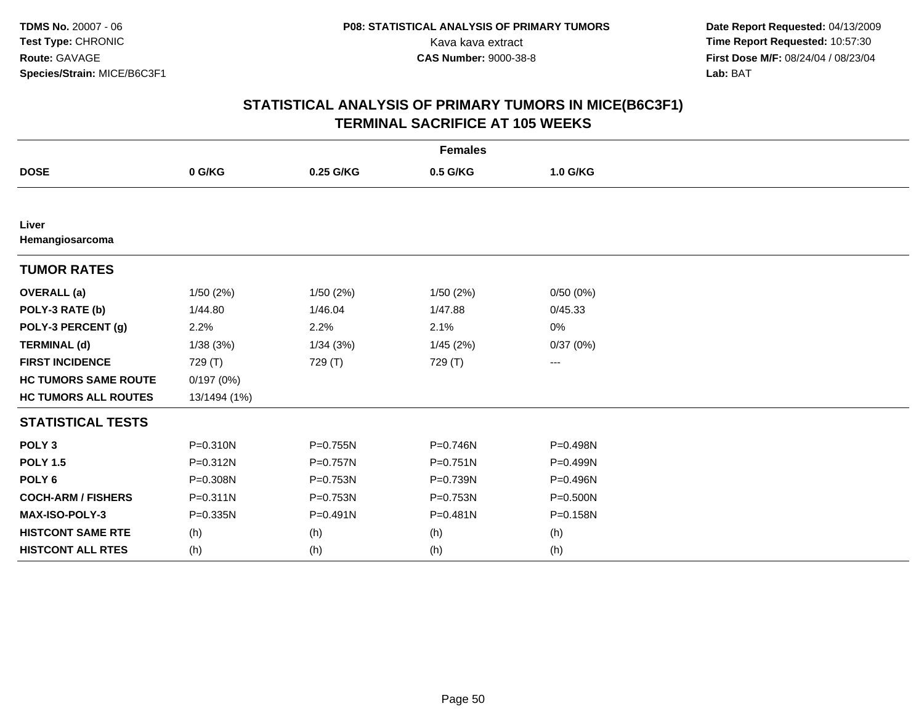| <b>Females</b>              |              |              |              |          |  |  |
|-----------------------------|--------------|--------------|--------------|----------|--|--|
| <b>DOSE</b>                 | 0 G/KG       | 0.25 G/KG    | 0.5 G/KG     | 1.0 G/KG |  |  |
|                             |              |              |              |          |  |  |
| Liver<br>Hemangiosarcoma    |              |              |              |          |  |  |
| <b>TUMOR RATES</b>          |              |              |              |          |  |  |
| <b>OVERALL</b> (a)          | 1/50(2%)     | 1/50(2%)     | 1/50(2%)     | 0/50(0%) |  |  |
| POLY-3 RATE (b)             | 1/44.80      | 1/46.04      | 1/47.88      | 0/45.33  |  |  |
| POLY-3 PERCENT (g)          | 2.2%         | 2.2%         | 2.1%         | 0%       |  |  |
| <b>TERMINAL (d)</b>         | 1/38(3%)     | 1/34(3%)     | 1/45(2%)     | 0/37(0%) |  |  |
| <b>FIRST INCIDENCE</b>      | 729 (T)      | 729 (T)      | 729 (T)      | ---      |  |  |
| <b>HC TUMORS SAME ROUTE</b> | 0/197(0%)    |              |              |          |  |  |
| <b>HC TUMORS ALL ROUTES</b> | 13/1494 (1%) |              |              |          |  |  |
| <b>STATISTICAL TESTS</b>    |              |              |              |          |  |  |
| POLY <sub>3</sub>           | $P = 0.310N$ | P=0.755N     | $P = 0.746N$ | P=0.498N |  |  |
| <b>POLY 1.5</b>             | P=0.312N     | $P = 0.757N$ | $P = 0.751N$ | P=0.499N |  |  |
| POLY <sub>6</sub>           | P=0.308N     | P=0.753N     | P=0.739N     | P=0.496N |  |  |
| <b>COCH-ARM / FISHERS</b>   | $P = 0.311N$ | P=0.753N     | P=0.753N     | P=0.500N |  |  |
| <b>MAX-ISO-POLY-3</b>       | P=0.335N     | $P = 0.491N$ | P=0.481N     | P=0.158N |  |  |
| <b>HISTCONT SAME RTE</b>    | (h)          | (h)          | (h)          | (h)      |  |  |
| <b>HISTCONT ALL RTES</b>    | (h)          | (h)          | (h)          | (h)      |  |  |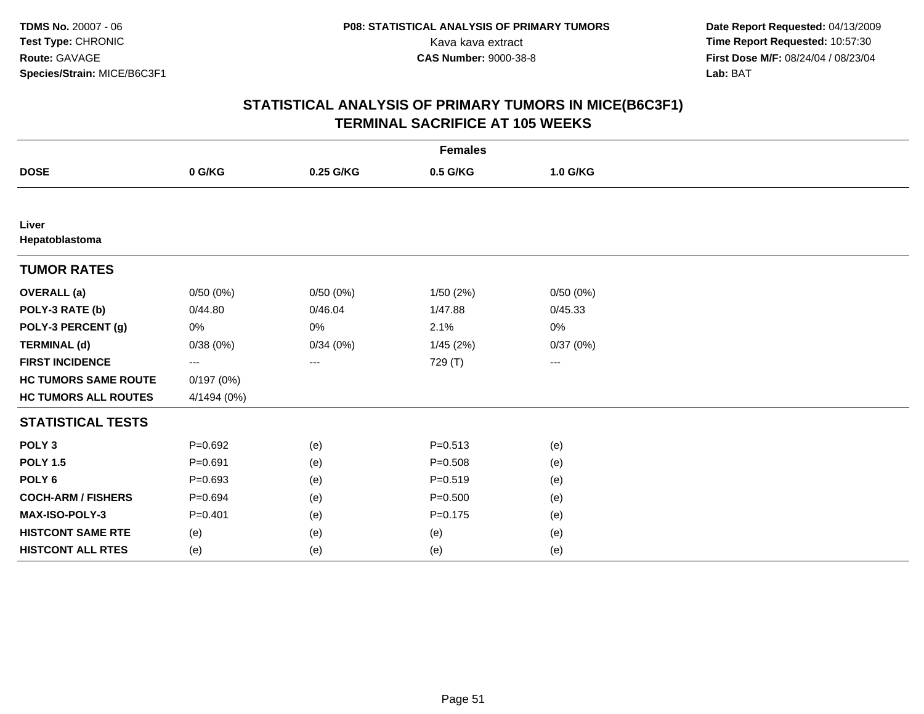| <b>Females</b>              |             |           |             |          |  |  |
|-----------------------------|-------------|-----------|-------------|----------|--|--|
| <b>DOSE</b>                 | 0 G/KG      | 0.25 G/KG | 0.5 G/KG    | 1.0 G/KG |  |  |
|                             |             |           |             |          |  |  |
| Liver<br>Hepatoblastoma     |             |           |             |          |  |  |
| <b>TUMOR RATES</b>          |             |           |             |          |  |  |
| <b>OVERALL</b> (a)          | 0/50(0%)    | 0/50(0%)  | 1/50(2%)    | 0/50(0%) |  |  |
| POLY-3 RATE (b)             | 0/44.80     | 0/46.04   | 1/47.88     | 0/45.33  |  |  |
| POLY-3 PERCENT (g)          | 0%          | 0%        | 2.1%        | 0%       |  |  |
| <b>TERMINAL (d)</b>         | 0/38(0%)    | 0/34(0%)  | 1/45(2%)    | 0/37(0%) |  |  |
| <b>FIRST INCIDENCE</b>      | ---         | ---       | 729 (T)     | ---      |  |  |
| <b>HC TUMORS SAME ROUTE</b> | 0/197(0%)   |           |             |          |  |  |
| <b>HC TUMORS ALL ROUTES</b> | 4/1494 (0%) |           |             |          |  |  |
| <b>STATISTICAL TESTS</b>    |             |           |             |          |  |  |
| POLY <sub>3</sub>           | $P=0.692$   | (e)       | $P = 0.513$ | (e)      |  |  |
| <b>POLY 1.5</b>             | $P = 0.691$ | (e)       | $P = 0.508$ | (e)      |  |  |
| POLY <sub>6</sub>           | $P=0.693$   | (e)       | $P = 0.519$ | (e)      |  |  |
| <b>COCH-ARM / FISHERS</b>   | $P = 0.694$ | (e)       | $P = 0.500$ | (e)      |  |  |
| MAX-ISO-POLY-3              | $P = 0.401$ | (e)       | $P = 0.175$ | (e)      |  |  |
| <b>HISTCONT SAME RTE</b>    | (e)         | (e)       | (e)         | (e)      |  |  |
| <b>HISTCONT ALL RTES</b>    | (e)         | (e)       | (e)         | (e)      |  |  |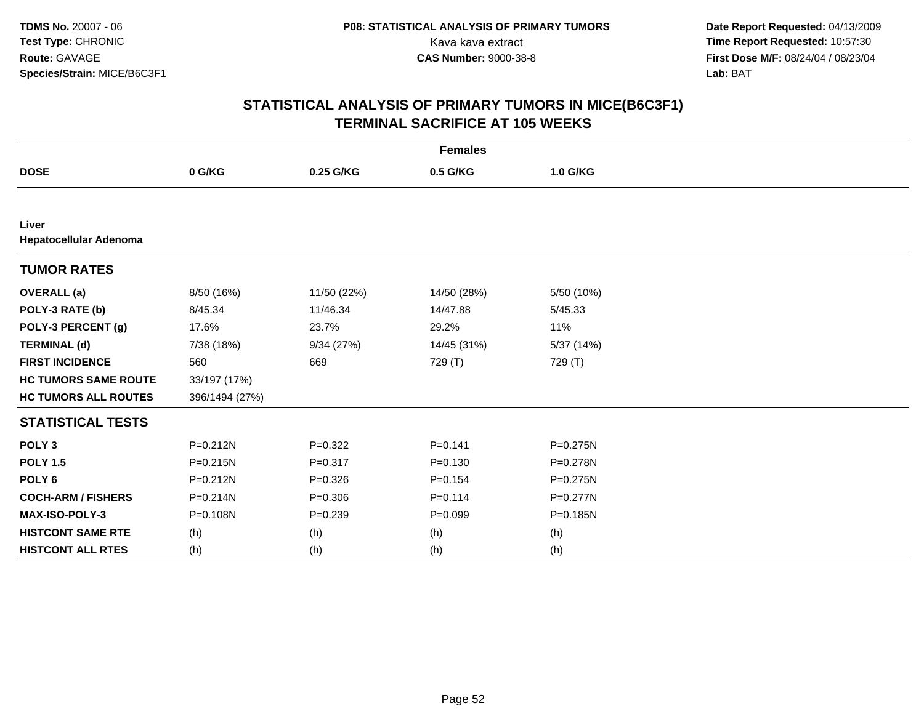| <b>Females</b>                  |                |             |             |              |  |  |
|---------------------------------|----------------|-------------|-------------|--------------|--|--|
| <b>DOSE</b>                     | 0 G/KG         | 0.25 G/KG   | 0.5 G/KG    | 1.0 G/KG     |  |  |
|                                 |                |             |             |              |  |  |
| Liver<br>Hepatocellular Adenoma |                |             |             |              |  |  |
| <b>TUMOR RATES</b>              |                |             |             |              |  |  |
| <b>OVERALL</b> (a)              | 8/50 (16%)     | 11/50 (22%) | 14/50 (28%) | 5/50 (10%)   |  |  |
| POLY-3 RATE (b)                 | 8/45.34        | 11/46.34    | 14/47.88    | 5/45.33      |  |  |
| POLY-3 PERCENT (g)              | 17.6%          | 23.7%       | 29.2%       | 11%          |  |  |
| <b>TERMINAL (d)</b>             | 7/38 (18%)     | 9/34(27%)   | 14/45 (31%) | 5/37(14%)    |  |  |
| <b>FIRST INCIDENCE</b>          | 560            | 669         | 729 (T)     | 729 (T)      |  |  |
| <b>HC TUMORS SAME ROUTE</b>     | 33/197 (17%)   |             |             |              |  |  |
| <b>HC TUMORS ALL ROUTES</b>     | 396/1494 (27%) |             |             |              |  |  |
| <b>STATISTICAL TESTS</b>        |                |             |             |              |  |  |
| POLY <sub>3</sub>               | $P = 0.212N$   | $P=0.322$   | $P = 0.141$ | P=0.275N     |  |  |
| <b>POLY 1.5</b>                 | $P = 0.215N$   | $P = 0.317$ | $P = 0.130$ | P=0.278N     |  |  |
| POLY <sub>6</sub>               | $P = 0.212N$   | $P = 0.326$ | $P = 0.154$ | P=0.275N     |  |  |
| <b>COCH-ARM / FISHERS</b>       | $P = 0.214N$   | $P = 0.306$ | $P = 0.114$ | $P = 0.277N$ |  |  |
| <b>MAX-ISO-POLY-3</b>           | P=0.108N       | $P = 0.239$ | $P = 0.099$ | P=0.185N     |  |  |
| <b>HISTCONT SAME RTE</b>        | (h)            | (h)         | (h)         | (h)          |  |  |
| <b>HISTCONT ALL RTES</b>        | (h)            | (h)         | (h)         | (h)          |  |  |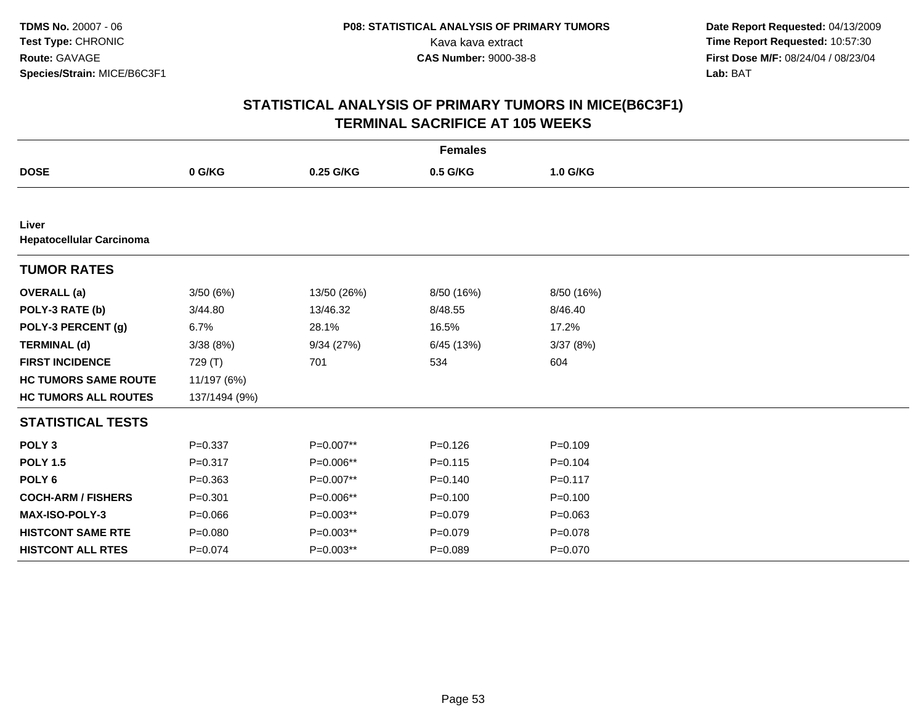| <b>Females</b>                           |               |             |             |             |  |  |
|------------------------------------------|---------------|-------------|-------------|-------------|--|--|
| <b>DOSE</b>                              | 0 G/KG        | 0.25 G/KG   | 0.5 G/KG    | 1.0 G/KG    |  |  |
|                                          |               |             |             |             |  |  |
| Liver<br><b>Hepatocellular Carcinoma</b> |               |             |             |             |  |  |
| <b>TUMOR RATES</b>                       |               |             |             |             |  |  |
| <b>OVERALL</b> (a)                       | 3/50(6%)      | 13/50 (26%) | 8/50 (16%)  | 8/50 (16%)  |  |  |
| POLY-3 RATE (b)                          | 3/44.80       | 13/46.32    | 8/48.55     | 8/46.40     |  |  |
| POLY-3 PERCENT (g)                       | 6.7%          | 28.1%       | 16.5%       | 17.2%       |  |  |
| <b>TERMINAL (d)</b>                      | 3/38(8%)      | 9/34(27%)   | 6/45 (13%)  | 3/37(8%)    |  |  |
| <b>FIRST INCIDENCE</b>                   | 729 (T)       | 701         | 534         | 604         |  |  |
| <b>HC TUMORS SAME ROUTE</b>              | 11/197 (6%)   |             |             |             |  |  |
| <b>HC TUMORS ALL ROUTES</b>              | 137/1494 (9%) |             |             |             |  |  |
| <b>STATISTICAL TESTS</b>                 |               |             |             |             |  |  |
| POLY <sub>3</sub>                        | $P = 0.337$   | P=0.007**   | $P = 0.126$ | $P=0.109$   |  |  |
| <b>POLY 1.5</b>                          | $P = 0.317$   | P=0.006**   | $P = 0.115$ | $P=0.104$   |  |  |
| POLY <sub>6</sub>                        | $P = 0.363$   | P=0.007**   | $P = 0.140$ | $P=0.117$   |  |  |
| <b>COCH-ARM / FISHERS</b>                | $P = 0.301$   | P=0.006**   | $P = 0.100$ | $P=0.100$   |  |  |
| MAX-ISO-POLY-3                           | $P = 0.066$   | P=0.003**   | $P = 0.079$ | $P=0.063$   |  |  |
| <b>HISTCONT SAME RTE</b>                 | $P = 0.080$   | P=0.003**   | $P = 0.079$ | $P = 0.078$ |  |  |
| <b>HISTCONT ALL RTES</b>                 | $P = 0.074$   | P=0.003**   | $P = 0.089$ | $P = 0.070$ |  |  |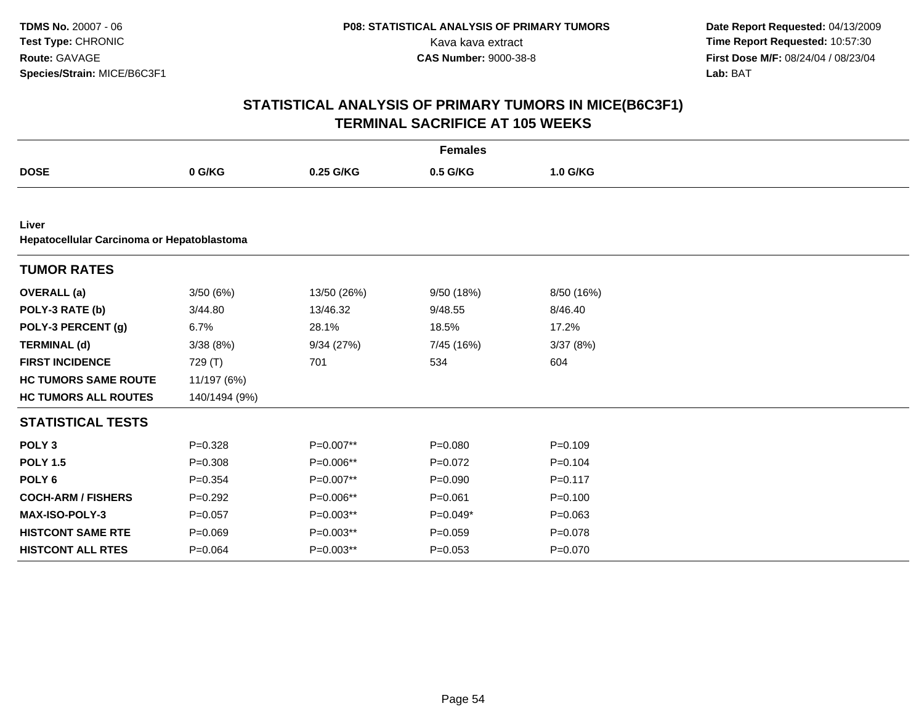|                                                     | <b>Females</b> |             |             |             |  |  |  |  |
|-----------------------------------------------------|----------------|-------------|-------------|-------------|--|--|--|--|
| <b>DOSE</b>                                         | 0 G/KG         | 0.25 G/KG   | 0.5 G/KG    | 1.0 G/KG    |  |  |  |  |
|                                                     |                |             |             |             |  |  |  |  |
| Liver<br>Hepatocellular Carcinoma or Hepatoblastoma |                |             |             |             |  |  |  |  |
| <b>TUMOR RATES</b>                                  |                |             |             |             |  |  |  |  |
| <b>OVERALL</b> (a)                                  | 3/50(6%)       | 13/50 (26%) | 9/50(18%)   | 8/50 (16%)  |  |  |  |  |
| POLY-3 RATE (b)                                     | 3/44.80        | 13/46.32    | 9/48.55     | 8/46.40     |  |  |  |  |
| POLY-3 PERCENT (g)                                  | 6.7%           | 28.1%       | 18.5%       | 17.2%       |  |  |  |  |
| <b>TERMINAL (d)</b>                                 | 3/38(8%)       | 9/34(27%)   | 7/45 (16%)  | 3/37(8%)    |  |  |  |  |
| <b>FIRST INCIDENCE</b>                              | 729 (T)        | 701         | 534         | 604         |  |  |  |  |
| <b>HC TUMORS SAME ROUTE</b>                         | 11/197 (6%)    |             |             |             |  |  |  |  |
| <b>HC TUMORS ALL ROUTES</b>                         | 140/1494 (9%)  |             |             |             |  |  |  |  |
| <b>STATISTICAL TESTS</b>                            |                |             |             |             |  |  |  |  |
| POLY <sub>3</sub>                                   | $P = 0.328$    | P=0.007**   | $P = 0.080$ | $P = 0.109$ |  |  |  |  |
| <b>POLY 1.5</b>                                     | $P = 0.308$    | P=0.006**   | $P=0.072$   | $P=0.104$   |  |  |  |  |
| POLY <sub>6</sub>                                   | $P = 0.354$    | P=0.007**   | $P = 0.090$ | $P = 0.117$ |  |  |  |  |
| <b>COCH-ARM / FISHERS</b>                           | $P=0.292$      | P=0.006**   | $P = 0.061$ | $P=0.100$   |  |  |  |  |
| <b>MAX-ISO-POLY-3</b>                               | $P=0.057$      | P=0.003**   | $P=0.049*$  | $P=0.063$   |  |  |  |  |
| <b>HISTCONT SAME RTE</b>                            | $P = 0.069$    | P=0.003**   | $P = 0.059$ | $P = 0.078$ |  |  |  |  |
| <b>HISTCONT ALL RTES</b>                            | $P = 0.064$    | P=0.003**   | $P = 0.053$ | $P = 0.070$ |  |  |  |  |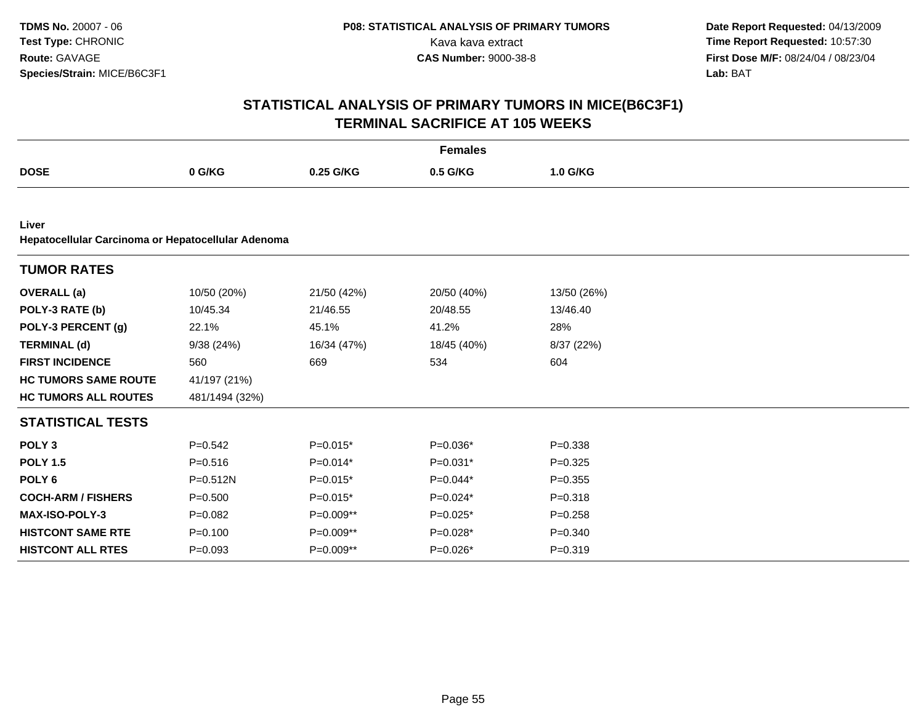|                                                             | <b>Females</b> |             |             |             |  |  |  |  |
|-------------------------------------------------------------|----------------|-------------|-------------|-------------|--|--|--|--|
| <b>DOSE</b>                                                 | 0 G/KG         | 0.25 G/KG   | 0.5 G/KG    | 1.0 G/KG    |  |  |  |  |
|                                                             |                |             |             |             |  |  |  |  |
| Liver<br>Hepatocellular Carcinoma or Hepatocellular Adenoma |                |             |             |             |  |  |  |  |
| <b>TUMOR RATES</b>                                          |                |             |             |             |  |  |  |  |
| <b>OVERALL (a)</b>                                          | 10/50 (20%)    | 21/50 (42%) | 20/50 (40%) | 13/50 (26%) |  |  |  |  |
| POLY-3 RATE (b)                                             | 10/45.34       | 21/46.55    | 20/48.55    | 13/46.40    |  |  |  |  |
| POLY-3 PERCENT (g)                                          | 22.1%          | 45.1%       | 41.2%       | 28%         |  |  |  |  |
| <b>TERMINAL (d)</b>                                         | 9/38(24%)      | 16/34 (47%) | 18/45 (40%) | 8/37 (22%)  |  |  |  |  |
| <b>FIRST INCIDENCE</b>                                      | 560            | 669         | 534         | 604         |  |  |  |  |
| <b>HC TUMORS SAME ROUTE</b>                                 | 41/197 (21%)   |             |             |             |  |  |  |  |
| <b>HC TUMORS ALL ROUTES</b>                                 | 481/1494 (32%) |             |             |             |  |  |  |  |
| <b>STATISTICAL TESTS</b>                                    |                |             |             |             |  |  |  |  |
| POLY <sub>3</sub>                                           | $P = 0.542$    | $P=0.015*$  | $P=0.036*$  | $P = 0.338$ |  |  |  |  |
| <b>POLY 1.5</b>                                             | $P = 0.516$    | $P=0.014*$  | $P=0.031*$  | $P = 0.325$ |  |  |  |  |
| POLY <sub>6</sub>                                           | $P = 0.512N$   | $P=0.015*$  | $P=0.044*$  | $P = 0.355$ |  |  |  |  |
| <b>COCH-ARM / FISHERS</b>                                   | $P = 0.500$    | $P=0.015*$  | $P=0.024*$  | $P = 0.318$ |  |  |  |  |
| MAX-ISO-POLY-3                                              | $P=0.082$      | P=0.009**   | $P=0.025*$  | $P = 0.258$ |  |  |  |  |
| <b>HISTCONT SAME RTE</b>                                    | $P=0.100$      | P=0.009**   | $P=0.028*$  | $P = 0.340$ |  |  |  |  |
| <b>HISTCONT ALL RTES</b>                                    | $P = 0.093$    | P=0.009**   | P=0.026*    | $P = 0.319$ |  |  |  |  |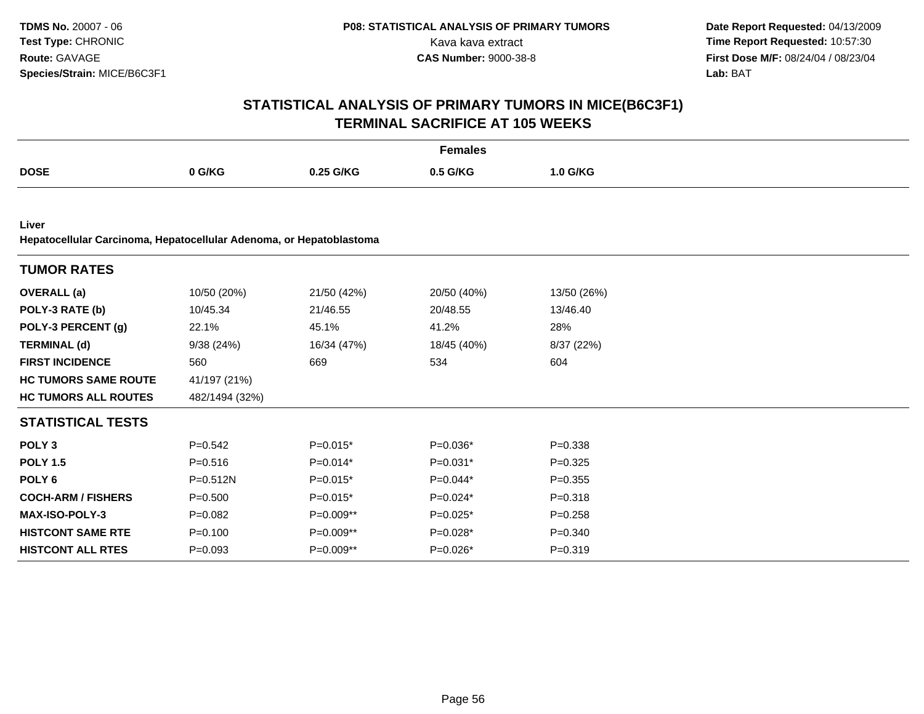| <b>Females</b>                                                               |                |             |             |             |  |  |  |  |
|------------------------------------------------------------------------------|----------------|-------------|-------------|-------------|--|--|--|--|
| <b>DOSE</b>                                                                  | 0 G/KG         | 0.25 G/KG   | 0.5 G/KG    | 1.0 G/KG    |  |  |  |  |
|                                                                              |                |             |             |             |  |  |  |  |
| Liver<br>Hepatocellular Carcinoma, Hepatocellular Adenoma, or Hepatoblastoma |                |             |             |             |  |  |  |  |
| <b>TUMOR RATES</b>                                                           |                |             |             |             |  |  |  |  |
| <b>OVERALL</b> (a)                                                           | 10/50 (20%)    | 21/50 (42%) | 20/50 (40%) | 13/50 (26%) |  |  |  |  |
| POLY-3 RATE (b)                                                              | 10/45.34       | 21/46.55    | 20/48.55    | 13/46.40    |  |  |  |  |
| POLY-3 PERCENT (g)                                                           | 22.1%          | 45.1%       | 41.2%       | 28%         |  |  |  |  |
| <b>TERMINAL (d)</b>                                                          | 9/38(24%)      | 16/34 (47%) | 18/45 (40%) | 8/37 (22%)  |  |  |  |  |
| <b>FIRST INCIDENCE</b>                                                       | 560            | 669         | 534         | 604         |  |  |  |  |
| <b>HC TUMORS SAME ROUTE</b>                                                  | 41/197 (21%)   |             |             |             |  |  |  |  |
| <b>HC TUMORS ALL ROUTES</b>                                                  | 482/1494 (32%) |             |             |             |  |  |  |  |
| <b>STATISTICAL TESTS</b>                                                     |                |             |             |             |  |  |  |  |
| POLY <sub>3</sub>                                                            | $P = 0.542$    | $P=0.015*$  | $P=0.036*$  | $P = 0.338$ |  |  |  |  |
| <b>POLY 1.5</b>                                                              | $P = 0.516$    | $P=0.014*$  | $P=0.031*$  | $P = 0.325$ |  |  |  |  |
| POLY <sub>6</sub>                                                            | P=0.512N       | $P=0.015*$  | $P=0.044*$  | $P = 0.355$ |  |  |  |  |
| <b>COCH-ARM / FISHERS</b>                                                    | $P = 0.500$    | $P=0.015*$  | $P=0.024*$  | $P = 0.318$ |  |  |  |  |
| MAX-ISO-POLY-3                                                               | $P=0.082$      | P=0.009**   | $P=0.025*$  | $P = 0.258$ |  |  |  |  |
| <b>HISTCONT SAME RTE</b>                                                     | $P = 0.100$    | $P=0.009**$ | $P=0.028*$  | $P = 0.340$ |  |  |  |  |
| <b>HISTCONT ALL RTES</b>                                                     | $P = 0.093$    | $P=0.009**$ | $P=0.026*$  | $P = 0.319$ |  |  |  |  |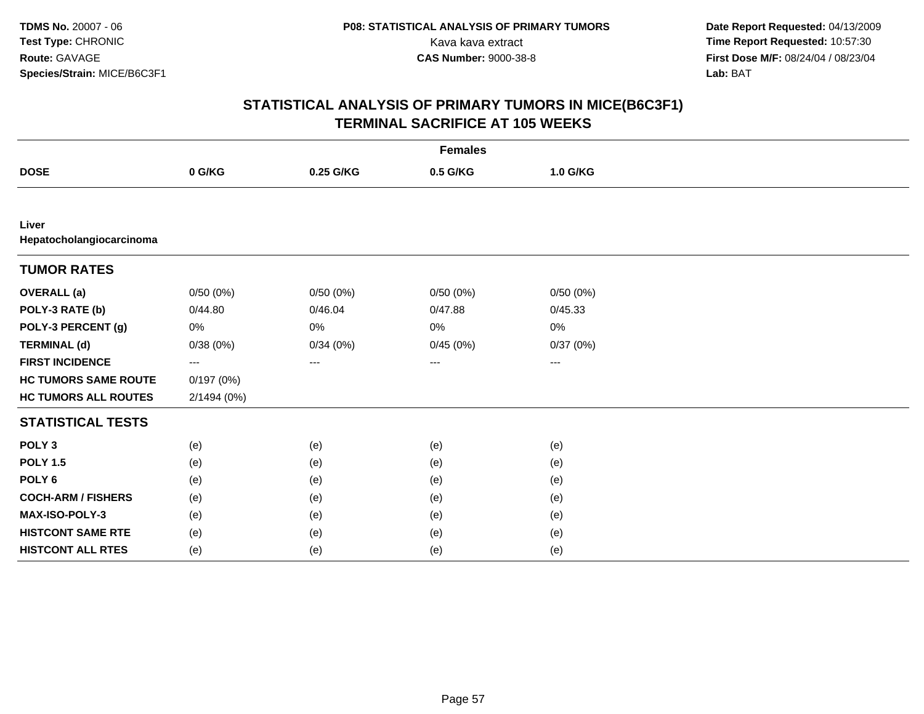|                                   | <b>Females</b> |           |          |          |  |  |  |  |
|-----------------------------------|----------------|-----------|----------|----------|--|--|--|--|
| <b>DOSE</b>                       | 0 G/KG         | 0.25 G/KG | 0.5 G/KG | 1.0 G/KG |  |  |  |  |
|                                   |                |           |          |          |  |  |  |  |
| Liver<br>Hepatocholangiocarcinoma |                |           |          |          |  |  |  |  |
| <b>TUMOR RATES</b>                |                |           |          |          |  |  |  |  |
| <b>OVERALL (a)</b>                | 0/50(0%)       | 0/50(0%)  | 0/50(0%) | 0/50(0%) |  |  |  |  |
| POLY-3 RATE (b)                   | 0/44.80        | 0/46.04   | 0/47.88  | 0/45.33  |  |  |  |  |
| POLY-3 PERCENT (g)                | 0%             | 0%        | 0%       | 0%       |  |  |  |  |
| <b>TERMINAL (d)</b>               | 0/38(0%)       | 0/34(0%)  | 0/45(0%) | 0/37(0%) |  |  |  |  |
| <b>FIRST INCIDENCE</b>            | ---            | $\cdots$  | ---      | ---      |  |  |  |  |
| <b>HC TUMORS SAME ROUTE</b>       | 0/197(0%)      |           |          |          |  |  |  |  |
| <b>HC TUMORS ALL ROUTES</b>       | 2/1494 (0%)    |           |          |          |  |  |  |  |
| <b>STATISTICAL TESTS</b>          |                |           |          |          |  |  |  |  |
| POLY <sub>3</sub>                 | (e)            | (e)       | (e)      | (e)      |  |  |  |  |
| <b>POLY 1.5</b>                   | (e)            | (e)       | (e)      | (e)      |  |  |  |  |
| POLY <sub>6</sub>                 | (e)            | (e)       | (e)      | (e)      |  |  |  |  |
| <b>COCH-ARM / FISHERS</b>         | (e)            | (e)       | (e)      | (e)      |  |  |  |  |
| MAX-ISO-POLY-3                    | (e)            | (e)       | (e)      | (e)      |  |  |  |  |
| <b>HISTCONT SAME RTE</b>          | (e)            | (e)       | (e)      | (e)      |  |  |  |  |
| <b>HISTCONT ALL RTES</b>          | (e)            | (e)       | (e)      | (e)      |  |  |  |  |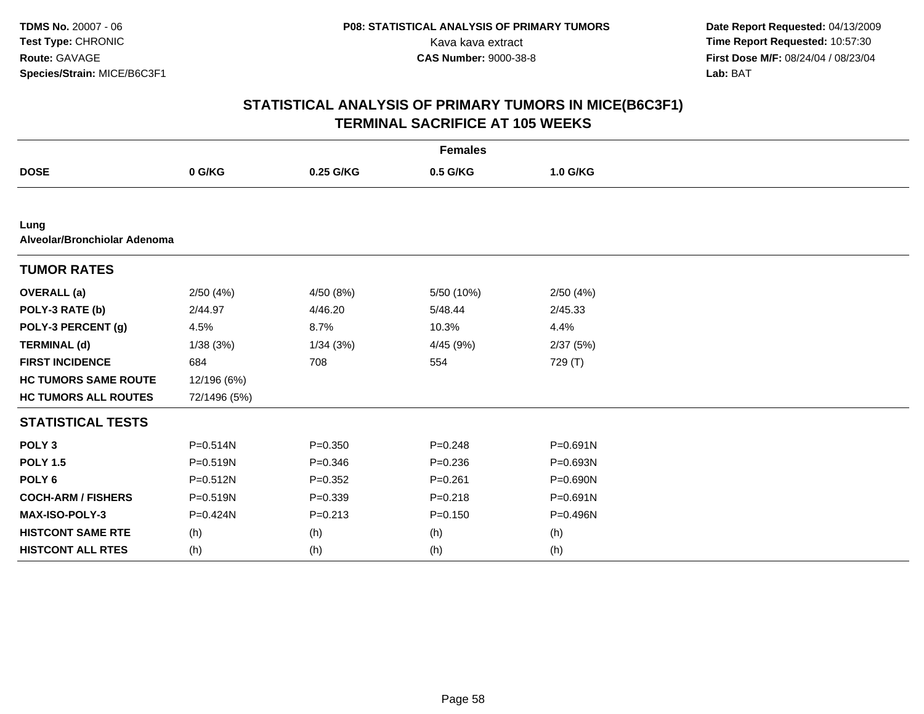| <b>Females</b>                       |              |             |             |          |  |  |  |  |
|--------------------------------------|--------------|-------------|-------------|----------|--|--|--|--|
| <b>DOSE</b>                          | 0 G/KG       | 0.25 G/KG   | 0.5 G/KG    | 1.0 G/KG |  |  |  |  |
|                                      |              |             |             |          |  |  |  |  |
| Lung<br>Alveolar/Bronchiolar Adenoma |              |             |             |          |  |  |  |  |
| <b>TUMOR RATES</b>                   |              |             |             |          |  |  |  |  |
| <b>OVERALL</b> (a)                   | 2/50(4%)     | 4/50 (8%)   | 5/50 (10%)  | 2/50(4%) |  |  |  |  |
| POLY-3 RATE (b)                      | 2/44.97      | 4/46.20     | 5/48.44     | 2/45.33  |  |  |  |  |
| POLY-3 PERCENT (g)                   | 4.5%         | 8.7%        | 10.3%       | 4.4%     |  |  |  |  |
| <b>TERMINAL (d)</b>                  | 1/38(3%)     | 1/34(3%)    | 4/45 (9%)   | 2/37(5%) |  |  |  |  |
| <b>FIRST INCIDENCE</b>               | 684          | 708         | 554         | 729 (T)  |  |  |  |  |
| <b>HC TUMORS SAME ROUTE</b>          | 12/196 (6%)  |             |             |          |  |  |  |  |
| <b>HC TUMORS ALL ROUTES</b>          | 72/1496 (5%) |             |             |          |  |  |  |  |
| <b>STATISTICAL TESTS</b>             |              |             |             |          |  |  |  |  |
| POLY <sub>3</sub>                    | $P = 0.514N$ | $P = 0.350$ | $P = 0.248$ | P=0.691N |  |  |  |  |
| <b>POLY 1.5</b>                      | $P = 0.519N$ | $P = 0.346$ | $P = 0.236$ | P=0.693N |  |  |  |  |
| POLY <sub>6</sub>                    | $P = 0.512N$ | $P=0.352$   | $P = 0.261$ | P=0.690N |  |  |  |  |
| <b>COCH-ARM / FISHERS</b>            | P=0.519N     | $P = 0.339$ | $P = 0.218$ | P=0.691N |  |  |  |  |
| MAX-ISO-POLY-3                       | P=0.424N     | $P = 0.213$ | $P = 0.150$ | P=0.496N |  |  |  |  |
| <b>HISTCONT SAME RTE</b>             | (h)          | (h)         | (h)         | (h)      |  |  |  |  |
| <b>HISTCONT ALL RTES</b>             | (h)          | (h)         | (h)         | (h)      |  |  |  |  |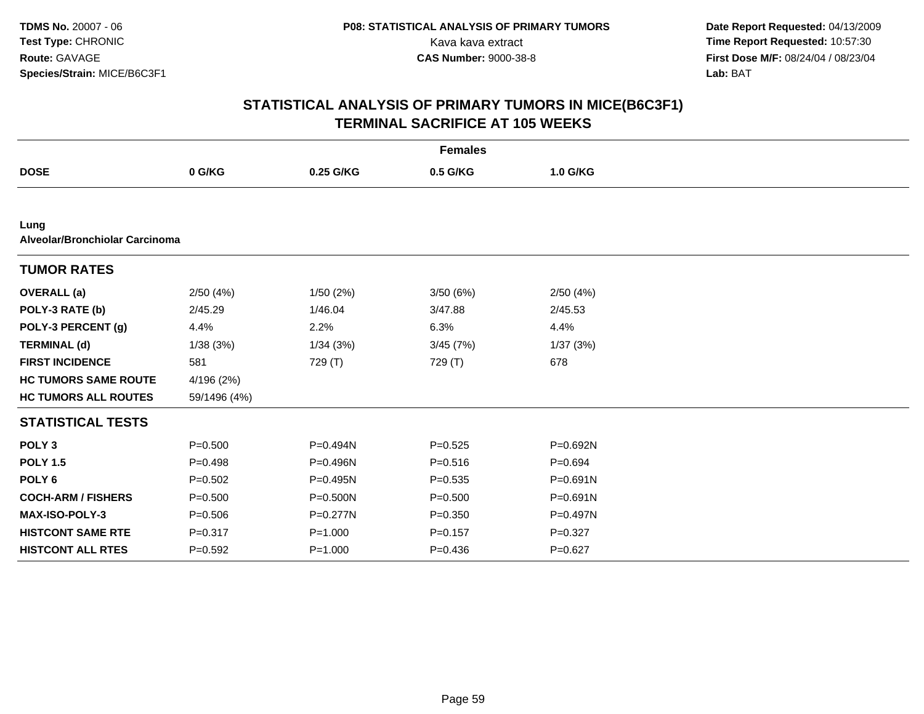| <b>Females</b>                         |              |              |             |             |  |  |  |  |
|----------------------------------------|--------------|--------------|-------------|-------------|--|--|--|--|
| <b>DOSE</b>                            | 0 G/KG       | 0.25 G/KG    | 0.5 G/KG    | 1.0 G/KG    |  |  |  |  |
|                                        |              |              |             |             |  |  |  |  |
| Lung<br>Alveolar/Bronchiolar Carcinoma |              |              |             |             |  |  |  |  |
| <b>TUMOR RATES</b>                     |              |              |             |             |  |  |  |  |
| <b>OVERALL</b> (a)                     | 2/50(4%)     | 1/50(2%)     | 3/50(6%)    | 2/50(4%)    |  |  |  |  |
| POLY-3 RATE (b)                        | 2/45.29      | 1/46.04      | 3/47.88     | 2/45.53     |  |  |  |  |
| POLY-3 PERCENT (g)                     | 4.4%         | 2.2%         | 6.3%        | 4.4%        |  |  |  |  |
| <b>TERMINAL (d)</b>                    | 1/38(3%)     | 1/34(3%)     | 3/45(7%)    | 1/37(3%)    |  |  |  |  |
| <b>FIRST INCIDENCE</b>                 | 581          | 729 (T)      | 729 (T)     | 678         |  |  |  |  |
| <b>HC TUMORS SAME ROUTE</b>            | 4/196 (2%)   |              |             |             |  |  |  |  |
| <b>HC TUMORS ALL ROUTES</b>            | 59/1496 (4%) |              |             |             |  |  |  |  |
| <b>STATISTICAL TESTS</b>               |              |              |             |             |  |  |  |  |
| POLY <sub>3</sub>                      | $P = 0.500$  | P=0.494N     | $P = 0.525$ | P=0.692N    |  |  |  |  |
| <b>POLY 1.5</b>                        | $P = 0.498$  | P=0.496N     | $P = 0.516$ | $P=0.694$   |  |  |  |  |
| POLY <sub>6</sub>                      | $P = 0.502$  | $P=0.495N$   | $P = 0.535$ | P=0.691N    |  |  |  |  |
| <b>COCH-ARM / FISHERS</b>              | $P = 0.500$  | P=0.500N     | $P = 0.500$ | P=0.691N    |  |  |  |  |
| <b>MAX-ISO-POLY-3</b>                  | $P = 0.506$  | $P = 0.277N$ | $P = 0.350$ | P=0.497N    |  |  |  |  |
| <b>HISTCONT SAME RTE</b>               | $P = 0.317$  | $P = 1.000$  | $P = 0.157$ | $P = 0.327$ |  |  |  |  |
| <b>HISTCONT ALL RTES</b>               | $P = 0.592$  | $P = 1.000$  | $P = 0.436$ | $P=0.627$   |  |  |  |  |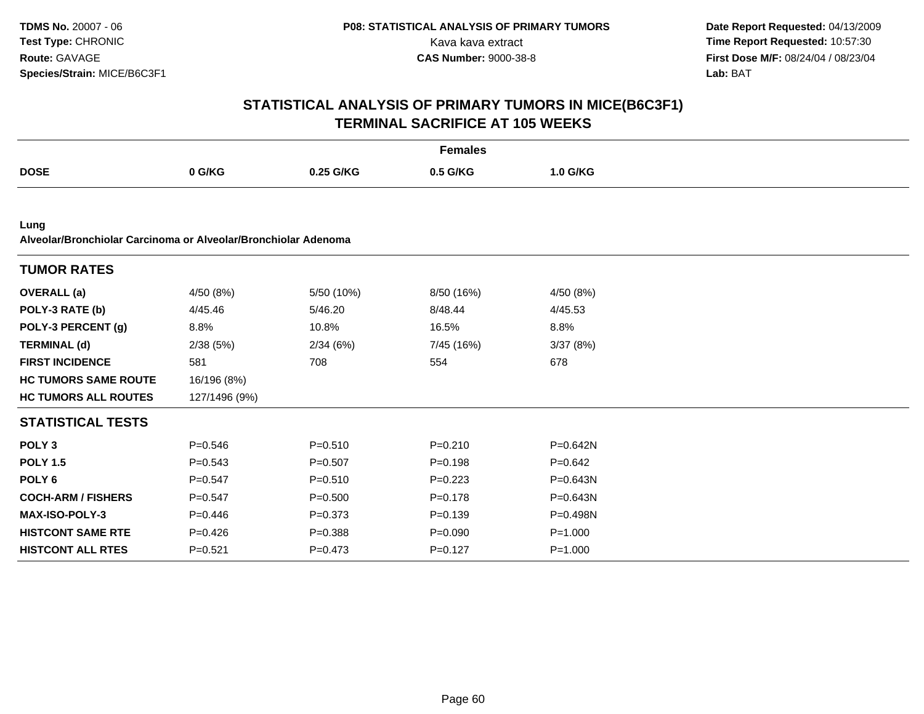|                                                                        | <b>Females</b> |             |             |              |  |  |  |  |
|------------------------------------------------------------------------|----------------|-------------|-------------|--------------|--|--|--|--|
| <b>DOSE</b>                                                            | 0 G/KG         | 0.25 G/KG   | 0.5 G/KG    | 1.0 G/KG     |  |  |  |  |
|                                                                        |                |             |             |              |  |  |  |  |
| Lung<br>Alveolar/Bronchiolar Carcinoma or Alveolar/Bronchiolar Adenoma |                |             |             |              |  |  |  |  |
| <b>TUMOR RATES</b>                                                     |                |             |             |              |  |  |  |  |
| <b>OVERALL</b> (a)                                                     | 4/50 (8%)      | 5/50 (10%)  | 8/50 (16%)  | 4/50 (8%)    |  |  |  |  |
| POLY-3 RATE (b)                                                        | 4/45.46        | 5/46.20     | 8/48.44     | 4/45.53      |  |  |  |  |
| POLY-3 PERCENT (g)                                                     | 8.8%           | 10.8%       | 16.5%       | 8.8%         |  |  |  |  |
| <b>TERMINAL (d)</b>                                                    | 2/38(5%)       | 2/34(6%)    | 7/45 (16%)  | 3/37(8%)     |  |  |  |  |
| <b>FIRST INCIDENCE</b>                                                 | 581            | 708         | 554         | 678          |  |  |  |  |
| <b>HC TUMORS SAME ROUTE</b>                                            | 16/196 (8%)    |             |             |              |  |  |  |  |
| <b>HC TUMORS ALL ROUTES</b>                                            | 127/1496 (9%)  |             |             |              |  |  |  |  |
| <b>STATISTICAL TESTS</b>                                               |                |             |             |              |  |  |  |  |
| POLY <sub>3</sub>                                                      | $P = 0.546$    | $P = 0.510$ | $P = 0.210$ | $P = 0.642N$ |  |  |  |  |
| <b>POLY 1.5</b>                                                        | $P = 0.543$    | $P = 0.507$ | $P = 0.198$ | $P = 0.642$  |  |  |  |  |
| POLY <sub>6</sub>                                                      | $P = 0.547$    | $P = 0.510$ | $P=0.223$   | $P = 0.643N$ |  |  |  |  |
| <b>COCH-ARM / FISHERS</b>                                              | $P = 0.547$    | $P = 0.500$ | $P = 0.178$ | $P = 0.643N$ |  |  |  |  |
| <b>MAX-ISO-POLY-3</b>                                                  | $P=0.446$      | $P = 0.373$ | $P = 0.139$ | P=0.498N     |  |  |  |  |
| <b>HISTCONT SAME RTE</b>                                               | $P = 0.426$    | $P = 0.388$ | $P = 0.090$ | $P = 1.000$  |  |  |  |  |
| <b>HISTCONT ALL RTES</b>                                               | $P = 0.521$    | $P = 0.473$ | $P=0.127$   | $P = 1.000$  |  |  |  |  |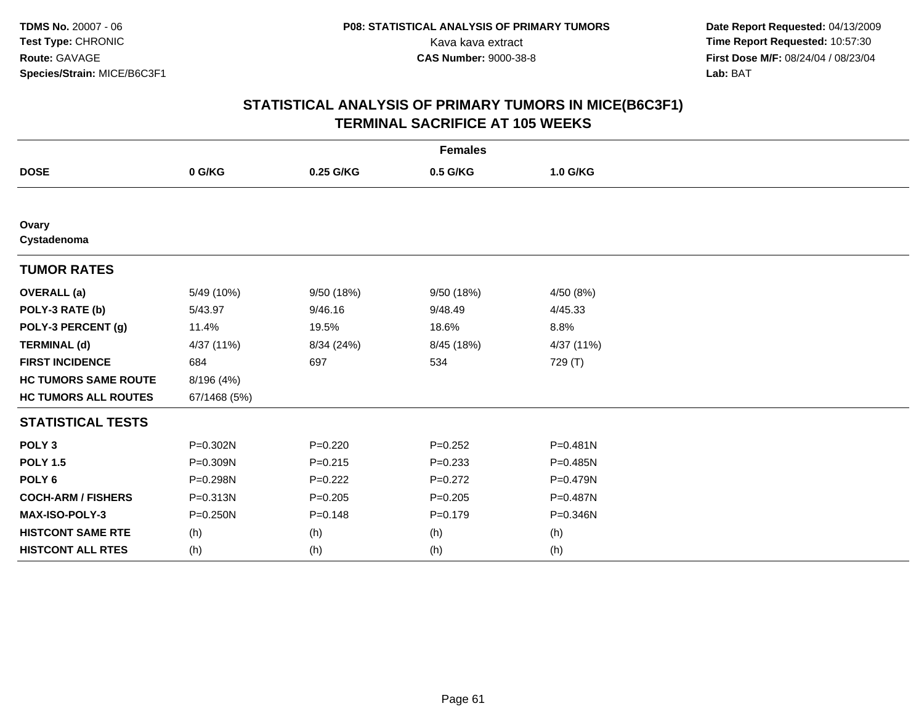| <b>Females</b>              |              |             |             |            |  |  |
|-----------------------------|--------------|-------------|-------------|------------|--|--|
| <b>DOSE</b>                 | 0 G/KG       | 0.25 G/KG   | 0.5 G/KG    | 1.0 G/KG   |  |  |
|                             |              |             |             |            |  |  |
| Ovary<br>Cystadenoma        |              |             |             |            |  |  |
| <b>TUMOR RATES</b>          |              |             |             |            |  |  |
| <b>OVERALL</b> (a)          | 5/49 (10%)   | 9/50 (18%)  | 9/50 (18%)  | 4/50 (8%)  |  |  |
| POLY-3 RATE (b)             | 5/43.97      | 9/46.16     | 9/48.49     | 4/45.33    |  |  |
| POLY-3 PERCENT (g)          | 11.4%        | 19.5%       | 18.6%       | 8.8%       |  |  |
| <b>TERMINAL (d)</b>         | 4/37 (11%)   | 8/34 (24%)  | 8/45 (18%)  | 4/37 (11%) |  |  |
| <b>FIRST INCIDENCE</b>      | 684          | 697         | 534         | 729 (T)    |  |  |
| <b>HC TUMORS SAME ROUTE</b> | 8/196 (4%)   |             |             |            |  |  |
| <b>HC TUMORS ALL ROUTES</b> | 67/1468 (5%) |             |             |            |  |  |
| <b>STATISTICAL TESTS</b>    |              |             |             |            |  |  |
| POLY <sub>3</sub>           | P=0.302N     | $P=0.220$   | $P=0.252$   | P=0.481N   |  |  |
| <b>POLY 1.5</b>             | P=0.309N     | $P = 0.215$ | $P=0.233$   | P=0.485N   |  |  |
| POLY <sub>6</sub>           | P=0.298N     | $P=0.222$   | $P=0.272$   | P=0.479N   |  |  |
| <b>COCH-ARM / FISHERS</b>   | P=0.313N     | $P = 0.205$ | $P = 0.205$ | P=0.487N   |  |  |
| MAX-ISO-POLY-3              | $P = 0.250N$ | $P = 0.148$ | $P = 0.179$ | P=0.346N   |  |  |
| <b>HISTCONT SAME RTE</b>    | (h)          | (h)         | (h)         | (h)        |  |  |
| <b>HISTCONT ALL RTES</b>    | (h)          | (h)         | (h)         | (h)        |  |  |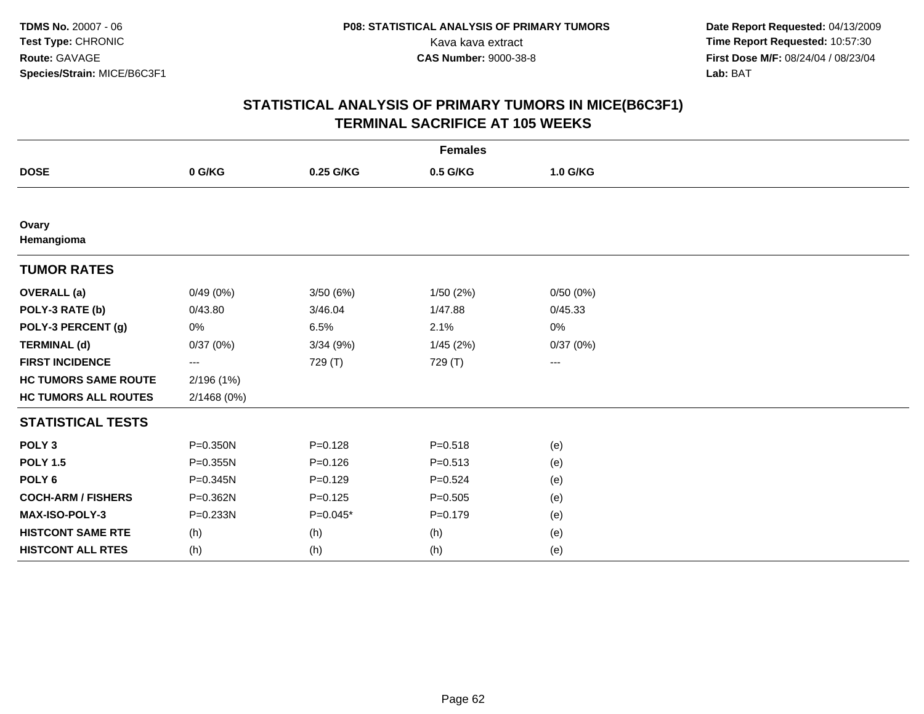| <b>Females</b>              |             |             |             |          |  |  |
|-----------------------------|-------------|-------------|-------------|----------|--|--|
| <b>DOSE</b>                 | 0 G/KG      | 0.25 G/KG   | 0.5 G/KG    | 1.0 G/KG |  |  |
|                             |             |             |             |          |  |  |
| Ovary<br>Hemangioma         |             |             |             |          |  |  |
| <b>TUMOR RATES</b>          |             |             |             |          |  |  |
| <b>OVERALL (a)</b>          | 0/49(0%)    | 3/50(6%)    | 1/50(2%)    | 0/50(0%) |  |  |
| POLY-3 RATE (b)             | 0/43.80     | 3/46.04     | 1/47.88     | 0/45.33  |  |  |
| POLY-3 PERCENT (g)          | 0%          | 6.5%        | 2.1%        | 0%       |  |  |
| <b>TERMINAL (d)</b>         | 0/37(0%)    | 3/34(9%)    | 1/45(2%)    | 0/37(0%) |  |  |
| <b>FIRST INCIDENCE</b>      | ---         | 729 (T)     | 729 (T)     | ---      |  |  |
| <b>HC TUMORS SAME ROUTE</b> | 2/196 (1%)  |             |             |          |  |  |
| <b>HC TUMORS ALL ROUTES</b> | 2/1468 (0%) |             |             |          |  |  |
| <b>STATISTICAL TESTS</b>    |             |             |             |          |  |  |
| POLY <sub>3</sub>           | P=0.350N    | $P = 0.128$ | $P = 0.518$ | (e)      |  |  |
| <b>POLY 1.5</b>             | P=0.355N    | $P = 0.126$ | $P = 0.513$ | (e)      |  |  |
| POLY <sub>6</sub>           | P=0.345N    | $P=0.129$   | $P = 0.524$ | (e)      |  |  |
| <b>COCH-ARM / FISHERS</b>   | P=0.362N    | $P = 0.125$ | $P = 0.505$ | (e)      |  |  |
| MAX-ISO-POLY-3              | P=0.233N    | $P=0.045*$  | $P = 0.179$ | (e)      |  |  |
| <b>HISTCONT SAME RTE</b>    | (h)         | (h)         | (h)         | (e)      |  |  |
| <b>HISTCONT ALL RTES</b>    | (h)         | (h)         | (h)         | (e)      |  |  |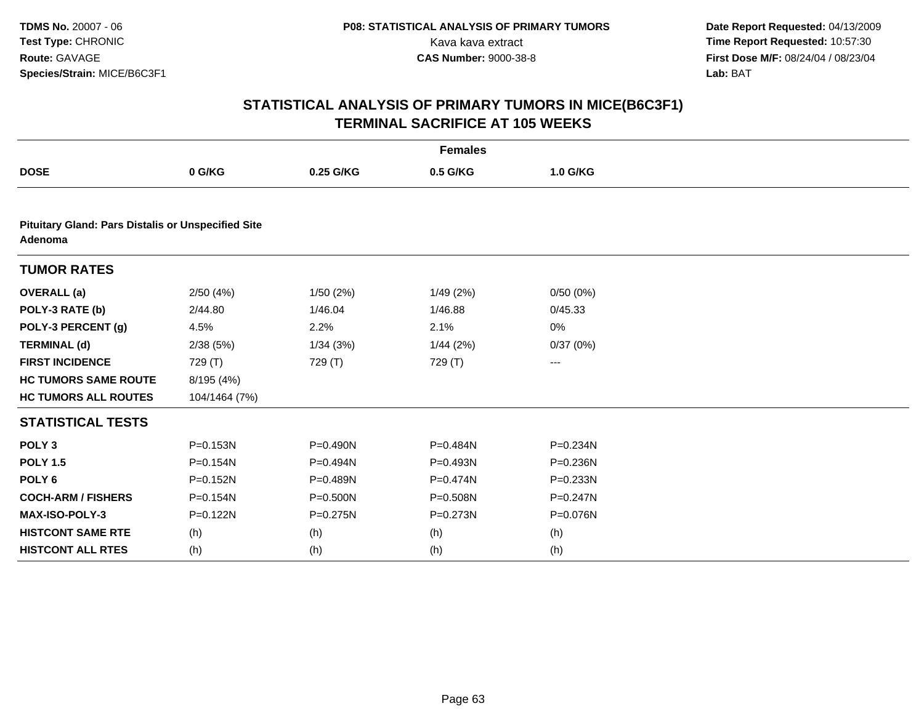| <b>Females</b>                                                       |               |              |              |              |  |  |  |
|----------------------------------------------------------------------|---------------|--------------|--------------|--------------|--|--|--|
| <b>DOSE</b>                                                          | 0 G/KG        | 0.25 G/KG    | 0.5 G/KG     | 1.0 G/KG     |  |  |  |
|                                                                      |               |              |              |              |  |  |  |
| <b>Pituitary Gland: Pars Distalis or Unspecified Site</b><br>Adenoma |               |              |              |              |  |  |  |
| <b>TUMOR RATES</b>                                                   |               |              |              |              |  |  |  |
| <b>OVERALL</b> (a)                                                   | 2/50(4%)      | 1/50(2%)     | 1/49 (2%)    | 0/50(0%)     |  |  |  |
| POLY-3 RATE (b)                                                      | 2/44.80       | 1/46.04      | 1/46.88      | 0/45.33      |  |  |  |
| POLY-3 PERCENT (g)                                                   | 4.5%          | 2.2%         | 2.1%         | 0%           |  |  |  |
| <b>TERMINAL (d)</b>                                                  | 2/38(5%)      | 1/34(3%)     | 1/44(2%)     | 0/37(0%)     |  |  |  |
| <b>FIRST INCIDENCE</b>                                               | 729 (T)       | 729 (T)      | 729 (T)      | ---          |  |  |  |
| <b>HC TUMORS SAME ROUTE</b>                                          | 8/195 (4%)    |              |              |              |  |  |  |
| <b>HC TUMORS ALL ROUTES</b>                                          | 104/1464 (7%) |              |              |              |  |  |  |
| <b>STATISTICAL TESTS</b>                                             |               |              |              |              |  |  |  |
| POLY <sub>3</sub>                                                    | $P = 0.153N$  | $P = 0.490N$ | P=0.484N     | $P = 0.234N$ |  |  |  |
| <b>POLY 1.5</b>                                                      | P=0.154N      | P=0.494N     | P=0.493N     | P=0.236N     |  |  |  |
| POLY <sub>6</sub>                                                    | P=0.152N      | P=0.489N     | P=0.474N     | P=0.233N     |  |  |  |
| <b>COCH-ARM / FISHERS</b>                                            | $P = 0.154N$  | P=0.500N     | P=0.508N     | $P = 0.247N$ |  |  |  |
| <b>MAX-ISO-POLY-3</b>                                                | P=0.122N      | $P = 0.275N$ | $P = 0.273N$ | P=0.076N     |  |  |  |
| <b>HISTCONT SAME RTE</b>                                             | (h)           | (h)          | (h)          | (h)          |  |  |  |
| <b>HISTCONT ALL RTES</b>                                             | (h)           | (h)          | (h)          | (h)          |  |  |  |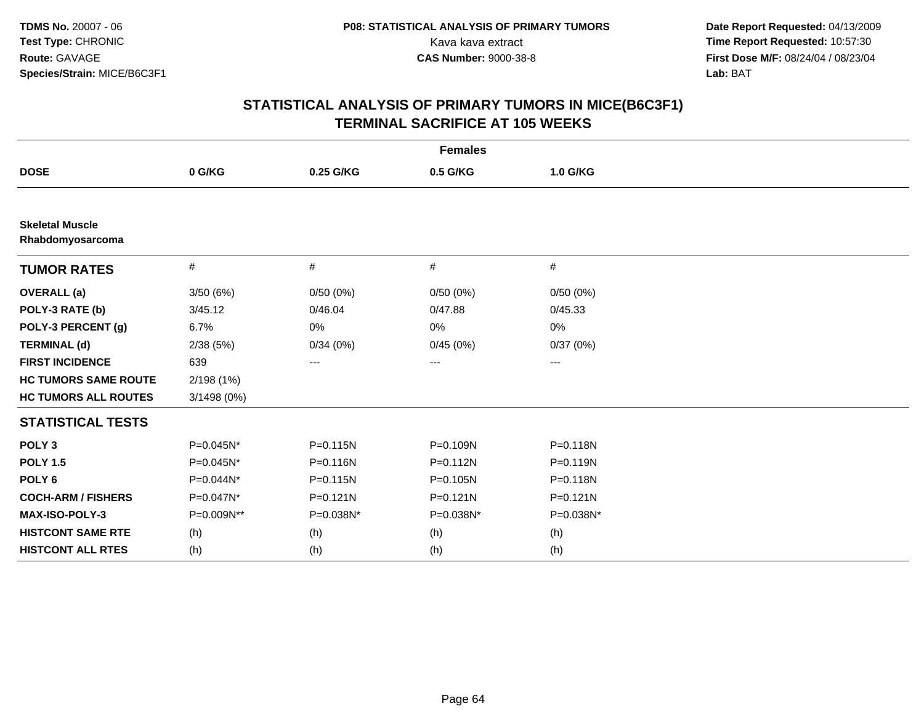| <b>Females</b>                             |             |                   |              |              |  |  |
|--------------------------------------------|-------------|-------------------|--------------|--------------|--|--|
| <b>DOSE</b>                                | 0 G/KG      | 0.25 G/KG         | 0.5 G/KG     | 1.0 G/KG     |  |  |
|                                            |             |                   |              |              |  |  |
| <b>Skeletal Muscle</b><br>Rhabdomyosarcoma |             |                   |              |              |  |  |
| <b>TUMOR RATES</b>                         | #           | #                 | #            | #            |  |  |
| <b>OVERALL</b> (a)                         | 3/50(6%)    | 0/50(0%)          | 0/50(0%)     | 0/50(0%)     |  |  |
| POLY-3 RATE (b)                            | 3/45.12     | 0/46.04           | 0/47.88      | 0/45.33      |  |  |
| POLY-3 PERCENT (g)                         | 6.7%        | 0%                | 0%           | 0%           |  |  |
| <b>TERMINAL (d)</b>                        | 2/38(5%)    | 0/34(0%)          | 0/45(0%)     | 0/37(0%)     |  |  |
| <b>FIRST INCIDENCE</b>                     | 639         | $\qquad \qquad -$ | ---          | ---          |  |  |
| <b>HC TUMORS SAME ROUTE</b>                | 2/198 (1%)  |                   |              |              |  |  |
| <b>HC TUMORS ALL ROUTES</b>                | 3/1498 (0%) |                   |              |              |  |  |
| <b>STATISTICAL TESTS</b>                   |             |                   |              |              |  |  |
| POLY <sub>3</sub>                          | P=0.045N*   | $P = 0.115N$      | $P = 0.109N$ | $P = 0.118N$ |  |  |
| <b>POLY 1.5</b>                            | P=0.045N*   | $P = 0.116N$      | $P = 0.112N$ | $P = 0.119N$ |  |  |
| POLY <sub>6</sub>                          | P=0.044N*   | $P = 0.115N$      | P=0.105N     | P=0.118N     |  |  |
| <b>COCH-ARM / FISHERS</b>                  | P=0.047N*   | $P = 0.121N$      | $P = 0.121N$ | $P = 0.121N$ |  |  |
| <b>MAX-ISO-POLY-3</b>                      | P=0.009N**  | P=0.038N*         | P=0.038N*    | P=0.038N*    |  |  |
| <b>HISTCONT SAME RTE</b>                   | (h)         | (h)               | (h)          | (h)          |  |  |
| <b>HISTCONT ALL RTES</b>                   | (h)         | (h)               | (h)          | (h)          |  |  |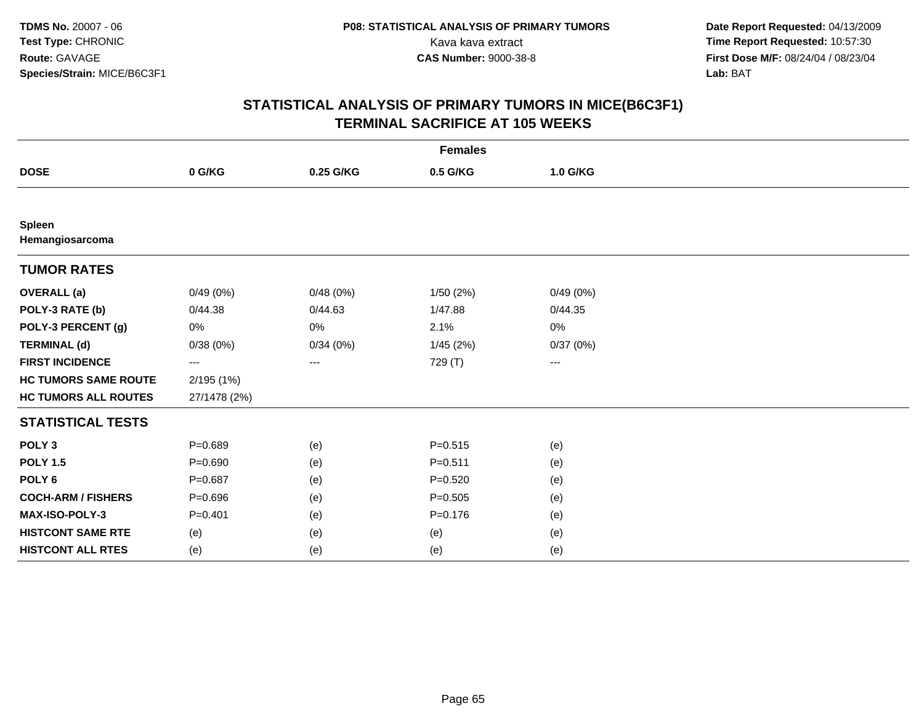|                                  | <b>Females</b> |           |             |          |  |  |  |
|----------------------------------|----------------|-----------|-------------|----------|--|--|--|
| <b>DOSE</b>                      | 0 G/KG         | 0.25 G/KG | 0.5 G/KG    | 1.0 G/KG |  |  |  |
|                                  |                |           |             |          |  |  |  |
| <b>Spleen</b><br>Hemangiosarcoma |                |           |             |          |  |  |  |
| <b>TUMOR RATES</b>               |                |           |             |          |  |  |  |
| <b>OVERALL</b> (a)               | 0/49(0%)       | 0/48(0%)  | 1/50(2%)    | 0/49(0%) |  |  |  |
| POLY-3 RATE (b)                  | 0/44.38        | 0/44.63   | 1/47.88     | 0/44.35  |  |  |  |
| POLY-3 PERCENT (g)               | 0%             | 0%        | 2.1%        | 0%       |  |  |  |
| <b>TERMINAL (d)</b>              | 0/38(0%)       | 0/34(0%)  | 1/45(2%)    | 0/37(0%) |  |  |  |
| <b>FIRST INCIDENCE</b>           | ---            | ---       | 729 (T)     | ---      |  |  |  |
| <b>HC TUMORS SAME ROUTE</b>      | 2/195 (1%)     |           |             |          |  |  |  |
| <b>HC TUMORS ALL ROUTES</b>      | 27/1478 (2%)   |           |             |          |  |  |  |
| <b>STATISTICAL TESTS</b>         |                |           |             |          |  |  |  |
| POLY <sub>3</sub>                | $P = 0.689$    | (e)       | $P = 0.515$ | (e)      |  |  |  |
| <b>POLY 1.5</b>                  | $P = 0.690$    | (e)       | $P = 0.511$ | (e)      |  |  |  |
| POLY <sub>6</sub>                | $P = 0.687$    | (e)       | $P = 0.520$ | (e)      |  |  |  |
| <b>COCH-ARM / FISHERS</b>        | $P = 0.696$    | (e)       | $P = 0.505$ | (e)      |  |  |  |
| MAX-ISO-POLY-3                   | $P = 0.401$    | (e)       | $P = 0.176$ | (e)      |  |  |  |
| <b>HISTCONT SAME RTE</b>         | (e)            | (e)       | (e)         | (e)      |  |  |  |
| <b>HISTCONT ALL RTES</b>         | (e)            | (e)       | (e)         | (e)      |  |  |  |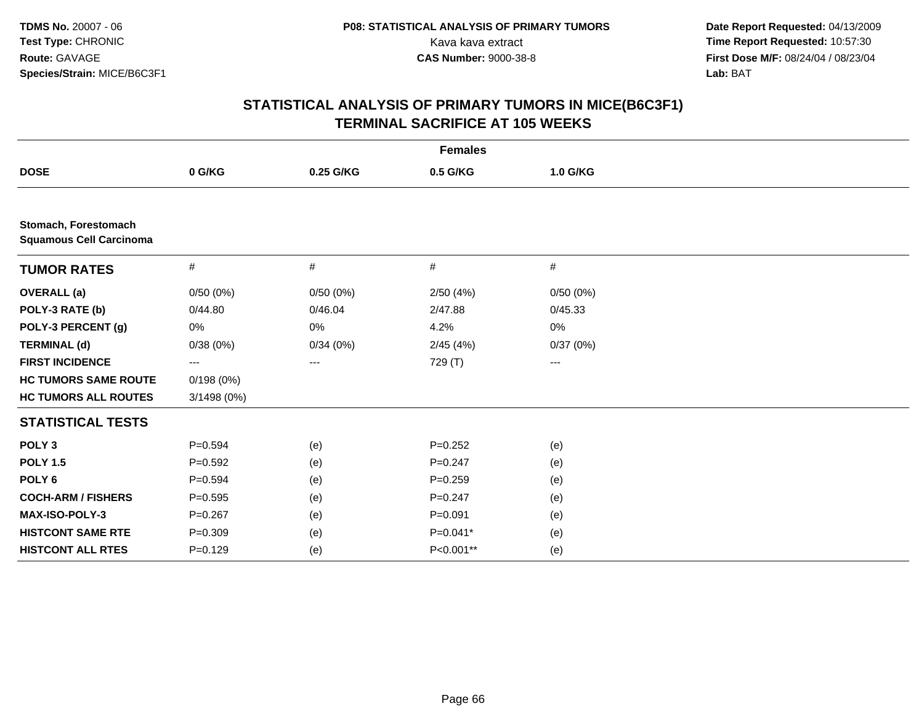| <b>Females</b>                                         |             |           |             |                   |  |  |
|--------------------------------------------------------|-------------|-----------|-------------|-------------------|--|--|
| <b>DOSE</b>                                            | 0 G/KG      | 0.25 G/KG | 0.5 G/KG    | 1.0 G/KG          |  |  |
|                                                        |             |           |             |                   |  |  |
| Stomach, Forestomach<br><b>Squamous Cell Carcinoma</b> |             |           |             |                   |  |  |
| <b>TUMOR RATES</b>                                     | #           | #         | #           | $\#$              |  |  |
| <b>OVERALL</b> (a)                                     | 0/50(0%)    | 0/50(0%)  | 2/50 (4%)   | 0/50(0%)          |  |  |
| POLY-3 RATE (b)                                        | 0/44.80     | 0/46.04   | 2/47.88     | 0/45.33           |  |  |
| POLY-3 PERCENT (g)                                     | 0%          | 0%        | 4.2%        | 0%                |  |  |
| <b>TERMINAL (d)</b>                                    | 0/38(0%)    | 0/34(0%)  | 2/45(4%)    | 0/37(0%)          |  |  |
| <b>FIRST INCIDENCE</b>                                 | ---         | $\cdots$  | 729 (T)     | $\qquad \qquad -$ |  |  |
| <b>HC TUMORS SAME ROUTE</b>                            | 0/198(0%)   |           |             |                   |  |  |
| <b>HC TUMORS ALL ROUTES</b>                            | 3/1498 (0%) |           |             |                   |  |  |
| <b>STATISTICAL TESTS</b>                               |             |           |             |                   |  |  |
| POLY <sub>3</sub>                                      | $P = 0.594$ | (e)       | $P = 0.252$ | (e)               |  |  |
| <b>POLY 1.5</b>                                        | $P=0.592$   | (e)       | $P = 0.247$ | (e)               |  |  |
| POLY <sub>6</sub>                                      | $P=0.594$   | (e)       | $P = 0.259$ | (e)               |  |  |
| <b>COCH-ARM / FISHERS</b>                              | $P = 0.595$ | (e)       | $P = 0.247$ | (e)               |  |  |
| <b>MAX-ISO-POLY-3</b>                                  | $P = 0.267$ | (e)       | $P = 0.091$ | (e)               |  |  |
| <b>HISTCONT SAME RTE</b>                               | $P = 0.309$ | (e)       | $P=0.041*$  | (e)               |  |  |
| <b>HISTCONT ALL RTES</b>                               | $P = 0.129$ | (e)       | P<0.001**   | (e)               |  |  |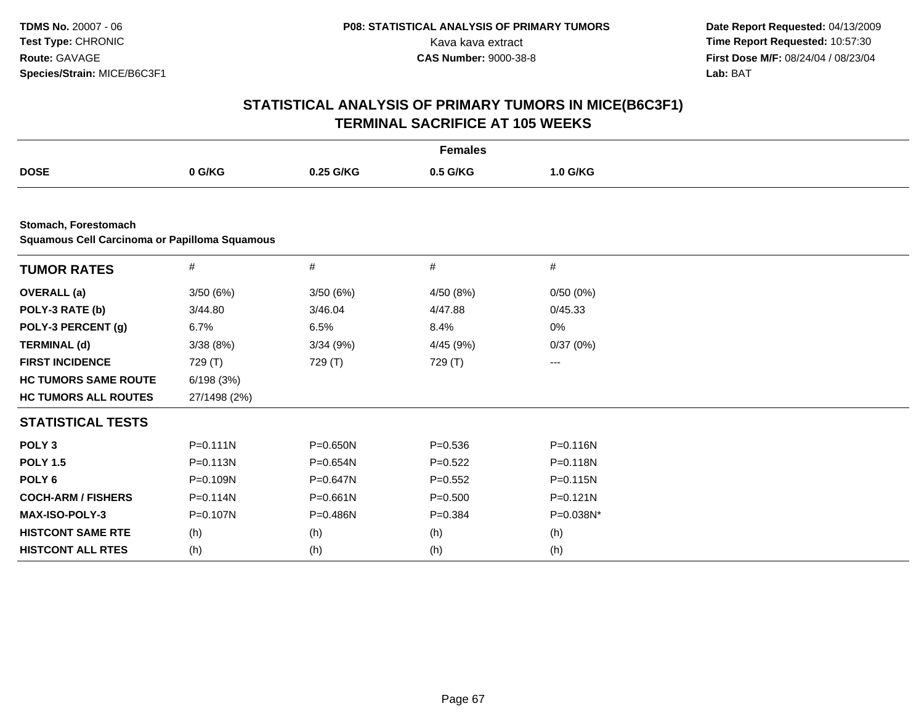|                                                      |              |              | <b>Females</b> |              |  |
|------------------------------------------------------|--------------|--------------|----------------|--------------|--|
| <b>DOSE</b>                                          | 0 G/KG       | 0.25 G/KG    | 0.5 G/KG       | 1.0 G/KG     |  |
|                                                      |              |              |                |              |  |
| Stomach, Forestomach                                 |              |              |                |              |  |
| <b>Squamous Cell Carcinoma or Papilloma Squamous</b> |              |              |                |              |  |
| <b>TUMOR RATES</b>                                   | $\#$         | $\#$         | $\#$           | $\#$         |  |
| <b>OVERALL</b> (a)                                   | 3/50 (6%)    | 3/50(6%)     | 4/50 (8%)      | 0/50(0%)     |  |
| POLY-3 RATE (b)                                      | 3/44.80      | 3/46.04      | 4/47.88        | 0/45.33      |  |
| POLY-3 PERCENT (g)                                   | 6.7%         | 6.5%         | 8.4%           | 0%           |  |
| <b>TERMINAL (d)</b>                                  | 3/38(8%)     | 3/34(9%)     | 4/45 (9%)      | 0/37(0%)     |  |
| <b>FIRST INCIDENCE</b>                               | 729 (T)      | 729 (T)      | 729 (T)        | ---          |  |
| <b>HC TUMORS SAME ROUTE</b>                          | 6/198(3%)    |              |                |              |  |
| <b>HC TUMORS ALL ROUTES</b>                          | 27/1498 (2%) |              |                |              |  |
| <b>STATISTICAL TESTS</b>                             |              |              |                |              |  |
| POLY <sub>3</sub>                                    | $P = 0.111N$ | P=0.650N     | $P = 0.536$    | $P = 0.116N$ |  |
| <b>POLY 1.5</b>                                      | P=0.113N     | $P = 0.654N$ | $P=0.522$      | $P = 0.118N$ |  |
| POLY <sub>6</sub>                                    | P=0.109N     | $P = 0.647N$ | $P = 0.552$    | $P = 0.115N$ |  |
| <b>COCH-ARM / FISHERS</b>                            | $P = 0.114N$ | $P = 0.661N$ | $P = 0.500$    | $P = 0.121N$ |  |
| <b>MAX-ISO-POLY-3</b>                                | P=0.107N     | P=0.486N     | $P = 0.384$    | P=0.038N*    |  |
| <b>HISTCONT SAME RTE</b>                             | (h)          | (h)          | (h)            | (h)          |  |
| <b>HISTCONT ALL RTES</b>                             | (h)          | (h)          | (h)            | (h)          |  |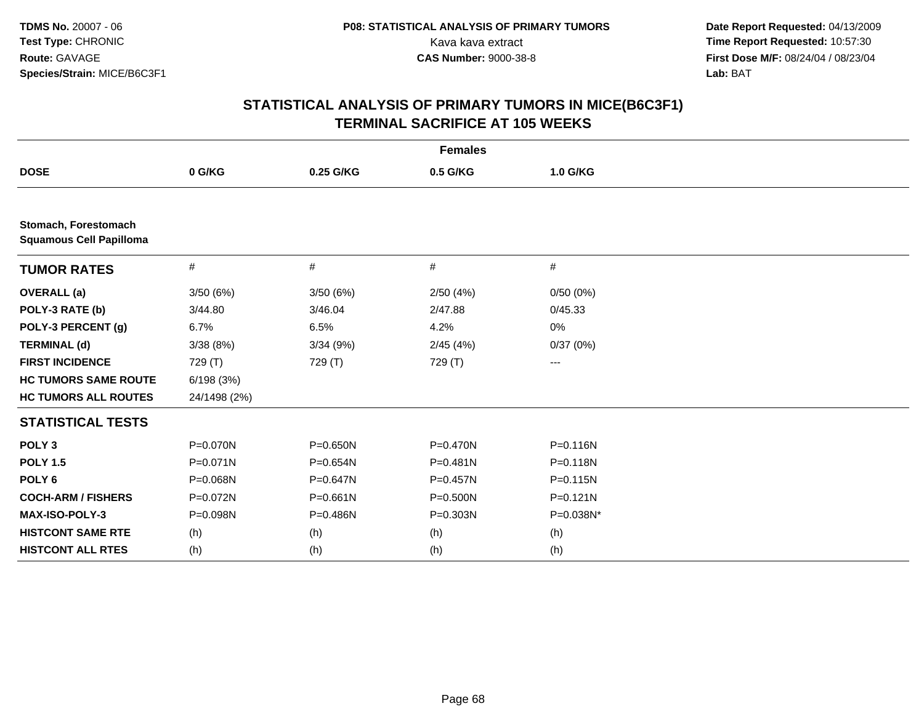| <b>Females</b>                                         |              |              |              |           |  |  |
|--------------------------------------------------------|--------------|--------------|--------------|-----------|--|--|
| <b>DOSE</b>                                            | 0 G/KG       | 0.25 G/KG    | 0.5 G/KG     | 1.0 G/KG  |  |  |
|                                                        |              |              |              |           |  |  |
| Stomach, Forestomach<br><b>Squamous Cell Papilloma</b> |              |              |              |           |  |  |
| <b>TUMOR RATES</b>                                     | #            | #            | #            | #         |  |  |
| <b>OVERALL</b> (a)                                     | 3/50(6%)     | 3/50(6%)     | 2/50(4%)     | 0/50(0%)  |  |  |
| POLY-3 RATE (b)                                        | 3/44.80      | 3/46.04      | 2/47.88      | 0/45.33   |  |  |
| POLY-3 PERCENT (g)                                     | 6.7%         | 6.5%         | 4.2%         | 0%        |  |  |
| <b>TERMINAL (d)</b>                                    | 3/38(8%)     | 3/34(9%)     | 2/45(4%)     | 0/37(0%)  |  |  |
| <b>FIRST INCIDENCE</b>                                 | 729 (T)      | 729 (T)      | 729 (T)      | ---       |  |  |
| <b>HC TUMORS SAME ROUTE</b>                            | 6/198(3%)    |              |              |           |  |  |
| <b>HC TUMORS ALL ROUTES</b>                            | 24/1498 (2%) |              |              |           |  |  |
| <b>STATISTICAL TESTS</b>                               |              |              |              |           |  |  |
| POLY <sub>3</sub>                                      | P=0.070N     | P=0.650N     | P=0.470N     | P=0.116N  |  |  |
| <b>POLY 1.5</b>                                        | $P = 0.071N$ | $P = 0.654N$ | $P = 0.481N$ | P=0.118N  |  |  |
| POLY <sub>6</sub>                                      | P=0.068N     | $P = 0.647N$ | $P = 0.457N$ | P=0.115N  |  |  |
| <b>COCH-ARM / FISHERS</b>                              | P=0.072N     | $P = 0.661N$ | $P = 0.500N$ | P=0.121N  |  |  |
| MAX-ISO-POLY-3                                         | P=0.098N     | P=0.486N     | $P = 0.303N$ | P=0.038N* |  |  |
| <b>HISTCONT SAME RTE</b>                               | (h)          | (h)          | (h)          | (h)       |  |  |
| <b>HISTCONT ALL RTES</b>                               | (h)          | (h)          | (h)          | (h)       |  |  |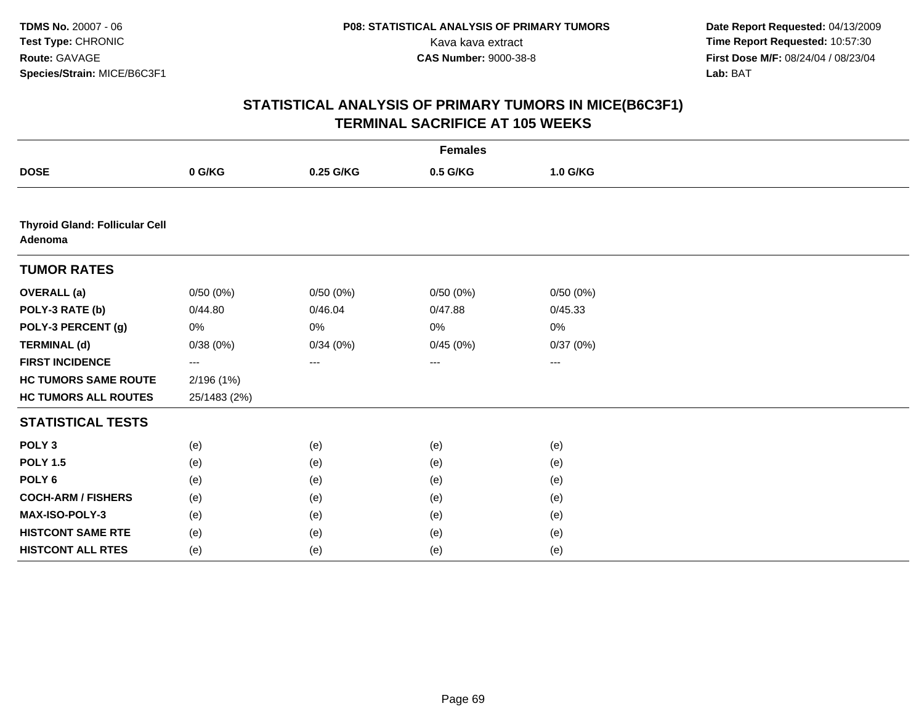|                                                  | <b>Females</b> |           |          |          |  |  |  |  |
|--------------------------------------------------|----------------|-----------|----------|----------|--|--|--|--|
| <b>DOSE</b>                                      | 0 G/KG         | 0.25 G/KG | 0.5 G/KG | 1.0 G/KG |  |  |  |  |
|                                                  |                |           |          |          |  |  |  |  |
| <b>Thyroid Gland: Follicular Cell</b><br>Adenoma |                |           |          |          |  |  |  |  |
| <b>TUMOR RATES</b>                               |                |           |          |          |  |  |  |  |
| <b>OVERALL</b> (a)                               | 0/50(0%)       | 0/50(0%)  | 0/50(0%) | 0/50(0%) |  |  |  |  |
| POLY-3 RATE (b)                                  | 0/44.80        | 0/46.04   | 0/47.88  | 0/45.33  |  |  |  |  |
| POLY-3 PERCENT (g)                               | $0\%$          | 0%        | 0%       | 0%       |  |  |  |  |
| <b>TERMINAL (d)</b>                              | 0/38(0%)       | 0/34(0%)  | 0/45(0%) | 0/37(0%) |  |  |  |  |
| <b>FIRST INCIDENCE</b>                           | $---$          | ---       | ---      | ---      |  |  |  |  |
| <b>HC TUMORS SAME ROUTE</b>                      | 2/196(1%)      |           |          |          |  |  |  |  |
| <b>HC TUMORS ALL ROUTES</b>                      | 25/1483 (2%)   |           |          |          |  |  |  |  |
| <b>STATISTICAL TESTS</b>                         |                |           |          |          |  |  |  |  |
| POLY <sub>3</sub>                                | (e)            | (e)       | (e)      | (e)      |  |  |  |  |
| <b>POLY 1.5</b>                                  | (e)            | (e)       | (e)      | (e)      |  |  |  |  |
| POLY <sub>6</sub>                                | (e)            | (e)       | (e)      | (e)      |  |  |  |  |
| <b>COCH-ARM / FISHERS</b>                        | (e)            | (e)       | (e)      | (e)      |  |  |  |  |
| MAX-ISO-POLY-3                                   | (e)            | (e)       | (e)      | (e)      |  |  |  |  |
| <b>HISTCONT SAME RTE</b>                         | (e)            | (e)       | (e)      | (e)      |  |  |  |  |
| <b>HISTCONT ALL RTES</b>                         | (e)            | (e)       | (e)      | (e)      |  |  |  |  |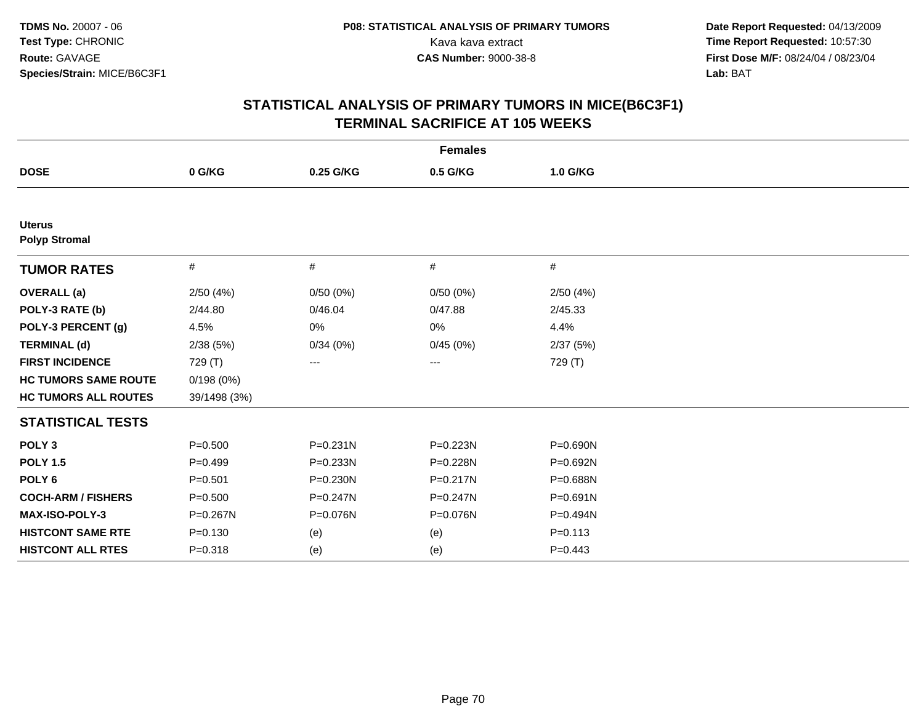| <b>Females</b>                        |              |              |              |              |  |  |
|---------------------------------------|--------------|--------------|--------------|--------------|--|--|
| <b>DOSE</b>                           | 0 G/KG       | 0.25 G/KG    | 0.5 G/KG     | 1.0 G/KG     |  |  |
|                                       |              |              |              |              |  |  |
| <b>Uterus</b><br><b>Polyp Stromal</b> |              |              |              |              |  |  |
| <b>TUMOR RATES</b>                    | #            | #            | #            | #            |  |  |
| <b>OVERALL</b> (a)                    | 2/50(4%)     | 0/50(0%)     | 0/50(0%)     | 2/50(4%)     |  |  |
| POLY-3 RATE (b)                       | 2/44.80      | 0/46.04      | 0/47.88      | 2/45.33      |  |  |
| POLY-3 PERCENT (g)                    | 4.5%         | 0%           | 0%           | 4.4%         |  |  |
| <b>TERMINAL (d)</b>                   | 2/38(5%)     | 0/34(0%)     | 0/45(0%)     | 2/37(5%)     |  |  |
| <b>FIRST INCIDENCE</b>                | 729 (T)      | ---          | ---          | 729 (T)      |  |  |
| <b>HC TUMORS SAME ROUTE</b>           | 0/198(0%)    |              |              |              |  |  |
| <b>HC TUMORS ALL ROUTES</b>           | 39/1498 (3%) |              |              |              |  |  |
| <b>STATISTICAL TESTS</b>              |              |              |              |              |  |  |
| POLY <sub>3</sub>                     | $P = 0.500$  | $P = 0.231N$ | P=0.223N     | P=0.690N     |  |  |
| <b>POLY 1.5</b>                       | $P = 0.499$  | $P = 0.233N$ | P=0.228N     | P=0.692N     |  |  |
| POLY <sub>6</sub>                     | $P = 0.501$  | P=0.230N     | $P = 0.217N$ | P=0.688N     |  |  |
| <b>COCH-ARM / FISHERS</b>             | $P = 0.500$  | $P = 0.247N$ | $P = 0.247N$ | $P = 0.691N$ |  |  |
| MAX-ISO-POLY-3                        | P=0.267N     | P=0.076N     | P=0.076N     | P=0.494N     |  |  |
| <b>HISTCONT SAME RTE</b>              | $P = 0.130$  | (e)          | (e)          | $P = 0.113$  |  |  |
| <b>HISTCONT ALL RTES</b>              | $P = 0.318$  | (e)          | (e)          | $P=0.443$    |  |  |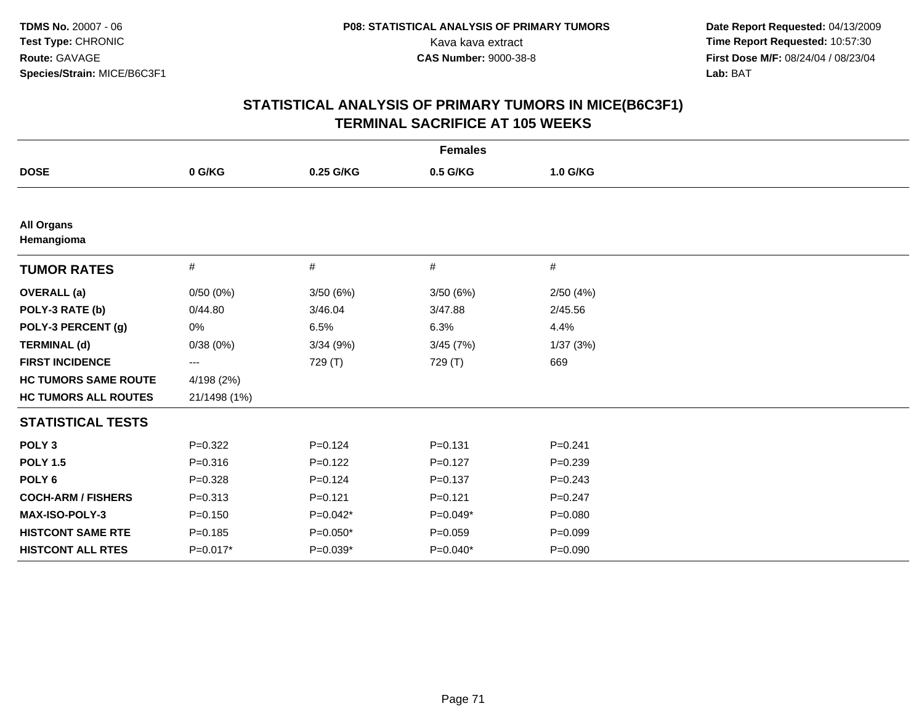| <b>Females</b>                  |              |             |             |             |  |  |
|---------------------------------|--------------|-------------|-------------|-------------|--|--|
| <b>DOSE</b>                     | 0 G/KG       | 0.25 G/KG   | 0.5 G/KG    | 1.0 G/KG    |  |  |
|                                 |              |             |             |             |  |  |
| <b>All Organs</b><br>Hemangioma |              |             |             |             |  |  |
| <b>TUMOR RATES</b>              | $\#$         | #           | #           | #           |  |  |
| <b>OVERALL</b> (a)              | 0/50(0%)     | 3/50(6%)    | 3/50(6%)    | 2/50(4%)    |  |  |
| POLY-3 RATE (b)                 | 0/44.80      | 3/46.04     | 3/47.88     | 2/45.56     |  |  |
| POLY-3 PERCENT (g)              | 0%           | 6.5%        | 6.3%        | 4.4%        |  |  |
| <b>TERMINAL (d)</b>             | 0/38(0%)     | 3/34(9%)    | 3/45(7%)    | 1/37(3%)    |  |  |
| <b>FIRST INCIDENCE</b>          | ---          | 729 (T)     | 729 (T)     | 669         |  |  |
| <b>HC TUMORS SAME ROUTE</b>     | 4/198 (2%)   |             |             |             |  |  |
| <b>HC TUMORS ALL ROUTES</b>     | 21/1498 (1%) |             |             |             |  |  |
| <b>STATISTICAL TESTS</b>        |              |             |             |             |  |  |
| POLY <sub>3</sub>               | $P=0.322$    | $P = 0.124$ | $P = 0.131$ | $P = 0.241$ |  |  |
| <b>POLY 1.5</b>                 | $P = 0.316$  | $P=0.122$   | $P=0.127$   | $P=0.239$   |  |  |
| POLY <sub>6</sub>               | $P = 0.328$  | $P=0.124$   | $P = 0.137$ | $P=0.243$   |  |  |
| <b>COCH-ARM / FISHERS</b>       | $P = 0.313$  | $P=0.121$   | $P = 0.121$ | $P=0.247$   |  |  |
| MAX-ISO-POLY-3                  | $P = 0.150$  | $P=0.042*$  | P=0.049*    | $P = 0.080$ |  |  |
| <b>HISTCONT SAME RTE</b>        | $P = 0.185$  | $P=0.050*$  | $P=0.059$   | $P=0.099$   |  |  |
| <b>HISTCONT ALL RTES</b>        | P=0.017*     | $P=0.039*$  | $P=0.040*$  | $P = 0.090$ |  |  |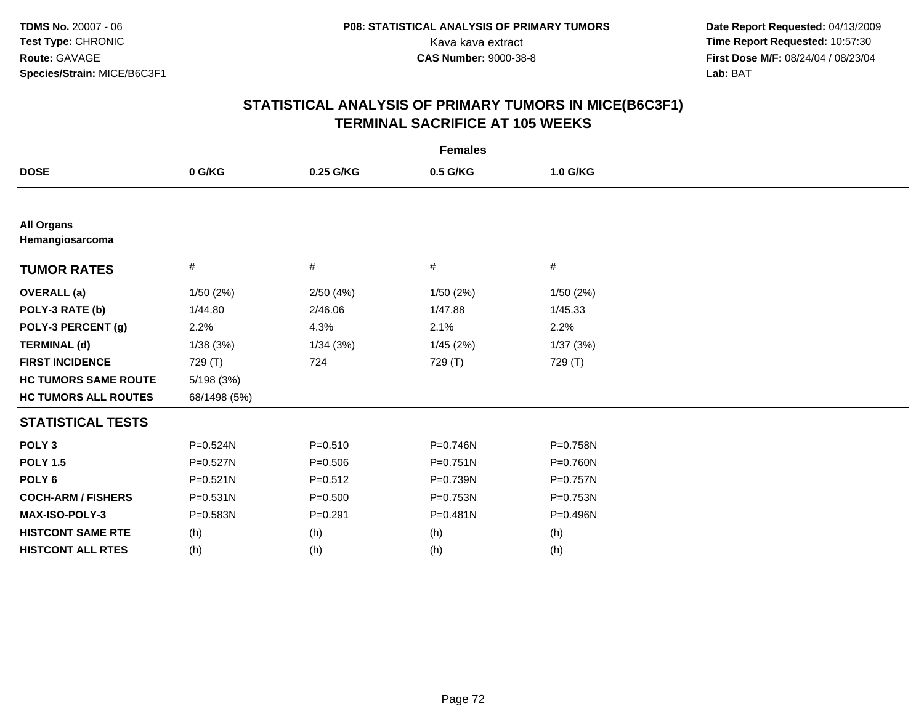| <b>Females</b>                       |              |             |              |          |  |  |
|--------------------------------------|--------------|-------------|--------------|----------|--|--|
| <b>DOSE</b>                          | 0 G/KG       | 0.25 G/KG   | 0.5 G/KG     | 1.0 G/KG |  |  |
|                                      |              |             |              |          |  |  |
| <b>All Organs</b><br>Hemangiosarcoma |              |             |              |          |  |  |
| <b>TUMOR RATES</b>                   | $\#$         | #           | $\#$         | #        |  |  |
| <b>OVERALL</b> (a)                   | 1/50(2%)     | 2/50(4%)    | 1/50(2%)     | 1/50(2%) |  |  |
| POLY-3 RATE (b)                      | 1/44.80      | 2/46.06     | 1/47.88      | 1/45.33  |  |  |
| POLY-3 PERCENT (g)                   | 2.2%         | 4.3%        | 2.1%         | 2.2%     |  |  |
| <b>TERMINAL (d)</b>                  | 1/38(3%)     | 1/34(3%)    | 1/45 (2%)    | 1/37(3%) |  |  |
| <b>FIRST INCIDENCE</b>               | 729 (T)      | 724         | 729 (T)      | 729 (T)  |  |  |
| <b>HC TUMORS SAME ROUTE</b>          | 5/198 (3%)   |             |              |          |  |  |
| <b>HC TUMORS ALL ROUTES</b>          | 68/1498 (5%) |             |              |          |  |  |
| <b>STATISTICAL TESTS</b>             |              |             |              |          |  |  |
| POLY <sub>3</sub>                    | P=0.524N     | $P = 0.510$ | P=0.746N     | P=0.758N |  |  |
| <b>POLY 1.5</b>                      | $P = 0.527N$ | $P = 0.506$ | $P = 0.751N$ | P=0.760N |  |  |
| POLY <sub>6</sub>                    | $P = 0.521N$ | $P = 0.512$ | P=0.739N     | P=0.757N |  |  |
| <b>COCH-ARM / FISHERS</b>            | $P = 0.531N$ | $P = 0.500$ | P=0.753N     | P=0.753N |  |  |
| MAX-ISO-POLY-3                       | P=0.583N     | $P = 0.291$ | $P = 0.481N$ | P=0.496N |  |  |
| <b>HISTCONT SAME RTE</b>             | (h)          | (h)         | (h)          | (h)      |  |  |
| <b>HISTCONT ALL RTES</b>             | (h)          | (h)         | (h)          | (h)      |  |  |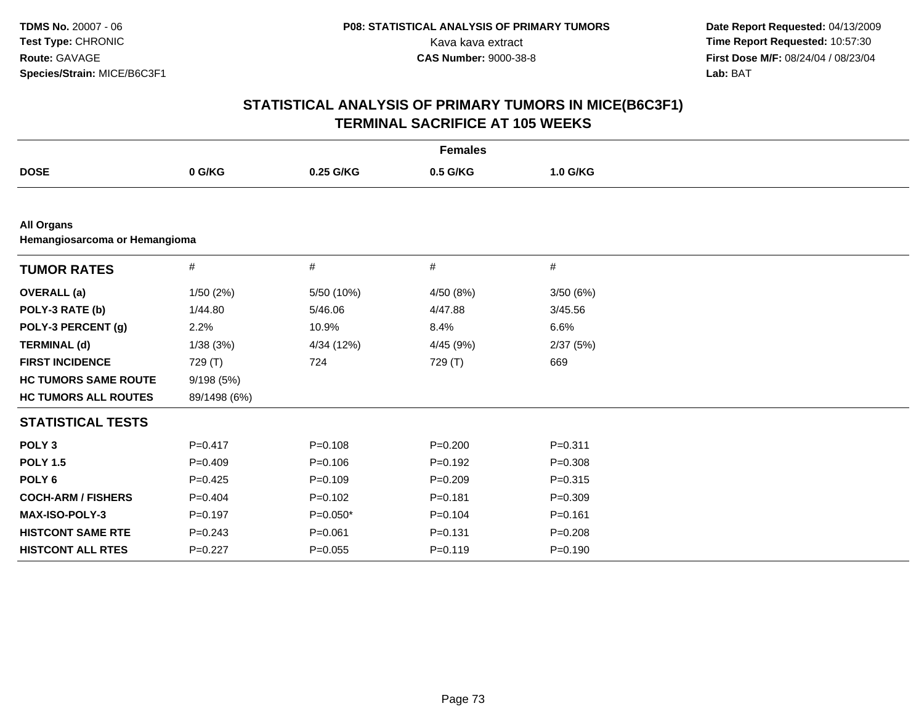| <b>Females</b>                                     |              |             |             |             |  |
|----------------------------------------------------|--------------|-------------|-------------|-------------|--|
| <b>DOSE</b>                                        | 0 G/KG       | 0.25 G/KG   | 0.5 G/KG    | 1.0 G/KG    |  |
|                                                    |              |             |             |             |  |
| <b>All Organs</b><br>Hemangiosarcoma or Hemangioma |              |             |             |             |  |
| <b>TUMOR RATES</b>                                 | $\#$         | #           | $\#$        | $\#$        |  |
| <b>OVERALL</b> (a)                                 | 1/50(2%)     | 5/50 (10%)  | 4/50 (8%)   | 3/50(6%)    |  |
| POLY-3 RATE (b)                                    | 1/44.80      | 5/46.06     | 4/47.88     | 3/45.56     |  |
| POLY-3 PERCENT (g)                                 | 2.2%         | 10.9%       | 8.4%        | 6.6%        |  |
| <b>TERMINAL (d)</b>                                | 1/38(3%)     | 4/34 (12%)  | 4/45 (9%)   | 2/37(5%)    |  |
| <b>FIRST INCIDENCE</b>                             | 729 (T)      | 724         | 729 (T)     | 669         |  |
| <b>HC TUMORS SAME ROUTE</b>                        | 9/198(5%)    |             |             |             |  |
| <b>HC TUMORS ALL ROUTES</b>                        | 89/1498 (6%) |             |             |             |  |
| <b>STATISTICAL TESTS</b>                           |              |             |             |             |  |
| POLY <sub>3</sub>                                  | $P = 0.417$  | $P = 0.108$ | $P = 0.200$ | $P = 0.311$ |  |
| <b>POLY 1.5</b>                                    | $P = 0.409$  | $P=0.106$   | $P=0.192$   | $P = 0.308$ |  |
| POLY <sub>6</sub>                                  | $P=0.425$    | $P=0.109$   | $P=0.209$   | $P = 0.315$ |  |
| <b>COCH-ARM / FISHERS</b>                          | $P = 0.404$  | $P = 0.102$ | $P = 0.181$ | $P = 0.309$ |  |
| <b>MAX-ISO-POLY-3</b>                              | $P = 0.197$  | $P=0.050*$  | $P = 0.104$ | $P = 0.161$ |  |
| <b>HISTCONT SAME RTE</b>                           | $P = 0.243$  | $P = 0.061$ | $P = 0.131$ | $P = 0.208$ |  |
| <b>HISTCONT ALL RTES</b>                           | $P=0.227$    | $P=0.055$   | $P=0.119$   | $P = 0.190$ |  |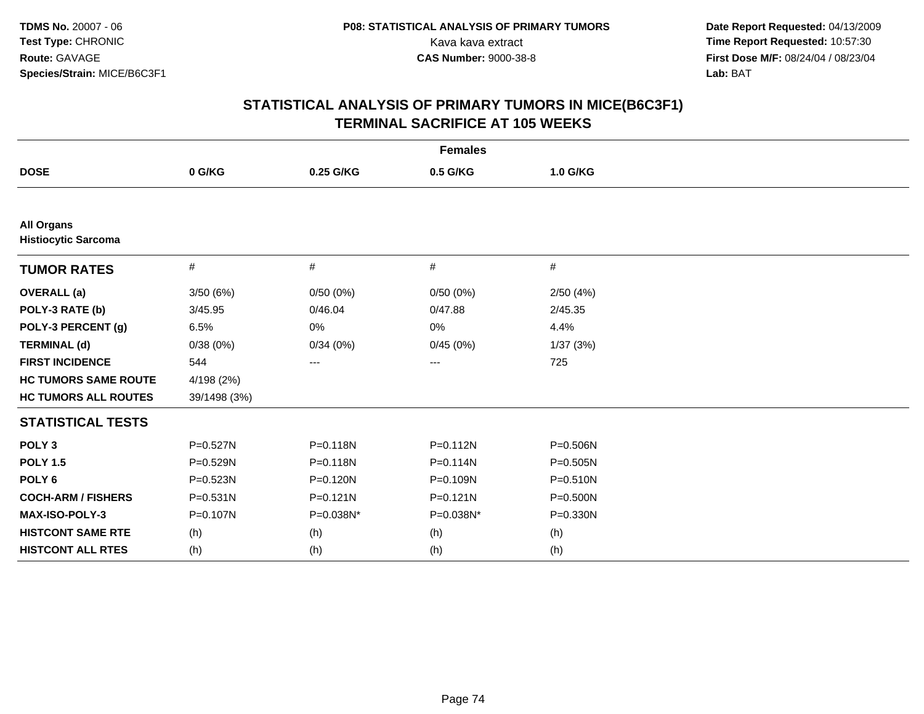| <b>Females</b>                                  |              |              |              |           |  |
|-------------------------------------------------|--------------|--------------|--------------|-----------|--|
| <b>DOSE</b>                                     | 0 G/KG       | 0.25 G/KG    | 0.5 G/KG     | 1.0 G/KG  |  |
|                                                 |              |              |              |           |  |
| <b>All Organs</b><br><b>Histiocytic Sarcoma</b> |              |              |              |           |  |
| <b>TUMOR RATES</b>                              | $\#$         | #            | $\#$         | #         |  |
| <b>OVERALL</b> (a)                              | 3/50(6%)     | 0/50(0%)     | 0/50(0%)     | 2/50(4%)  |  |
| POLY-3 RATE (b)                                 | 3/45.95      | 0/46.04      | 0/47.88      | 2/45.35   |  |
| POLY-3 PERCENT (g)                              | 6.5%         | 0%           | 0%           | 4.4%      |  |
| <b>TERMINAL (d)</b>                             | 0/38(0%)     | 0/34(0%)     | 0/45(0%)     | 1/37 (3%) |  |
| <b>FIRST INCIDENCE</b>                          | 544          | ---          | ---          | 725       |  |
| <b>HC TUMORS SAME ROUTE</b>                     | 4/198 (2%)   |              |              |           |  |
| <b>HC TUMORS ALL ROUTES</b>                     | 39/1498 (3%) |              |              |           |  |
| <b>STATISTICAL TESTS</b>                        |              |              |              |           |  |
| POLY <sub>3</sub>                               | $P = 0.527N$ | $P = 0.118N$ | $P = 0.112N$ | P=0.506N  |  |
| <b>POLY 1.5</b>                                 | P=0.529N     | $P = 0.118N$ | P=0.114N     | P=0.505N  |  |
| POLY <sub>6</sub>                               | P=0.523N     | P=0.120N     | P=0.109N     | P=0.510N  |  |
| <b>COCH-ARM / FISHERS</b>                       | $P = 0.531N$ | $P = 0.121N$ | $P = 0.121N$ | P=0.500N  |  |
| <b>MAX-ISO-POLY-3</b>                           | P=0.107N     | P=0.038N*    | P=0.038N*    | P=0.330N  |  |
| <b>HISTCONT SAME RTE</b>                        | (h)          | (h)          | (h)          | (h)       |  |
| <b>HISTCONT ALL RTES</b>                        | (h)          | (h)          | (h)          | (h)       |  |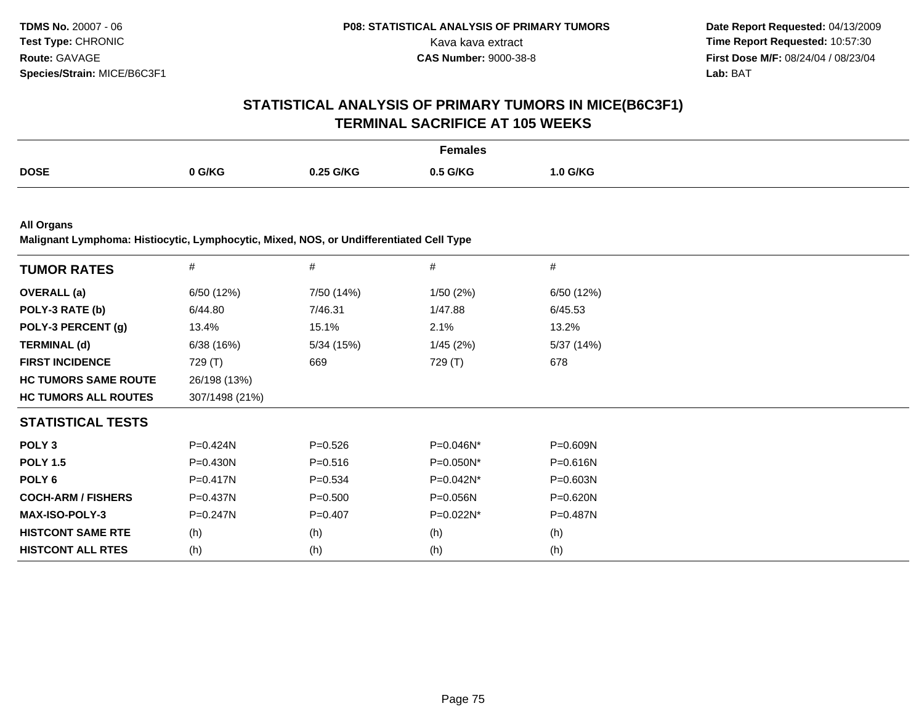## **STATISTICAL ANALYSIS OF PRIMARY TUMORS IN MICE(B6C3F1)TERMINAL SACRIFICE AT 105 WEEKS**

|             |               |           | Females       |          |
|-------------|---------------|-----------|---------------|----------|
| <b>DOSE</b> | <b>I</b> G/KG | ).25 G/KG | 5 G/KG<br>∩ ⊷ | 1.0 G/KG |

**All Organs**

**Malignant Lymphoma: Histiocytic, Lymphocytic, Mixed, NOS, or Undifferentiated Cell Type**

| <b>TUMOR RATES</b>          | #              | $\#$        | #            | $\#$         |
|-----------------------------|----------------|-------------|--------------|--------------|
| <b>OVERALL</b> (a)          | 6/50 (12%)     | 7/50 (14%)  | 1/50(2%)     | 6/50 (12%)   |
| POLY-3 RATE (b)             | 6/44.80        | 7/46.31     | 1/47.88      | 6/45.53      |
| POLY-3 PERCENT (g)          | 13.4%          | 15.1%       | 2.1%         | 13.2%        |
| <b>TERMINAL (d)</b>         | 6/38(16%)      | 5/34 (15%)  | 1/45(2%)     | 5/37 (14%)   |
| <b>FIRST INCIDENCE</b>      | 729 (T)        | 669         | 729 (T)      | 678          |
| <b>HC TUMORS SAME ROUTE</b> | 26/198 (13%)   |             |              |              |
| <b>HC TUMORS ALL ROUTES</b> | 307/1498 (21%) |             |              |              |
| <b>STATISTICAL TESTS</b>    |                |             |              |              |
| POLY <sub>3</sub>           | $P=0.424N$     | $P = 0.526$ | P=0.046N*    | $P = 0.609N$ |
| <b>POLY 1.5</b>             | $P = 0.430N$   | $P = 0.516$ | $P=0.050N^*$ | $P = 0.616N$ |
| POLY 6                      | $P = 0.417N$   | $P = 0.534$ | P=0.042N*    | $P = 0.603N$ |
| <b>COCH-ARM / FISHERS</b>   | $P=0.437N$     | $P = 0.500$ | $P = 0.056N$ | $P = 0.620N$ |
| <b>MAX-ISO-POLY-3</b>       | $P = 0.247N$   | $P = 0.407$ | P=0.022N*    | $P=0.487N$   |
| <b>HISTCONT SAME RTE</b>    | (h)            | (h)         | (h)          | (h)          |
| <b>HISTCONT ALL RTES</b>    | (h)            | (h)         | (h)          | (h)          |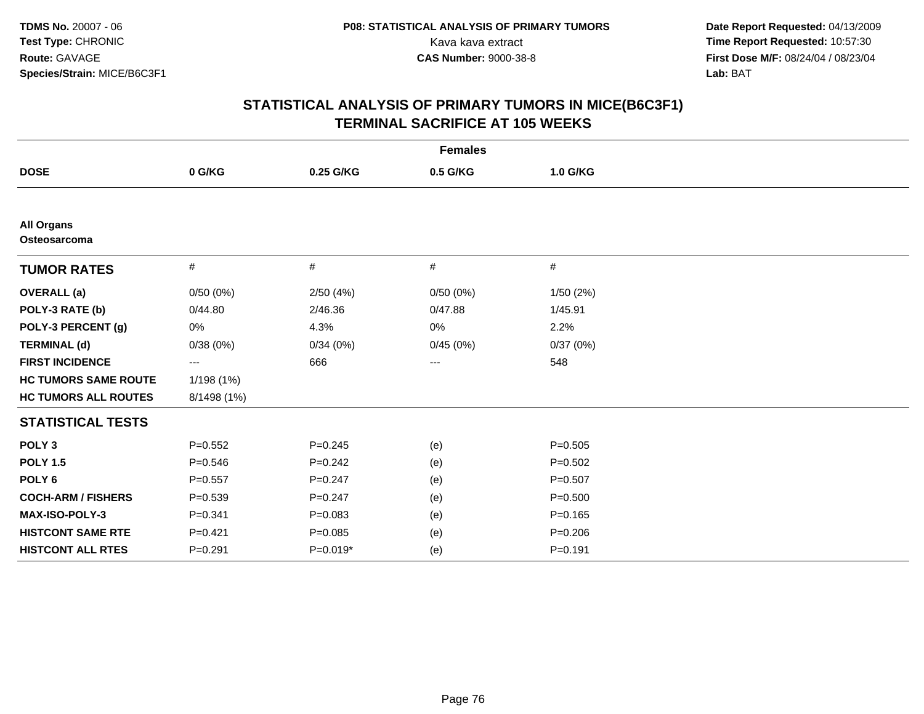| <b>Females</b>                    |             |             |          |             |  |
|-----------------------------------|-------------|-------------|----------|-------------|--|
| <b>DOSE</b>                       | 0 G/KG      | 0.25 G/KG   | 0.5 G/KG | 1.0 G/KG    |  |
|                                   |             |             |          |             |  |
| <b>All Organs</b><br>Osteosarcoma |             |             |          |             |  |
| <b>TUMOR RATES</b>                | #           | #           | #        | #           |  |
| <b>OVERALL</b> (a)                | 0/50(0%)    | 2/50(4%)    | 0/50(0%) | 1/50(2%)    |  |
| POLY-3 RATE (b)                   | 0/44.80     | 2/46.36     | 0/47.88  | 1/45.91     |  |
| POLY-3 PERCENT (g)                | 0%          | 4.3%        | 0%       | 2.2%        |  |
| <b>TERMINAL (d)</b>               | 0/38(0%)    | 0/34(0%)    | 0/45(0%) | 0/37(0%)    |  |
| <b>FIRST INCIDENCE</b>            | ---         | 666         | $\cdots$ | 548         |  |
| <b>HC TUMORS SAME ROUTE</b>       | 1/198 (1%)  |             |          |             |  |
| <b>HC TUMORS ALL ROUTES</b>       | 8/1498 (1%) |             |          |             |  |
| <b>STATISTICAL TESTS</b>          |             |             |          |             |  |
| POLY <sub>3</sub>                 | $P=0.552$   | $P=0.245$   | (e)      | $P = 0.505$ |  |
| <b>POLY 1.5</b>                   | $P = 0.546$ | $P = 0.242$ | (e)      | $P = 0.502$ |  |
| POLY <sub>6</sub>                 | $P = 0.557$ | $P = 0.247$ | (e)      | $P = 0.507$ |  |
| <b>COCH-ARM / FISHERS</b>         | $P = 0.539$ | $P = 0.247$ | (e)      | $P = 0.500$ |  |
| MAX-ISO-POLY-3                    | $P = 0.341$ | $P = 0.083$ | (e)      | $P = 0.165$ |  |
| <b>HISTCONT SAME RTE</b>          | $P=0.421$   | $P = 0.085$ | (e)      | $P = 0.206$ |  |
| <b>HISTCONT ALL RTES</b>          | $P=0.291$   | $P=0.019*$  | (e)      | $P = 0.191$ |  |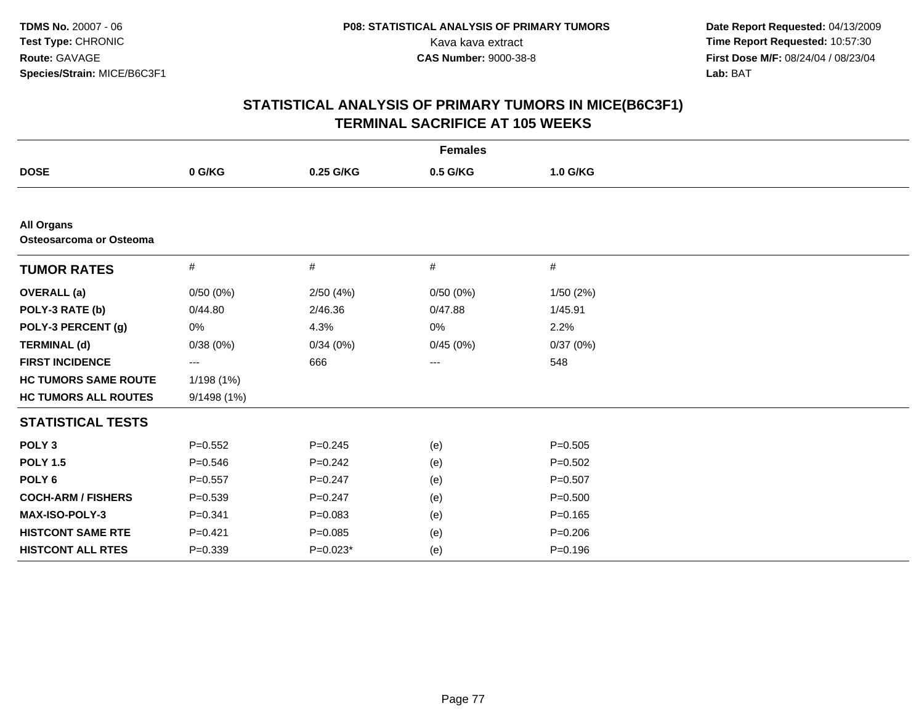|                                              |                     |             | <b>Females</b>    |             |  |
|----------------------------------------------|---------------------|-------------|-------------------|-------------|--|
| <b>DOSE</b>                                  | 0 G/KG              | 0.25 G/KG   | 0.5 G/KG          | 1.0 G/KG    |  |
|                                              |                     |             |                   |             |  |
| <b>All Organs</b><br>Osteosarcoma or Osteoma |                     |             |                   |             |  |
| <b>TUMOR RATES</b>                           | $\#$                | #           | #                 | #           |  |
| <b>OVERALL</b> (a)                           | 0/50(0%)            | 2/50(4%)    | 0/50(0%)          | 1/50(2%)    |  |
| POLY-3 RATE (b)                              | 0/44.80             | 2/46.36     | 0/47.88           | 1/45.91     |  |
| POLY-3 PERCENT (g)                           | 0%                  | 4.3%        | 0%                | 2.2%        |  |
| <b>TERMINAL (d)</b>                          | 0/38(0%)            | 0/34(0%)    | 0/45(0%)          | 0/37(0%)    |  |
| <b>FIRST INCIDENCE</b>                       | $\qquad \qquad - -$ | 666         | $\qquad \qquad -$ | 548         |  |
| <b>HC TUMORS SAME ROUTE</b>                  | 1/198 (1%)          |             |                   |             |  |
| <b>HC TUMORS ALL ROUTES</b>                  | 9/1498 (1%)         |             |                   |             |  |
| <b>STATISTICAL TESTS</b>                     |                     |             |                   |             |  |
| POLY <sub>3</sub>                            | $P=0.552$           | $P = 0.245$ | (e)               | $P = 0.505$ |  |
| <b>POLY 1.5</b>                              | $P = 0.546$         | $P = 0.242$ | (e)               | $P = 0.502$ |  |
| POLY <sub>6</sub>                            | $P=0.557$           | $P = 0.247$ | (e)               | $P=0.507$   |  |
| <b>COCH-ARM / FISHERS</b>                    | $P = 0.539$         | $P=0.247$   | (e)               | $P = 0.500$ |  |
| <b>MAX-ISO-POLY-3</b>                        | $P = 0.341$         | $P = 0.083$ | (e)               | $P = 0.165$ |  |
| <b>HISTCONT SAME RTE</b>                     | $P=0.421$           | $P = 0.085$ | (e)               | $P = 0.206$ |  |
| <b>HISTCONT ALL RTES</b>                     | $P = 0.339$         | $P=0.023*$  | (e)               | $P = 0.196$ |  |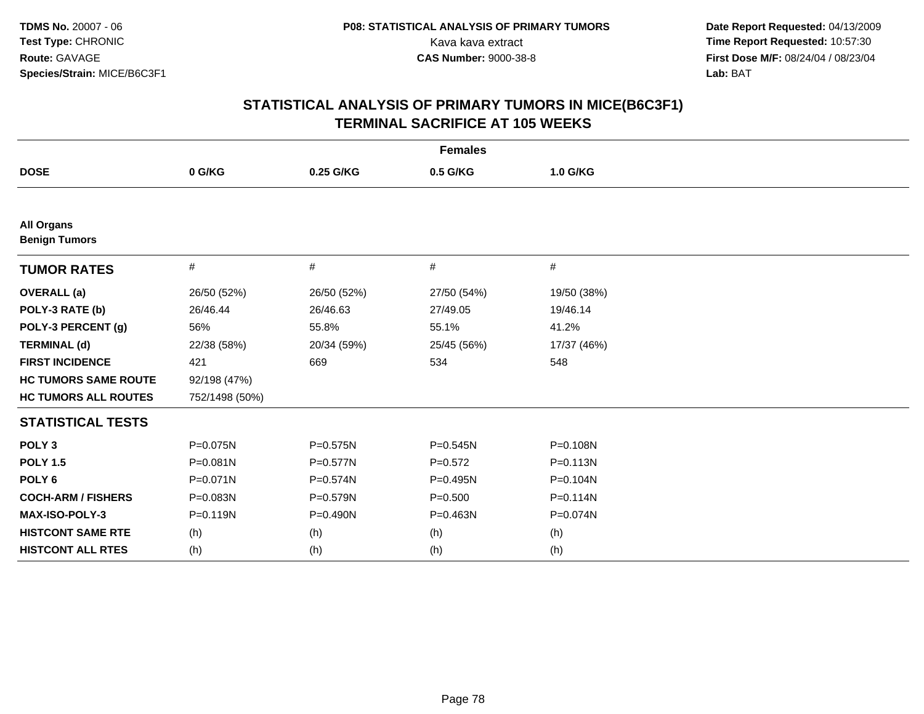| <b>Females</b>                            |                |             |              |              |
|-------------------------------------------|----------------|-------------|--------------|--------------|
| <b>DOSE</b>                               | 0 G/KG         | 0.25 G/KG   | 0.5 G/KG     | 1.0 G/KG     |
|                                           |                |             |              |              |
| <b>All Organs</b><br><b>Benign Tumors</b> |                |             |              |              |
| <b>TUMOR RATES</b>                        | #              | #           | #            | #            |
| <b>OVERALL</b> (a)                        | 26/50 (52%)    | 26/50 (52%) | 27/50 (54%)  | 19/50 (38%)  |
| POLY-3 RATE (b)                           | 26/46.44       | 26/46.63    | 27/49.05     | 19/46.14     |
| POLY-3 PERCENT (g)                        | 56%            | 55.8%       | 55.1%        | 41.2%        |
| <b>TERMINAL (d)</b>                       | 22/38 (58%)    | 20/34 (59%) | 25/45 (56%)  | 17/37 (46%)  |
| <b>FIRST INCIDENCE</b>                    | 421            | 669         | 534          | 548          |
| <b>HC TUMORS SAME ROUTE</b>               | 92/198 (47%)   |             |              |              |
| <b>HC TUMORS ALL ROUTES</b>               | 752/1498 (50%) |             |              |              |
| <b>STATISTICAL TESTS</b>                  |                |             |              |              |
| POLY <sub>3</sub>                         | P=0.075N       | P=0.575N    | $P = 0.545N$ | P=0.108N     |
| <b>POLY 1.5</b>                           | $P = 0.081N$   | P=0.577N    | $P=0.572$    | P=0.113N     |
| POLY <sub>6</sub>                         | $P = 0.071N$   | P=0.574N    | P=0.495N     | P=0.104N     |
| <b>COCH-ARM / FISHERS</b>                 | P=0.083N       | P=0.579N    | $P = 0.500$  | $P = 0.114N$ |
| <b>MAX-ISO-POLY-3</b>                     | $P = 0.119N$   | P=0.490N    | $P = 0.463N$ | P=0.074N     |
| <b>HISTCONT SAME RTE</b>                  | (h)            | (h)         | (h)          | (h)          |
| <b>HISTCONT ALL RTES</b>                  | (h)            | (h)         | (h)          | (h)          |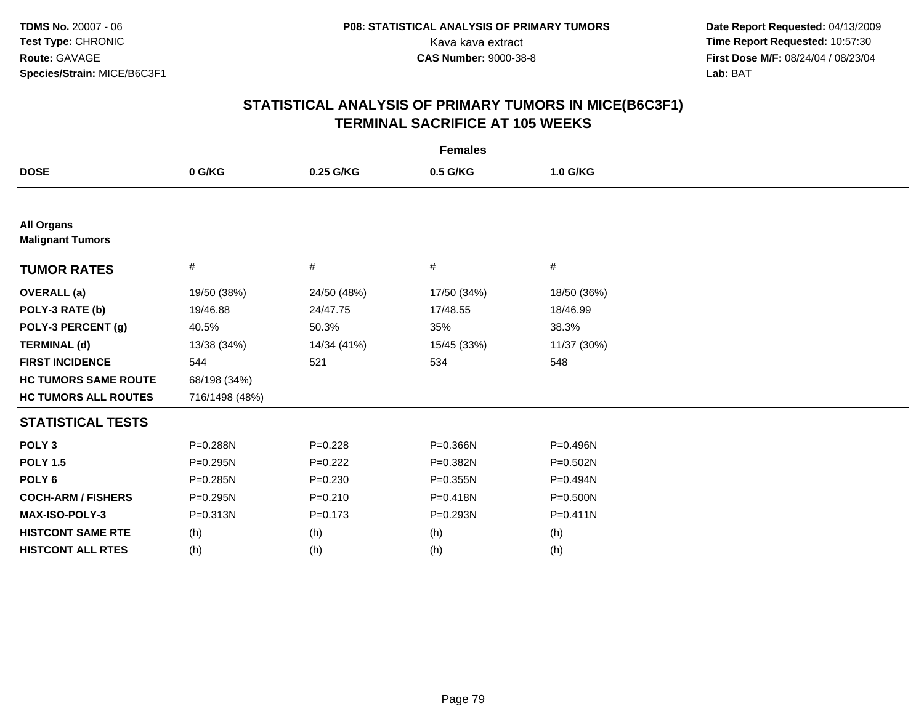| <b>Females</b>                               |                |             |             |              |
|----------------------------------------------|----------------|-------------|-------------|--------------|
| <b>DOSE</b>                                  | 0 G/KG         | 0.25 G/KG   | 0.5 G/KG    | 1.0 G/KG     |
|                                              |                |             |             |              |
| <b>All Organs</b><br><b>Malignant Tumors</b> |                |             |             |              |
| <b>TUMOR RATES</b>                           | $\#$           | #           | $\#$        | #            |
| <b>OVERALL</b> (a)                           | 19/50 (38%)    | 24/50 (48%) | 17/50 (34%) | 18/50 (36%)  |
| POLY-3 RATE (b)                              | 19/46.88       | 24/47.75    | 17/48.55    | 18/46.99     |
| POLY-3 PERCENT (g)                           | 40.5%          | 50.3%       | 35%         | 38.3%        |
| <b>TERMINAL (d)</b>                          | 13/38 (34%)    | 14/34 (41%) | 15/45 (33%) | 11/37 (30%)  |
| <b>FIRST INCIDENCE</b>                       | 544            | 521         | 534         | 548          |
| <b>HC TUMORS SAME ROUTE</b>                  | 68/198 (34%)   |             |             |              |
| <b>HC TUMORS ALL ROUTES</b>                  | 716/1498 (48%) |             |             |              |
| <b>STATISTICAL TESTS</b>                     |                |             |             |              |
| POLY <sub>3</sub>                            | P=0.288N       | $P=0.228$   | P=0.366N    | P=0.496N     |
| <b>POLY 1.5</b>                              | $P = 0.295N$   | $P=0.222$   | P=0.382N    | P=0.502N     |
| POLY <sub>6</sub>                            | P=0.285N       | $P = 0.230$ | P=0.355N    | P=0.494N     |
| <b>COCH-ARM / FISHERS</b>                    | P=0.295N       | $P = 0.210$ | P=0.418N    | P=0.500N     |
| MAX-ISO-POLY-3                               | $P = 0.313N$   | $P = 0.173$ | P=0.293N    | $P = 0.411N$ |
| <b>HISTCONT SAME RTE</b>                     | (h)            | (h)         | (h)         | (h)          |
| <b>HISTCONT ALL RTES</b>                     | (h)            | (h)         | (h)         | (h)          |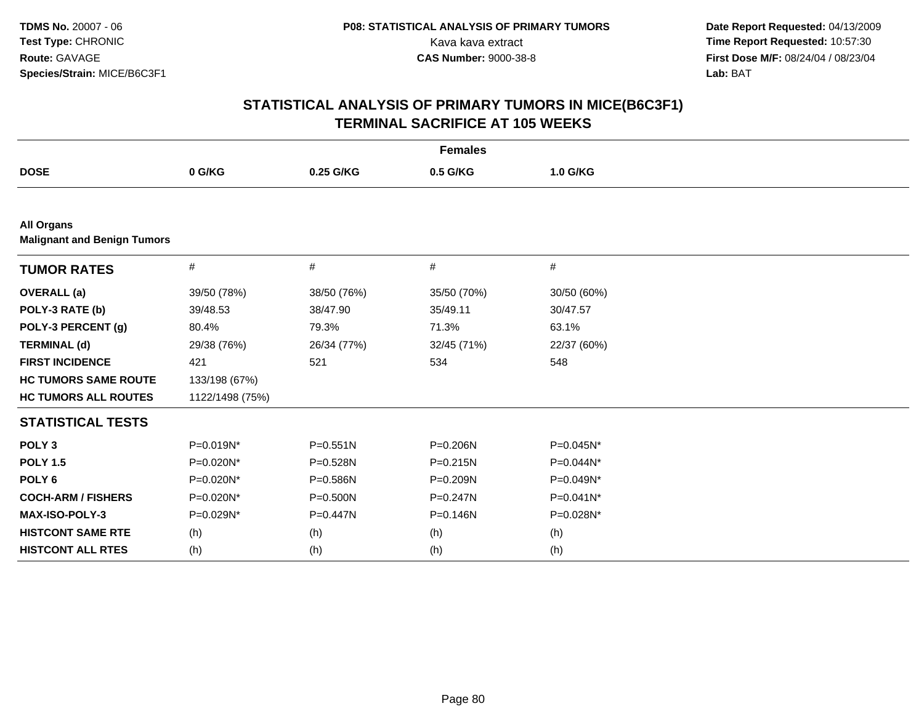| <b>Females</b>                                          |                 |              |              |              |  |
|---------------------------------------------------------|-----------------|--------------|--------------|--------------|--|
| <b>DOSE</b>                                             | 0 G/KG          | 0.25 G/KG    | 0.5 G/KG     | 1.0 G/KG     |  |
|                                                         |                 |              |              |              |  |
| <b>All Organs</b><br><b>Malignant and Benign Tumors</b> |                 |              |              |              |  |
| <b>TUMOR RATES</b>                                      | #               | #            | #            | #            |  |
| <b>OVERALL</b> (a)                                      | 39/50 (78%)     | 38/50 (76%)  | 35/50 (70%)  | 30/50 (60%)  |  |
| POLY-3 RATE (b)                                         | 39/48.53        | 38/47.90     | 35/49.11     | 30/47.57     |  |
| POLY-3 PERCENT (g)                                      | 80.4%           | 79.3%        | 71.3%        | 63.1%        |  |
| <b>TERMINAL (d)</b>                                     | 29/38 (76%)     | 26/34 (77%)  | 32/45 (71%)  | 22/37 (60%)  |  |
| <b>FIRST INCIDENCE</b>                                  | 421             | 521          | 534          | 548          |  |
| <b>HC TUMORS SAME ROUTE</b>                             | 133/198 (67%)   |              |              |              |  |
| <b>HC TUMORS ALL ROUTES</b>                             | 1122/1498 (75%) |              |              |              |  |
| <b>STATISTICAL TESTS</b>                                |                 |              |              |              |  |
| POLY <sub>3</sub>                                       | P=0.019N*       | $P = 0.551N$ | P=0.206N     | P=0.045N*    |  |
| <b>POLY 1.5</b>                                         | P=0.020N*       | P=0.528N     | $P = 0.215N$ | P=0.044N*    |  |
| POLY <sub>6</sub>                                       | P=0.020N*       | P=0.586N     | P=0.209N     | P=0.049N*    |  |
| <b>COCH-ARM / FISHERS</b>                               | P=0.020N*       | $P = 0.500N$ | $P = 0.247N$ | $P=0.041N^*$ |  |
| MAX-ISO-POLY-3                                          | P=0.029N*       | P=0.447N     | $P = 0.146N$ | P=0.028N*    |  |
| <b>HISTCONT SAME RTE</b>                                | (h)             | (h)          | (h)          | (h)          |  |
| <b>HISTCONT ALL RTES</b>                                | (h)             | (h)          | (h)          | (h)          |  |